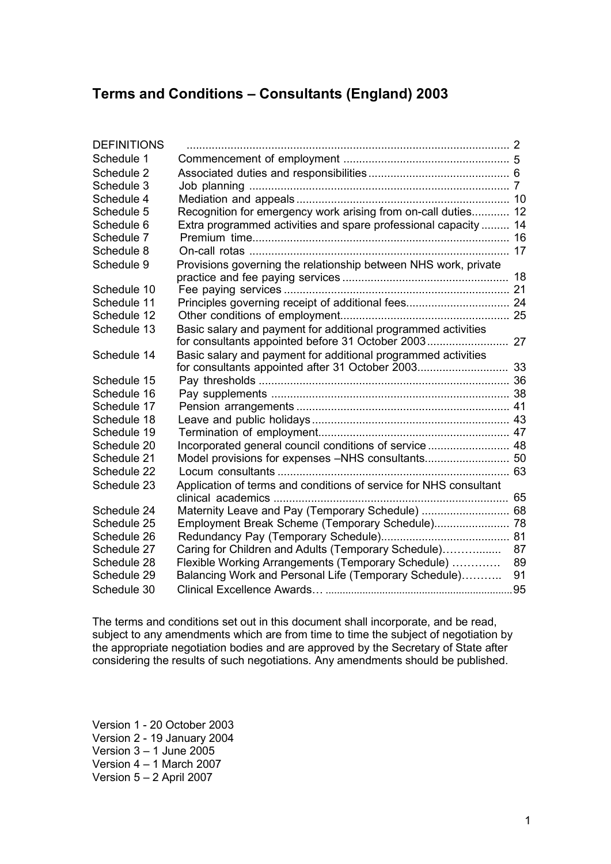### **Terms and Conditions – Consultants (England) 2003**

| <b>DEFINITIONS</b> |                                                                   |    |
|--------------------|-------------------------------------------------------------------|----|
| Schedule 1         |                                                                   |    |
| Schedule 2         |                                                                   |    |
| Schedule 3         |                                                                   |    |
| Schedule 4         |                                                                   |    |
| Schedule 5         | Recognition for emergency work arising from on-call duties 12     |    |
| Schedule 6         | Extra programmed activities and spare professional capacity  14   |    |
| Schedule 7         |                                                                   |    |
| Schedule 8         |                                                                   |    |
| Schedule 9         | Provisions governing the relationship between NHS work, private   |    |
|                    |                                                                   |    |
| Schedule 10        |                                                                   |    |
| Schedule 11        | Principles governing receipt of additional fees 24                |    |
| Schedule 12        |                                                                   |    |
| Schedule 13        | Basic salary and payment for additional programmed activities     |    |
|                    |                                                                   |    |
| Schedule 14        | Basic salary and payment for additional programmed activities     |    |
|                    |                                                                   |    |
| Schedule 15        |                                                                   |    |
| Schedule 16        |                                                                   |    |
| Schedule 17        |                                                                   |    |
| Schedule 18        |                                                                   |    |
| Schedule 19        |                                                                   |    |
| Schedule 20        | Incorporated general council conditions of service  48            |    |
| Schedule 21        |                                                                   |    |
| Schedule 22        |                                                                   |    |
| Schedule 23        | Application of terms and conditions of service for NHS consultant |    |
|                    |                                                                   |    |
| Schedule 24        | Maternity Leave and Pay (Temporary Schedule)  68                  |    |
| Schedule 25        | Employment Break Scheme (Temporary Schedule) 78                   |    |
| Schedule 26        |                                                                   |    |
| Schedule 27        | Caring for Children and Adults (Temporary Schedule)               | 87 |
| Schedule 28        | Flexible Working Arrangements (Temporary Schedule)                | 89 |
| Schedule 29        | Balancing Work and Personal Life (Temporary Schedule)             | 91 |
| Schedule 30        |                                                                   |    |

The terms and conditions set out in this document shall incorporate, and be read, subject to any amendments which are from time to time the subject of negotiation by the appropriate negotiation bodies and are approved by the Secretary of State after considering the results of such negotiations. Any amendments should be published.

Version 1 - 20 October 2003 Version 2 - 19 January 2004 Version  $3 - 1$  June 2005 Version 4 – 1 March 2007 Version 5 – 2 April 2007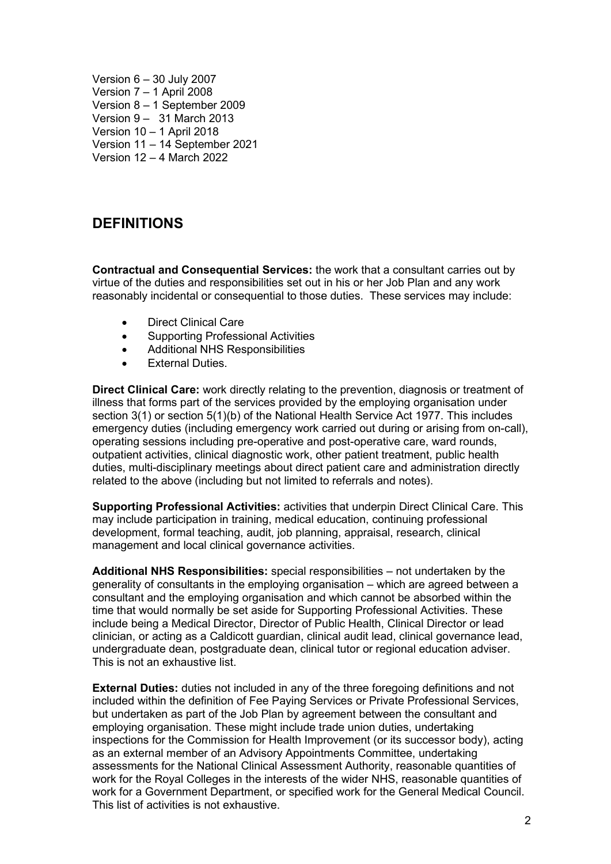Version 6 – 30 July 2007 Version 7 – 1 April 2008 Version 8 – 1 September 2009 Version 9 – 31 March 2013 Version 10 – 1 April 2018 Version 11 – 14 September 2021 Version 12 – 4 March 2022

## <span id="page-1-0"></span>**DEFINITIONS**

**Contractual and Consequential Services:** the work that a consultant carries out by virtue of the duties and responsibilities set out in his or her Job Plan and any work reasonably incidental or consequential to those duties. These services may include:

- Direct Clinical Care
- Supporting Professional Activities
- Additional NHS Responsibilities
- **External Duties.**

**Direct Clinical Care:** work directly relating to the prevention, diagnosis or treatment of illness that forms part of the services provided by the employing organisation under section 3(1) or section 5(1)(b) of the National Health Service Act 1977. This includes emergency duties (including emergency work carried out during or arising from on-call), operating sessions including pre-operative and post-operative care, ward rounds, outpatient activities, clinical diagnostic work, other patient treatment, public health duties, multi-disciplinary meetings about direct patient care and administration directly related to the above (including but not limited to referrals and notes).

**Supporting Professional Activities:** activities that underpin Direct Clinical Care. This may include participation in training, medical education, continuing professional development, formal teaching, audit, job planning, appraisal, research, clinical management and local clinical governance activities.

**Additional NHS Responsibilities:** special responsibilities – not undertaken by the generality of consultants in the employing organisation – which are agreed between a consultant and the employing organisation and which cannot be absorbed within the time that would normally be set aside for Supporting Professional Activities. These include being a Medical Director, Director of Public Health, Clinical Director or lead clinician, or acting as a Caldicott guardian, clinical audit lead, clinical governance lead, undergraduate dean, postgraduate dean, clinical tutor or regional education adviser. This is not an exhaustive list.

**External Duties:** duties not included in any of the three foregoing definitions and not included within the definition of Fee Paying Services or Private Professional Services, but undertaken as part of the Job Plan by agreement between the consultant and employing organisation. These might include trade union duties, undertaking inspections for the Commission for Health Improvement (or its successor body), acting as an external member of an Advisory Appointments Committee, undertaking assessments for the National Clinical Assessment Authority, reasonable quantities of work for the Royal Colleges in the interests of the wider NHS, reasonable quantities of work for a Government Department, or specified work for the General Medical Council. This list of activities is not exhaustive.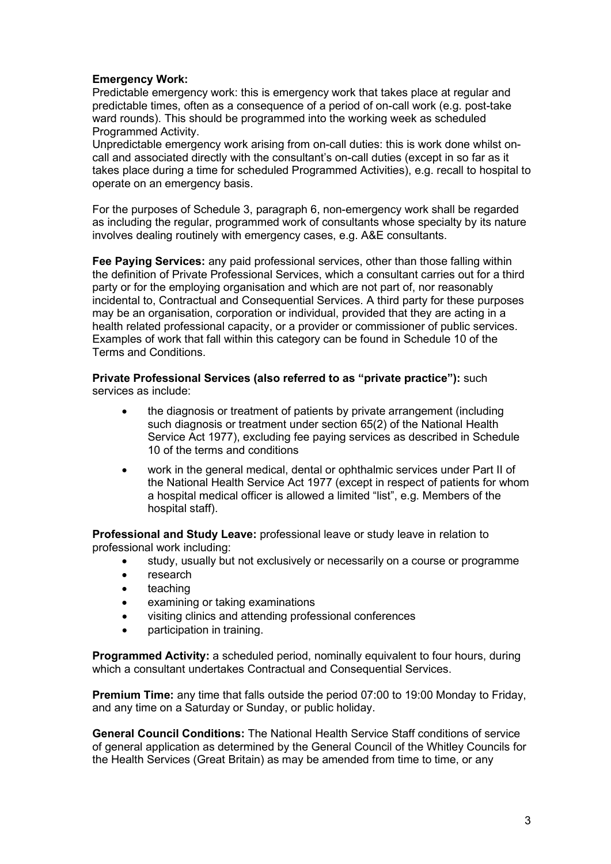### **Emergency Work:**

Predictable emergency work: this is emergency work that takes place at regular and predictable times, often as a consequence of a period of on-call work (e.g. post-take ward rounds). This should be programmed into the working week as scheduled Programmed Activity.

Unpredictable emergency work arising from on-call duties: this is work done whilst oncall and associated directly with the consultant's on-call duties (except in so far as it takes place during a time for scheduled Programmed Activities), e.g. recall to hospital to operate on an emergency basis.

For the purposes of Schedule 3, paragraph 6, non-emergency work shall be regarded as including the regular, programmed work of consultants whose specialty by its nature involves dealing routinely with emergency cases, e.g. A&E consultants.

**Fee Paying Services:** any paid professional services, other than those falling within the definition of Private Professional Services, which a consultant carries out for a third party or for the employing organisation and which are not part of, nor reasonably incidental to, Contractual and Consequential Services. A third party for these purposes may be an organisation, corporation or individual, provided that they are acting in a health related professional capacity, or a provider or commissioner of public services. Examples of work that fall within this category can be found in Schedule 10 of the Terms and Conditions.

#### **Private Professional Services (also referred to as "private practice"):** such services as include:

- the diagnosis or treatment of patients by private arrangement (including such diagnosis or treatment under section 65(2) of the National Health Service Act 1977), excluding fee paying services as described in Schedule 10 of the terms and conditions
- work in the general medical, dental or ophthalmic services under Part II of the National Health Service Act 1977 (except in respect of patients for whom a hospital medical officer is allowed a limited "list", e.g. Members of the hospital staff).

**Professional and Study Leave:** professional leave or study leave in relation to professional work including:

- study, usually but not exclusively or necessarily on a course or programme
- research
- teaching
- examining or taking examinations
- visiting clinics and attending professional conferences
- participation in training.

**Programmed Activity:** a scheduled period, nominally equivalent to four hours, during which a consultant undertakes Contractual and Consequential Services.

**Premium Time:** any time that falls outside the period 07:00 to 19:00 Monday to Friday, and any time on a Saturday or Sunday, or public holiday.

**General Council Conditions:** The National Health Service Staff conditions of service of general application as determined by the General Council of the Whitley Councils for the Health Services (Great Britain) as may be amended from time to time, or any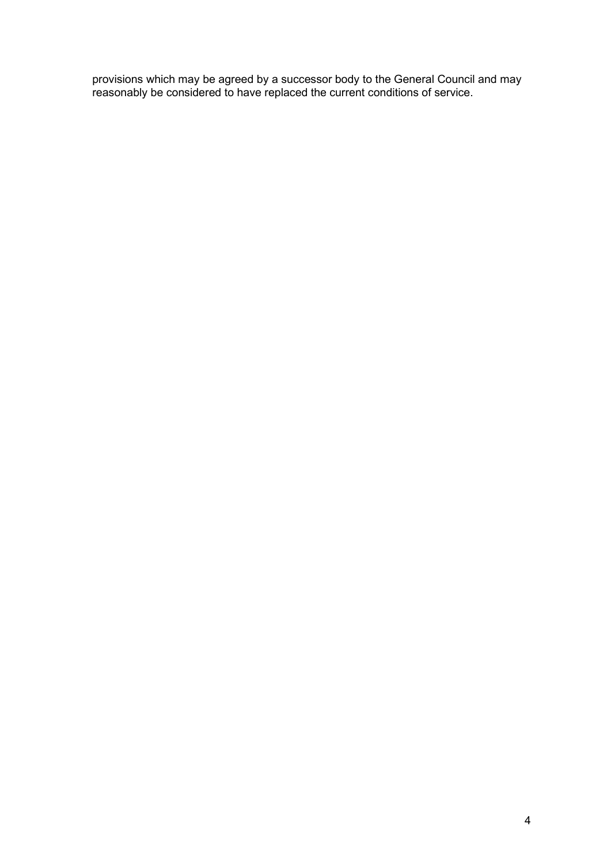provisions which may be agreed by a successor body to the General Council and may reasonably be considered to have replaced the current conditions of service.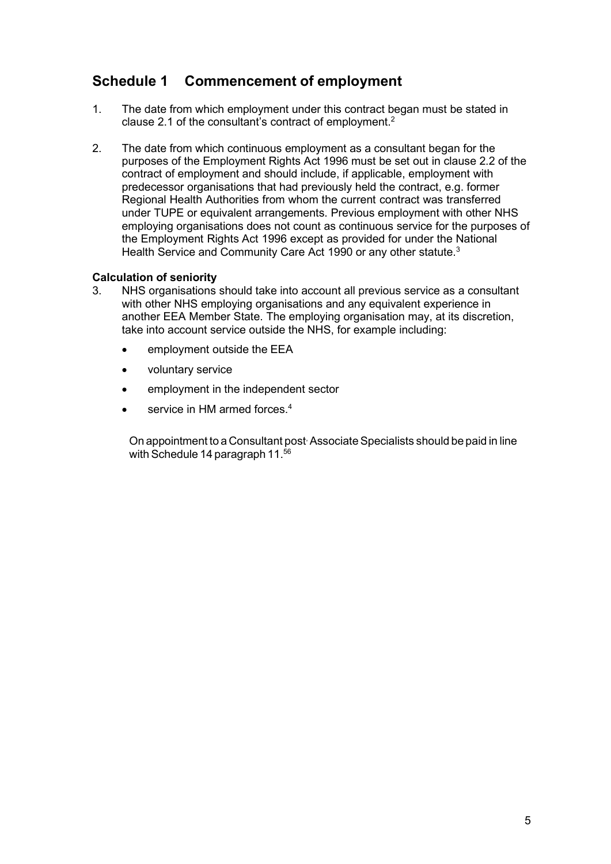## <span id="page-4-0"></span>**Schedule 1 Commencement of employment**

- 1. The date from which employment under this contract began must be stated in clause 2.1 of the consultant's contract of employment. $2$
- 2. The date from which continuous employment as a consultant began for the purposes of the Employment Rights Act 1996 must be set out in clause 2.2 of the contract of employment and should include, if applicable, employment with predecessor organisations that had previously held the contract, e.g. former Regional Health Authorities from whom the current contract was transferred under TUPE or equivalent arrangements. Previous employment with other NHS employing organisations does not count as continuous service for the purposes of the Employment Rights Act 1996 except as provided for under the National Health Service and Community Care Act 1990 or any other statute.<sup>3</sup>

#### **Calculation of seniority**

- 3. NHS organisations should take into account all previous service as a consultant with other NHS employing organisations and any equivalent experience in another EEA Member State. The employing organisation may, at its discretion, take into account service outside the NHS, for example including:
	- employment outside the EEA
	- voluntary service
	- employment in the independent sector
	- service in HM armed forces.<sup>4</sup>

On appointment to a Consultant post<sup>,</sup> Associate Specialists should be paid in line with Schedule 14 paragraph  $11^{56}$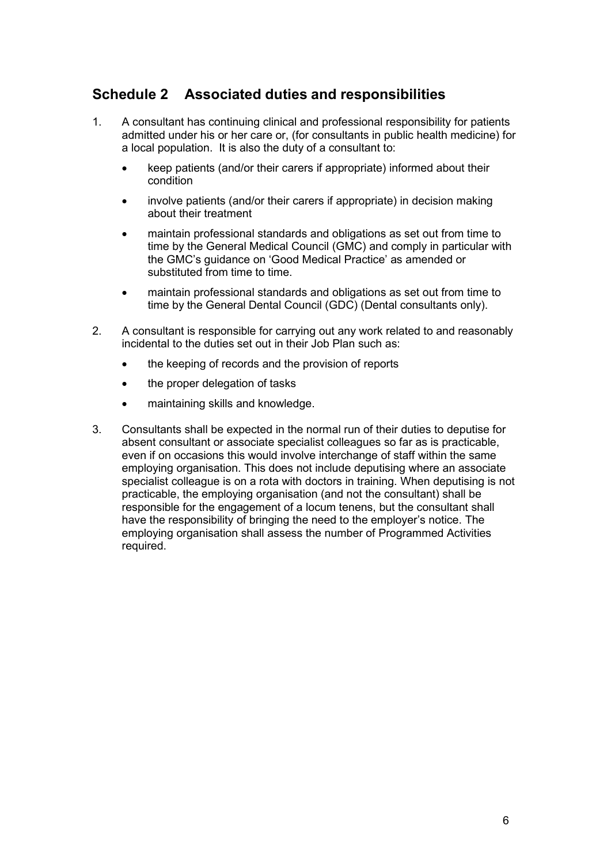## <span id="page-5-0"></span>**Schedule 2 Associated duties and responsibilities**

- 1. A consultant has continuing clinical and professional responsibility for patients admitted under his or her care or, (for consultants in public health medicine) for a local population. It is also the duty of a consultant to:
	- keep patients (and/or their carers if appropriate) informed about their condition
	- involve patients (and/or their carers if appropriate) in decision making about their treatment
	- maintain professional standards and obligations as set out from time to time by the General Medical Council (GMC) and comply in particular with the GMC's guidance on 'Good Medical Practice' as amended or substituted from time to time.
	- maintain professional standards and obligations as set out from time to time by the General Dental Council (GDC) (Dental consultants only).
- 2. A consultant is responsible for carrying out any work related to and reasonably incidental to the duties set out in their Job Plan such as:
	- the keeping of records and the provision of reports
	- the proper delegation of tasks
	- maintaining skills and knowledge.
- 3. Consultants shall be expected in the normal run of their duties to deputise for absent consultant or associate specialist colleagues so far as is practicable, even if on occasions this would involve interchange of staff within the same employing organisation. This does not include deputising where an associate specialist colleague is on a rota with doctors in training. When deputising is not practicable, the employing organisation (and not the consultant) shall be responsible for the engagement of a locum tenens, but the consultant shall have the responsibility of bringing the need to the employer's notice. The employing organisation shall assess the number of Programmed Activities required.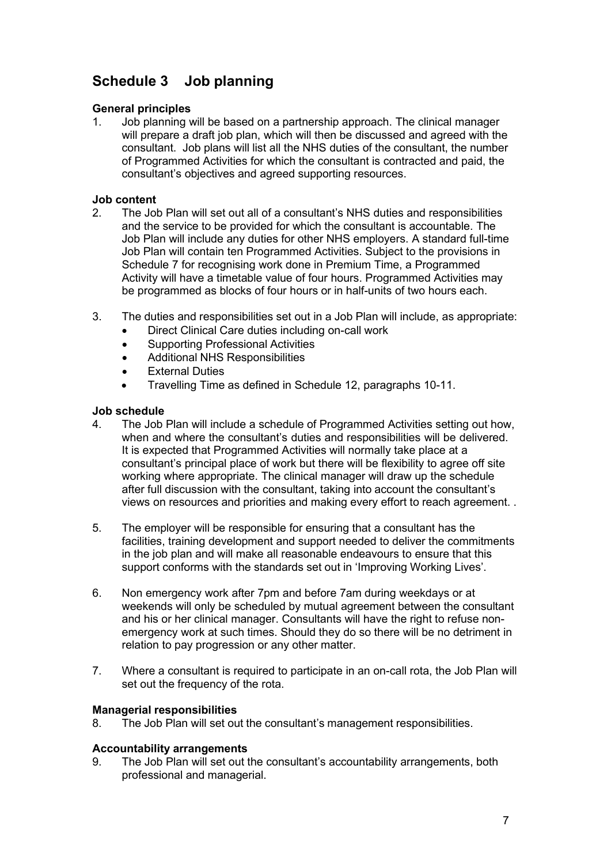## <span id="page-6-0"></span>**Schedule 3 Job planning**

## **General principles**<br>1. Job planning

Job planning will be based on a partnership approach. The clinical manager will prepare a draft job plan, which will then be discussed and agreed with the consultant. Job plans will list all the NHS duties of the consultant, the number of Programmed Activities for which the consultant is contracted and paid, the consultant's objectives and agreed supporting resources.

## **Job content**<br>2. The Jol

- 2. The Job Plan will set out all of a consultant's NHS duties and responsibilities and the service to be provided for which the consultant is accountable. The Job Plan will include any duties for other NHS employers. A standard full-time Job Plan will contain ten Programmed Activities. Subject to the provisions in Schedule 7 for recognising work done in Premium Time, a Programmed Activity will have a timetable value of four hours. Programmed Activities may be programmed as blocks of four hours or in half-units of two hours each.
- 3. The duties and responsibilities set out in a Job Plan will include, as appropriate:
	- Direct Clinical Care duties including on-call work
	- Supporting Professional Activities
	- Additional NHS Responsibilities
	- External Duties
	- Travelling Time as defined in Schedule 12, paragraphs 10-11.

# **Job schedule**

- The Job Plan will include a schedule of Programmed Activities setting out how, when and where the consultant's duties and responsibilities will be delivered. It is expected that Programmed Activities will normally take place at a consultant's principal place of work but there will be flexibility to agree off site working where appropriate. The clinical manager will draw up the schedule after full discussion with the consultant, taking into account the consultant's views on resources and priorities and making every effort to reach agreement. .
- 5. The employer will be responsible for ensuring that a consultant has the facilities, training development and support needed to deliver the commitments in the job plan and will make all reasonable endeavours to ensure that this support conforms with the standards set out in 'Improving Working Lives'.
- 6. Non emergency work after 7pm and before 7am during weekdays or at weekends will only be scheduled by mutual agreement between the consultant and his or her clinical manager. Consultants will have the right to refuse nonemergency work at such times. Should they do so there will be no detriment in relation to pay progression or any other matter.
- 7. Where a consultant is required to participate in an on-call rota, the Job Plan will set out the frequency of the rota.

### **Managerial responsibilities**

8. The Job Plan will set out the consultant's management responsibilities.

### **Accountability arrangements**

9. The Job Plan will set out the consultant's accountability arrangements, both professional and managerial.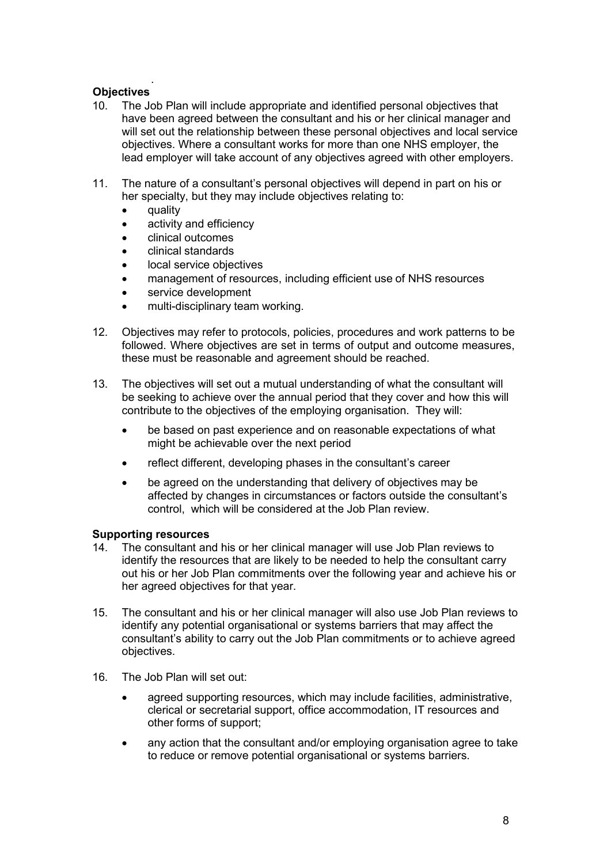#### . **Objectives**

- 10. The Job Plan will include appropriate and identified personal objectives that have been agreed between the consultant and his or her clinical manager and will set out the relationship between these personal objectives and local service objectives. Where a consultant works for more than one NHS employer, the lead employer will take account of any objectives agreed with other employers.
- 11. The nature of a consultant's personal objectives will depend in part on his or her specialty, but they may include objectives relating to:
	- **quality**
	- activity and efficiency
	- clinical outcomes
	- clinical standards
	- local service objectives
	- management of resources, including efficient use of NHS resources
	- service development
	- multi-disciplinary team working.
- 12. Objectives may refer to protocols, policies, procedures and work patterns to be followed. Where objectives are set in terms of output and outcome measures, these must be reasonable and agreement should be reached.
- 13. The objectives will set out a mutual understanding of what the consultant will be seeking to achieve over the annual period that they cover and how this will contribute to the objectives of the employing organisation. They will:
	- be based on past experience and on reasonable expectations of what might be achievable over the next period
	- reflect different, developing phases in the consultant's career
	- be agreed on the understanding that delivery of objectives may be affected by changes in circumstances or factors outside the consultant's control, which will be considered at the Job Plan review.

## **Supporting resources**<br>14. The consultant an

- The consultant and his or her clinical manager will use Job Plan reviews to identify the resources that are likely to be needed to help the consultant carry out his or her Job Plan commitments over the following year and achieve his or her agreed objectives for that year.
- 15. The consultant and his or her clinical manager will also use Job Plan reviews to identify any potential organisational or systems barriers that may affect the consultant's ability to carry out the Job Plan commitments or to achieve agreed objectives.
- 16. The Job Plan will set out:
	- agreed supporting resources, which may include facilities, administrative, clerical or secretarial support, office accommodation, IT resources and other forms of support;
	- any action that the consultant and/or employing organisation agree to take to reduce or remove potential organisational or systems barriers.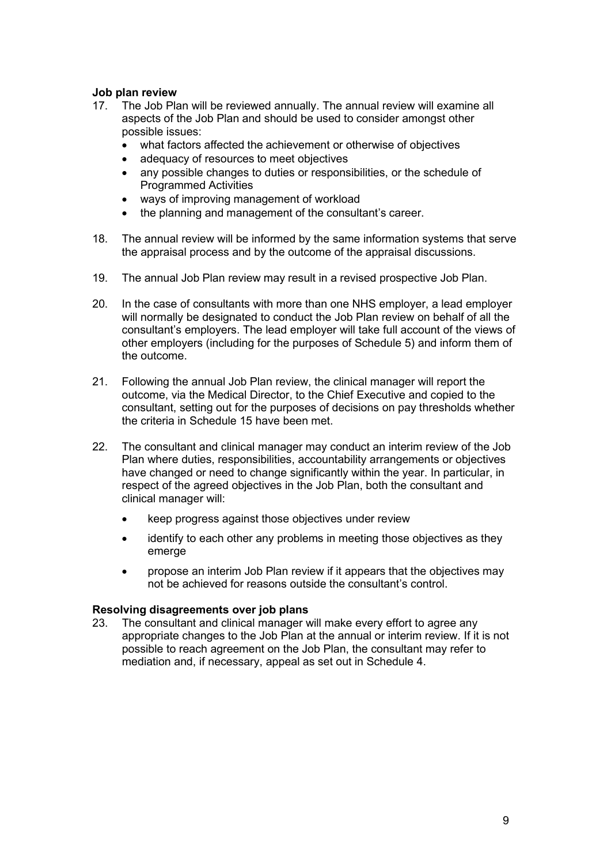# **Job plan review**

- The Job Plan will be reviewed annually. The annual review will examine all aspects of the Job Plan and should be used to consider amongst other possible issues:
	- what factors affected the achievement or otherwise of objectives
	- adequacy of resources to meet objectives
	- any possible changes to duties or responsibilities, or the schedule of Programmed Activities
	- ways of improving management of workload
	- the planning and management of the consultant's career.
- 18. The annual review will be informed by the same information systems that serve the appraisal process and by the outcome of the appraisal discussions.
- 19. The annual Job Plan review may result in a revised prospective Job Plan.
- 20. In the case of consultants with more than one NHS employer, a lead employer will normally be designated to conduct the Job Plan review on behalf of all the consultant's employers. The lead employer will take full account of the views of other employers (including for the purposes of Schedule 5) and inform them of the outcome.
- 21. Following the annual Job Plan review, the clinical manager will report the outcome, via the Medical Director, to the Chief Executive and copied to the consultant, setting out for the purposes of decisions on pay thresholds whether the criteria in Schedule 15 have been met.
- 22. The consultant and clinical manager may conduct an interim review of the Job Plan where duties, responsibilities, accountability arrangements or objectives have changed or need to change significantly within the year. In particular, in respect of the agreed objectives in the Job Plan, both the consultant and clinical manager will:
	- keep progress against those objectives under review
	- identify to each other any problems in meeting those objectives as they emerge
	- propose an interim Job Plan review if it appears that the objectives may not be achieved for reasons outside the consultant's control.

### **Resolving disagreements over job plans**

23. The consultant and clinical manager will make every effort to agree any appropriate changes to the Job Plan at the annual or interim review. If it is not possible to reach agreement on the Job Plan, the consultant may refer to mediation and, if necessary, appeal as set out in Schedule 4.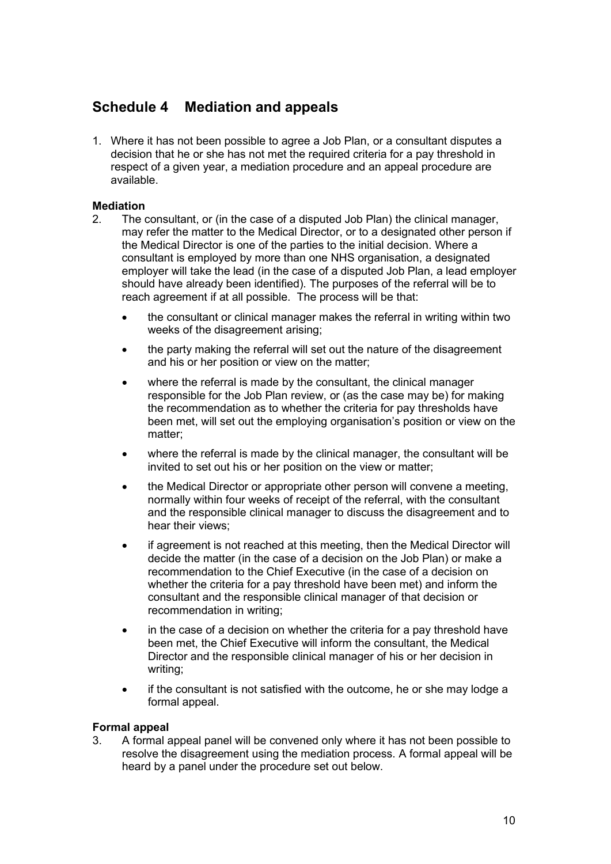## <span id="page-9-0"></span>**Schedule 4 Mediation and appeals**

1. Where it has not been possible to agree a Job Plan, or a consultant disputes a decision that he or she has not met the required criteria for a pay threshold in respect of a given year, a mediation procedure and an appeal procedure are available.

### **Mediation**

- 2. The consultant, or (in the case of a disputed Job Plan) the clinical manager, may refer the matter to the Medical Director, or to a designated other person if the Medical Director is one of the parties to the initial decision. Where a consultant is employed by more than one NHS organisation, a designated employer will take the lead (in the case of a disputed Job Plan, a lead employer should have already been identified). The purposes of the referral will be to reach agreement if at all possible. The process will be that:
	- the consultant or clinical manager makes the referral in writing within two weeks of the disagreement arising;
	- the party making the referral will set out the nature of the disagreement and his or her position or view on the matter;
	- where the referral is made by the consultant, the clinical manager responsible for the Job Plan review, or (as the case may be) for making the recommendation as to whether the criteria for pay thresholds have been met, will set out the employing organisation's position or view on the matter;
	- where the referral is made by the clinical manager, the consultant will be invited to set out his or her position on the view or matter;
	- the Medical Director or appropriate other person will convene a meeting, normally within four weeks of receipt of the referral, with the consultant and the responsible clinical manager to discuss the disagreement and to hear their views;
	- if agreement is not reached at this meeting, then the Medical Director will decide the matter (in the case of a decision on the Job Plan) or make a recommendation to the Chief Executive (in the case of a decision on whether the criteria for a pay threshold have been met) and inform the consultant and the responsible clinical manager of that decision or recommendation in writing;
	- in the case of a decision on whether the criteria for a pay threshold have been met, the Chief Executive will inform the consultant, the Medical Director and the responsible clinical manager of his or her decision in writing;
	- if the consultant is not satisfied with the outcome, he or she may lodge a formal appeal.

### **Formal appeal**

3. A formal appeal panel will be convened only where it has not been possible to resolve the disagreement using the mediation process. A formal appeal will be heard by a panel under the procedure set out below.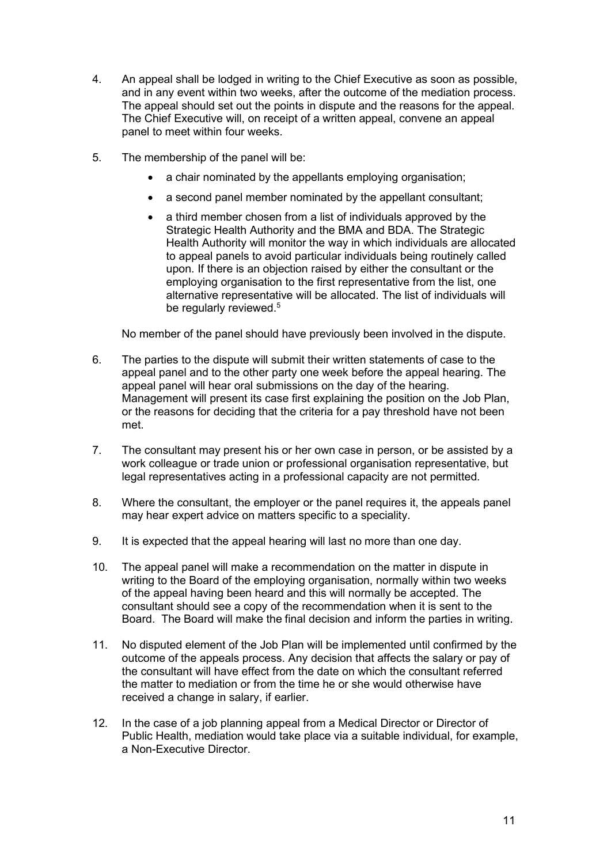- 4. An appeal shall be lodged in writing to the Chief Executive as soon as possible, and in any event within two weeks, after the outcome of the mediation process. The appeal should set out the points in dispute and the reasons for the appeal. The Chief Executive will, on receipt of a written appeal, convene an appeal panel to meet within four weeks.
- 5. The membership of the panel will be:
	- a chair nominated by the appellants employing organisation;
	- a second panel member nominated by the appellant consultant;
	- a third member chosen from a list of individuals approved by the Strategic Health Authority and the BMA and BDA. The Strategic Health Authority will monitor the way in which individuals are allocated to appeal panels to avoid particular individuals being routinely called upon. If there is an objection raised by either the consultant or the employing organisation to the first representative from the list, one alternative representative will be allocated. The list of individuals will be regularly reviewed.<sup>5</sup>

No member of the panel should have previously been involved in the dispute.

- 6. The parties to the dispute will submit their written statements of case to the appeal panel and to the other party one week before the appeal hearing. The appeal panel will hear oral submissions on the day of the hearing. Management will present its case first explaining the position on the Job Plan, or the reasons for deciding that the criteria for a pay threshold have not been met.
- 7. The consultant may present his or her own case in person, or be assisted by a work colleague or trade union or professional organisation representative, but legal representatives acting in a professional capacity are not permitted.
- 8. Where the consultant, the employer or the panel requires it, the appeals panel may hear expert advice on matters specific to a speciality.
- 9. It is expected that the appeal hearing will last no more than one day.
- 10. The appeal panel will make a recommendation on the matter in dispute in writing to the Board of the employing organisation, normally within two weeks of the appeal having been heard and this will normally be accepted. The consultant should see a copy of the recommendation when it is sent to the Board. The Board will make the final decision and inform the parties in writing.
- 11. No disputed element of the Job Plan will be implemented until confirmed by the outcome of the appeals process. Any decision that affects the salary or pay of the consultant will have effect from the date on which the consultant referred the matter to mediation or from the time he or she would otherwise have received a change in salary, if earlier.
- 12. In the case of a job planning appeal from a Medical Director or Director of Public Health, mediation would take place via a suitable individual, for example, a Non-Executive Director.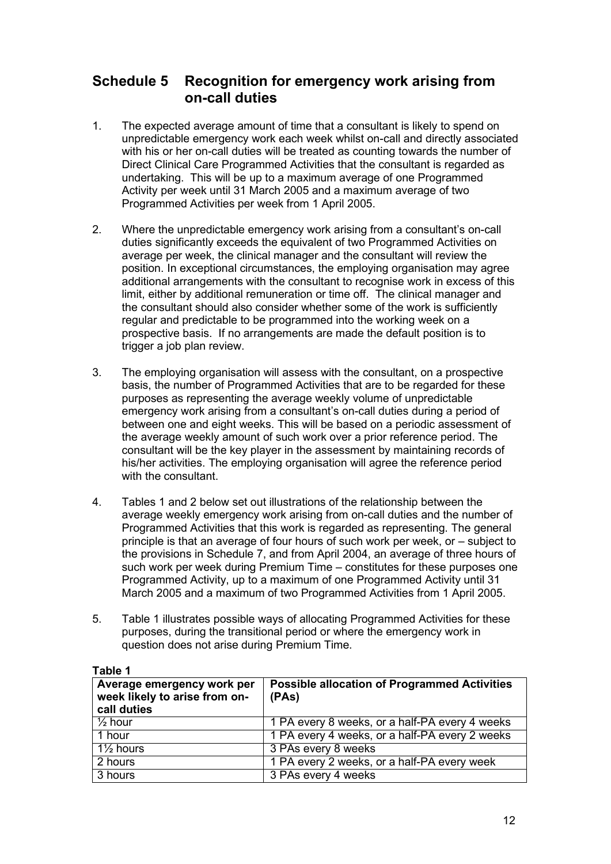### <span id="page-11-0"></span>**Schedule 5 Recognition for emergency work arising from on-call duties**

- 1. The expected average amount of time that a consultant is likely to spend on unpredictable emergency work each week whilst on-call and directly associated with his or her on-call duties will be treated as counting towards the number of Direct Clinical Care Programmed Activities that the consultant is regarded as undertaking. This will be up to a maximum average of one Programmed Activity per week until 31 March 2005 and a maximum average of two Programmed Activities per week from 1 April 2005.
- 2. Where the unpredictable emergency work arising from a consultant's on-call duties significantly exceeds the equivalent of two Programmed Activities on average per week, the clinical manager and the consultant will review the position. In exceptional circumstances, the employing organisation may agree additional arrangements with the consultant to recognise work in excess of this limit, either by additional remuneration or time off. The clinical manager and the consultant should also consider whether some of the work is sufficiently regular and predictable to be programmed into the working week on a prospective basis. If no arrangements are made the default position is to trigger a job plan review.
- 3. The employing organisation will assess with the consultant, on a prospective basis, the number of Programmed Activities that are to be regarded for these purposes as representing the average weekly volume of unpredictable emergency work arising from a consultant's on-call duties during a period of between one and eight weeks. This will be based on a periodic assessment of the average weekly amount of such work over a prior reference period. The consultant will be the key player in the assessment by maintaining records of his/her activities. The employing organisation will agree the reference period with the consultant.
- 4. Tables 1 and 2 below set out illustrations of the relationship between the average weekly emergency work arising from on-call duties and the number of Programmed Activities that this work is regarded as representing. The general principle is that an average of four hours of such work per week, or – subject to the provisions in Schedule 7, and from April 2004, an average of three hours of such work per week during Premium Time – constitutes for these purposes one Programmed Activity, up to a maximum of one Programmed Activity until 31 March 2005 and a maximum of two Programmed Activities from 1 April 2005.
- 5. Table 1 illustrates possible ways of allocating Programmed Activities for these purposes, during the transitional period or where the emergency work in question does not arise during Premium Time.

| Average emergency work per<br>week likely to arise from on-<br>call duties | <b>Possible allocation of Programmed Activities</b><br>(PAs) |
|----------------------------------------------------------------------------|--------------------------------------------------------------|
| $\frac{1}{2}$ hour                                                         | 1 PA every 8 weeks, or a half-PA every 4 weeks               |
| 1 hour                                                                     | 1 PA every 4 weeks, or a half-PA every 2 weeks               |
| $1\frac{1}{2}$ hours                                                       | 3 PAs every 8 weeks                                          |
| 2 hours                                                                    | 1 PA every 2 weeks, or a half-PA every week                  |
| 3 hours                                                                    | 3 PAs every 4 weeks                                          |

**Table 1**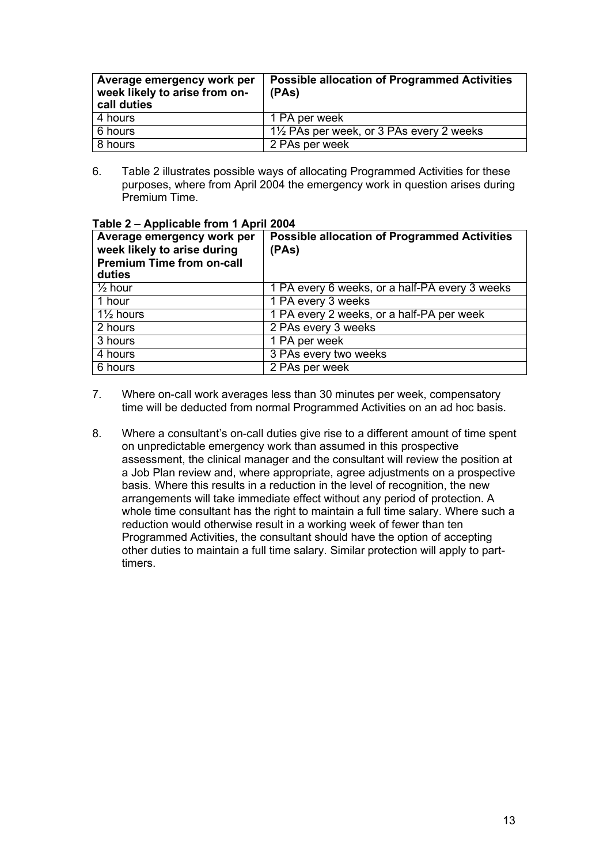| Average emergency work per<br>week likely to arise from on-<br>call duties | <b>Possible allocation of Programmed Activities</b><br>(PAs) |
|----------------------------------------------------------------------------|--------------------------------------------------------------|
| 4 hours                                                                    | 1 PA per week                                                |
| 6 hours                                                                    | $1\frac{1}{2}$ PAs per week, or 3 PAs every 2 weeks          |
| 8 hours                                                                    | 2 PAs per week                                               |

6. Table 2 illustrates possible ways of allocating Programmed Activities for these purposes, where from April 2004 the emergency work in question arises during Premium Time.

| Average emergency work per<br>week likely to arise during<br><b>Premium Time from on-call</b><br>duties | <b>Possible allocation of Programmed Activities</b><br>(PAs) |
|---------------------------------------------------------------------------------------------------------|--------------------------------------------------------------|
| $\frac{1}{2}$ hour                                                                                      | 1 PA every 6 weeks, or a half-PA every 3 weeks               |
| $\overline{1}$ hour                                                                                     | 1 PA every 3 weeks                                           |
| $1\frac{1}{2}$ hours                                                                                    | 1 PA every 2 weeks, or a half-PA per week                    |
| 2 hours                                                                                                 | 2 PAs every 3 weeks                                          |
| 3 hours                                                                                                 | 1 PA per week                                                |
| $\overline{4}$ hours                                                                                    | 3 PAs every two weeks                                        |
| 6 hours                                                                                                 | 2 PAs per week                                               |

#### **Table 2 – Applicable from 1 April 2004**

- 7. Where on-call work averages less than 30 minutes per week, compensatory time will be deducted from normal Programmed Activities on an ad hoc basis.
- 8. Where a consultant's on-call duties give rise to a different amount of time spent on unpredictable emergency work than assumed in this prospective assessment, the clinical manager and the consultant will review the position at a Job Plan review and, where appropriate, agree adjustments on a prospective basis. Where this results in a reduction in the level of recognition, the new arrangements will take immediate effect without any period of protection. A whole time consultant has the right to maintain a full time salary. Where such a reduction would otherwise result in a working week of fewer than ten Programmed Activities, the consultant should have the option of accepting other duties to maintain a full time salary. Similar protection will apply to parttimers.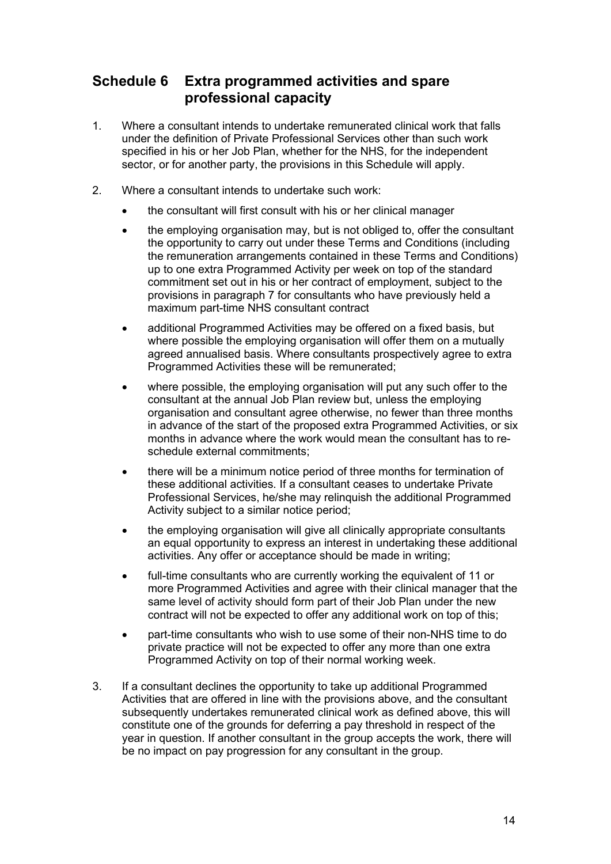## <span id="page-13-0"></span>**Schedule 6 Extra programmed activities and spare professional capacity**

- 1. Where a consultant intends to undertake remunerated clinical work that falls under the definition of Private Professional Services other than such work specified in his or her Job Plan, whether for the NHS, for the independent sector, or for another party, the provisions in this Schedule will apply.
- 2. Where a consultant intends to undertake such work:
	- the consultant will first consult with his or her clinical manager
	- the employing organisation may, but is not obliged to, offer the consultant the opportunity to carry out under these Terms and Conditions (including the remuneration arrangements contained in these Terms and Conditions) up to one extra Programmed Activity per week on top of the standard commitment set out in his or her contract of employment, subject to the provisions in paragraph [7 f](#page-14-0)or consultants who have previously held a maximum part-time NHS consultant contract
	- additional Programmed Activities may be offered on a fixed basis, but where possible the employing organisation will offer them on a mutually agreed annualised basis. Where consultants prospectively agree to extra Programmed Activities these will be remunerated;
	- where possible, the employing organisation will put any such offer to the consultant at the annual Job Plan review but, unless the employing organisation and consultant agree otherwise, no fewer than three months in advance of the start of the proposed extra Programmed Activities, or six months in advance where the work would mean the consultant has to reschedule external commitments;
	- there will be a minimum notice period of three months for termination of these additional activities. If a consultant ceases to undertake Private Professional Services, he/she may relinquish the additional Programmed Activity subject to a similar notice period;
	- the employing organisation will give all clinically appropriate consultants an equal opportunity to express an interest in undertaking these additional activities. Any offer or acceptance should be made in writing;
	- full-time consultants who are currently working the equivalent of 11 or more Programmed Activities and agree with their clinical manager that the same level of activity should form part of their Job Plan under the new contract will not be expected to offer any additional work on top of this;
	- part-time consultants who wish to use some of their non-NHS time to do private practice will not be expected to offer any more than one extra Programmed Activity on top of their normal working week.
- 3. If a consultant declines the opportunity to take up additional Programmed Activities that are offered in line with the provisions above, and the consultant subsequently undertakes remunerated clinical work as defined above, this will constitute one of the grounds for deferring a pay threshold in respect of the year in question. If another consultant in the group accepts the work, there will be no impact on pay progression for any consultant in the group.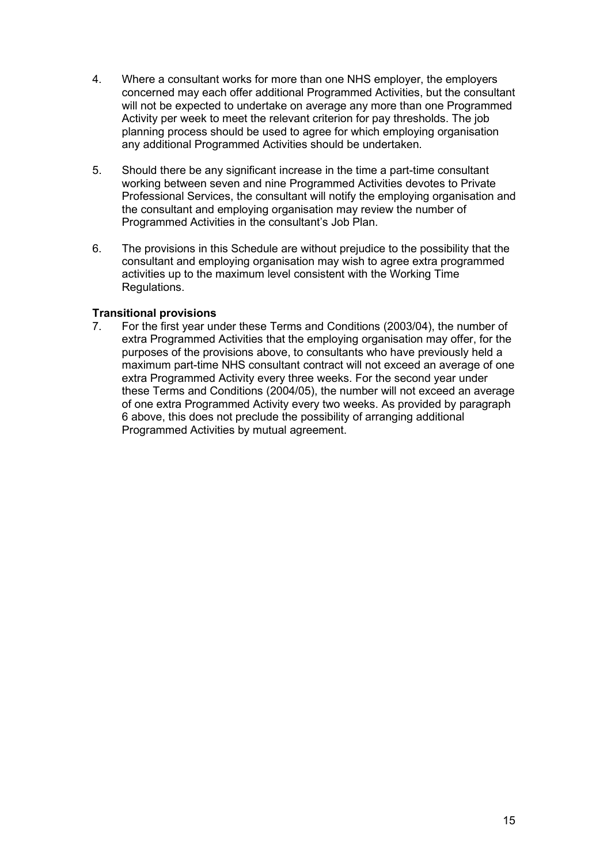- 4. Where a consultant works for more than one NHS employer, the employers concerned may each offer additional Programmed Activities, but the consultant will not be expected to undertake on average any more than one Programmed Activity per week to meet the relevant criterion for pay thresholds. The job planning process should be used to agree for which employing organisation any additional Programmed Activities should be undertaken.
- 5. Should there be any significant increase in the time a part-time consultant working between seven and nine Programmed Activities devotes to Private Professional Services, the consultant will notify the employing organisation and the consultant and employing organisation may review the number of Programmed Activities in the consultant's Job Plan.
- <span id="page-14-1"></span>6. The provisions in this Schedule are without prejudice to the possibility that the consultant and employing organisation may wish to agree extra programmed activities up to the maximum level consistent with the Working Time Regulations.

### **Transitional provisions**

<span id="page-14-0"></span>7. For the first year under these Terms and Conditions (2003/04), the number of extra Programmed Activities that the employing organisation may offer, for the purposes of the provisions above, to consultants who have previously held a maximum part-time NHS consultant contract will not exceed an average of one extra Programmed Activity every three weeks. For the second year under these Terms and Conditions (2004/05), the number will not exceed an average of one extra Programmed Activity every two weeks. As provided by paragraph [6 a](#page-14-1)bove, this does not preclude the possibility of arranging additional Programmed Activities by mutual agreement.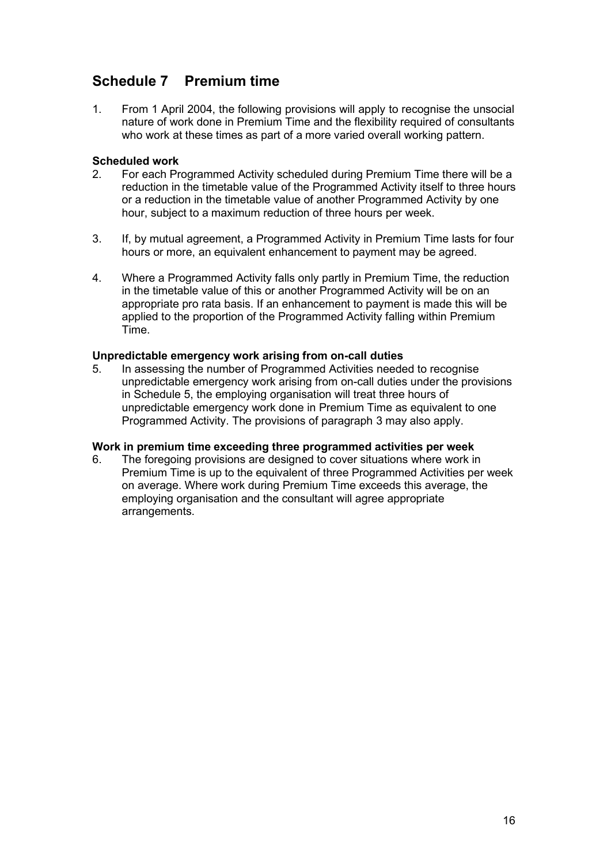## <span id="page-15-0"></span>**Schedule 7 Premium time**

1. From 1 April 2004, the following provisions will apply to recognise the unsocial nature of work done in Premium Time and the flexibility required of consultants who work at these times as part of a more varied overall working pattern.

## **Scheduled work**<br>2 For each Pr

- 2. For each Programmed Activity scheduled during Premium Time there will be a reduction in the timetable value of the Programmed Activity itself to three hours or a reduction in the timetable value of another Programmed Activity by one hour, subject to a maximum reduction of three hours per week.
- <span id="page-15-1"></span>3. If, by mutual agreement, a Programmed Activity in Premium Time lasts for four hours or more, an equivalent enhancement to payment may be agreed.
- 4. Where a Programmed Activity falls only partly in Premium Time, the reduction in the timetable value of this or another Programmed Activity will be on an appropriate pro rata basis. If an enhancement to payment is made this will be applied to the proportion of the Programmed Activity falling within Premium Time.

## **Unpredictable emergency work arising from on-call duties**

In assessing the number of Programmed Activities needed to recognise unpredictable emergency work arising from on-call duties under the provisions in Schedule 5, the employing organisation will treat three hours of unpredictable emergency work done in Premium Time as equivalent to one Programmed Activity. The provisions of paragraph [3](#page-15-1) may also apply.

### **Work in premium time exceeding three programmed activities per week**

6. The foregoing provisions are designed to cover situations where work in Premium Time is up to the equivalent of three Programmed Activities per week on average. Where work during Premium Time exceeds this average, the employing organisation and the consultant will agree appropriate arrangements.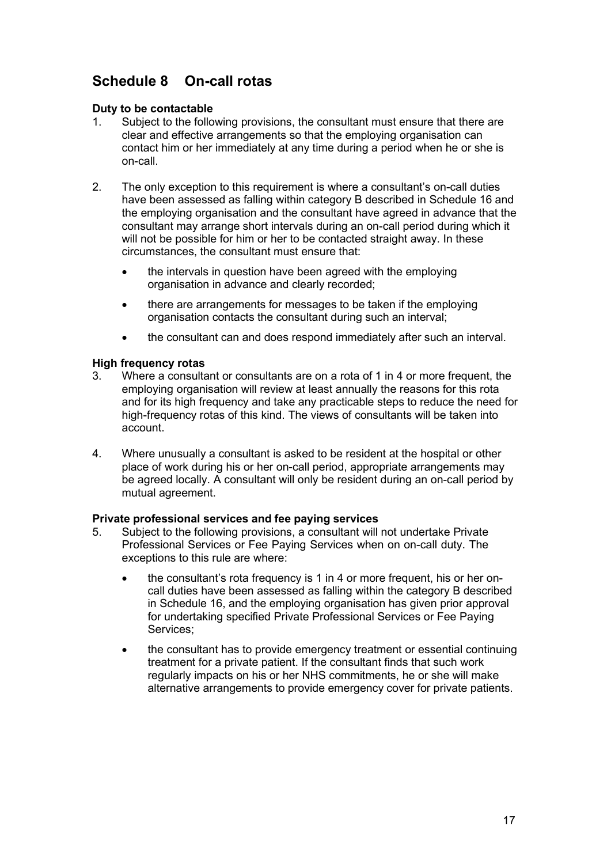## <span id="page-16-0"></span>**Schedule 8 On-call rotas**

### **Duty to be contactable**

- 1. Subject to the following provisions, the consultant must ensure that there are clear and effective arrangements so that the employing organisation can contact him or her immediately at any time during a period when he or she is on-call.
- 2. The only exception to this requirement is where a consultant's on-call duties have been assessed as falling within category B described in Schedule 16 and the employing organisation and the consultant have agreed in advance that the consultant may arrange short intervals during an on-call period during which it will not be possible for him or her to be contacted straight away. In these circumstances, the consultant must ensure that:
	- the intervals in question have been agreed with the employing organisation in advance and clearly recorded;
	- there are arrangements for messages to be taken if the employing organisation contacts the consultant during such an interval;
	- the consultant can and does respond immediately after such an interval.

# **High frequency rotas**

- Where a consultant or consultants are on a rota of 1 in 4 or more frequent, the employing organisation will review at least annually the reasons for this rota and for its high frequency and take any practicable steps to reduce the need for high-frequency rotas of this kind. The views of consultants will be taken into account.
- 4. Where unusually a consultant is asked to be resident at the hospital or other place of work during his or her on-call period, appropriate arrangements may be agreed locally. A consultant will only be resident during an on-call period by mutual agreement.

### **Private professional services and fee paying services**

- <span id="page-16-1"></span>5. Subject to the following provisions, a consultant will not undertake Private Professional Services or Fee Paying Services when on on-call duty. The exceptions to this rule are where:
	- the consultant's rota frequency is 1 in 4 or more frequent, his or her oncall duties have been assessed as falling within the category B described in Schedule 16, and the employing organisation has given prior approval for undertaking specified Private Professional Services or Fee Paying Services;
	- the consultant has to provide emergency treatment or essential continuing treatment for a private patient. If the consultant finds that such work regularly impacts on his or her NHS commitments, he or she will make alternative arrangements to provide emergency cover for private patients.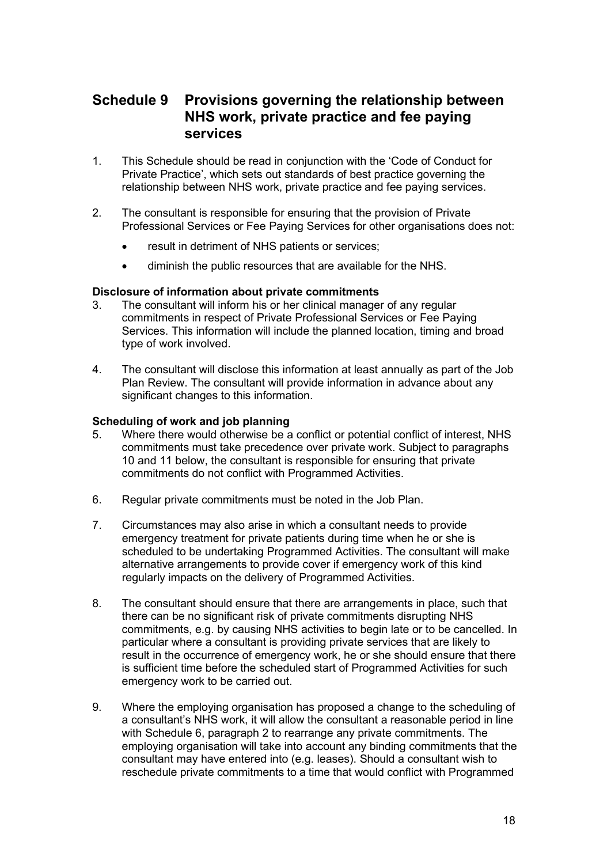### <span id="page-17-0"></span>**Schedule 9 Provisions governing the relationship between NHS work, private practice and fee paying services**

- 1. This Schedule should be read in conjunction with the 'Code of Conduct for Private Practice', which sets out standards of best practice governing the relationship between NHS work, private practice and fee paying services.
- 2. The consultant is responsible for ensuring that the provision of Private Professional Services or Fee Paying Services for other organisations does not:
	- result in detriment of NHS patients or services;
	- diminish the public resources that are available for the NHS.

# **Disclosure of information about private commitments**

- The consultant will inform his or her clinical manager of any regular commitments in respect of Private Professional Services or Fee Paying Services. This information will include the planned location, timing and broad type of work involved.
- 4. The consultant will disclose this information at least annually as part of the Job Plan Review. The consultant will provide information in advance about any significant changes to this information.

### **Scheduling of work and job planning**

- 5. Where there would otherwise be a conflict or potential conflict of interest, NHS commitments must take precedence over private work. Subject to paragraphs [10 a](#page-18-0)nd [11 b](#page-18-1)elow, the consultant is responsible for ensuring that private commitments do not conflict with Programmed Activities.
- 6. Regular private commitments must be noted in the Job Plan.
- 7. Circumstances may also arise in which a consultant needs to provide emergency treatment for private patients during time when he or she is scheduled to be undertaking Programmed Activities. The consultant will make alternative arrangements to provide cover if emergency work of this kind regularly impacts on the delivery of Programmed Activities.
- 8. The consultant should ensure that there are arrangements in place, such that there can be no significant risk of private commitments disrupting NHS commitments, e.g. by causing NHS activities to begin late or to be cancelled. In particular where a consultant is providing private services that are likely to result in the occurrence of emergency work, he or she should ensure that there is sufficient time before the scheduled start of Programmed Activities for such emergency work to be carried out.
- 9. Where the employing organisation has proposed a change to the scheduling of a consultant's NHS work, it will allow the consultant a reasonable period in line with Schedule 6, paragraph 2 to rearrange any private commitments. The employing organisation will take into account any binding commitments that the consultant may have entered into (e.g. leases). Should a consultant wish to reschedule private commitments to a time that would conflict with Programmed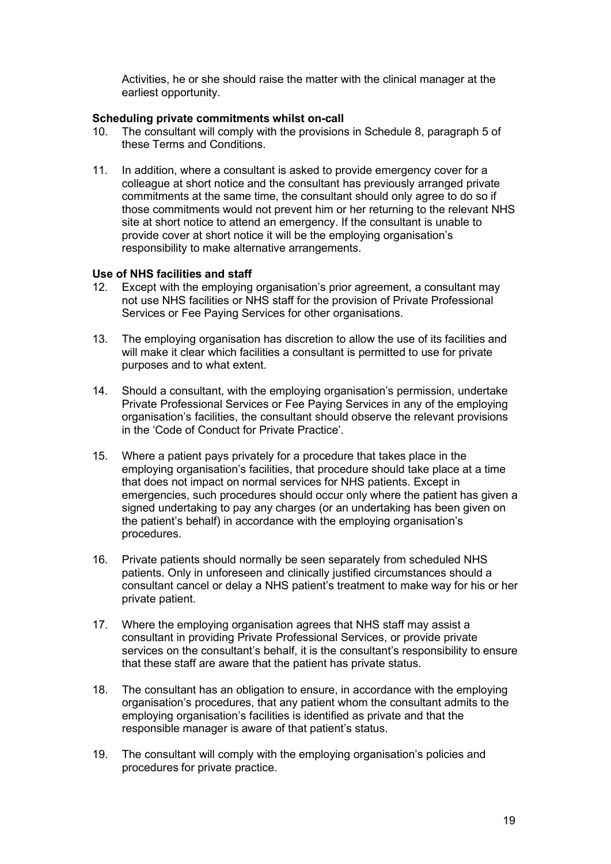Activities, he or she should raise the matter with the clinical manager at the earliest opportunity.

## **Scheduling private commitments whilst on-call**<br>10. The consultant will comply with the provisions

- <span id="page-18-0"></span>The consultant will comply with the provisions in Schedule 8, paragraph [5 o](#page-16-1)f these Terms and Conditions.
- <span id="page-18-1"></span>11. In addition, where a consultant is asked to provide emergency cover for a colleague at short notice and the consultant has previously arranged private commitments at the same time, the consultant should only agree to do so if those commitments would not prevent him or her returning to the relevant NHS site at short notice to attend an emergency. If the consultant is unable to provide cover at short notice it will be the employing organisation's responsibility to make alternative arrangements.

#### **Use of NHS facilities and staff**

- 12. Except with the employing organisation's prior agreement, a consultant may not use NHS facilities or NHS staff for the provision of Private Professional Services or Fee Paying Services for other organisations.
- 13. The employing organisation has discretion to allow the use of its facilities and will make it clear which facilities a consultant is permitted to use for private purposes and to what extent.
- 14. Should a consultant, with the employing organisation's permission, undertake Private Professional Services or Fee Paying Services in any of the employing organisation's facilities, the consultant should observe the relevant provisions in the 'Code of Conduct for Private Practice'.
- 15. Where a patient pays privately for a procedure that takes place in the employing organisation's facilities, that procedure should take place at a time that does not impact on normal services for NHS patients. Except in emergencies, such procedures should occur only where the patient has given a signed undertaking to pay any charges (or an undertaking has been given on the patient's behalf) in accordance with the employing organisation's procedures.
- 16. Private patients should normally be seen separately from scheduled NHS patients. Only in unforeseen and clinically justified circumstances should a consultant cancel or delay a NHS patient's treatment to make way for his or her private patient.
- 17. Where the employing organisation agrees that NHS staff may assist a consultant in providing Private Professional Services, or provide private services on the consultant's behalf, it is the consultant's responsibility to ensure that these staff are aware that the patient has private status.
- 18. The consultant has an obligation to ensure, in accordance with the employing organisation's procedures, that any patient whom the consultant admits to the employing organisation's facilities is identified as private and that the responsible manager is aware of that patient's status.
- 19. The consultant will comply with the employing organisation's policies and procedures for private practice.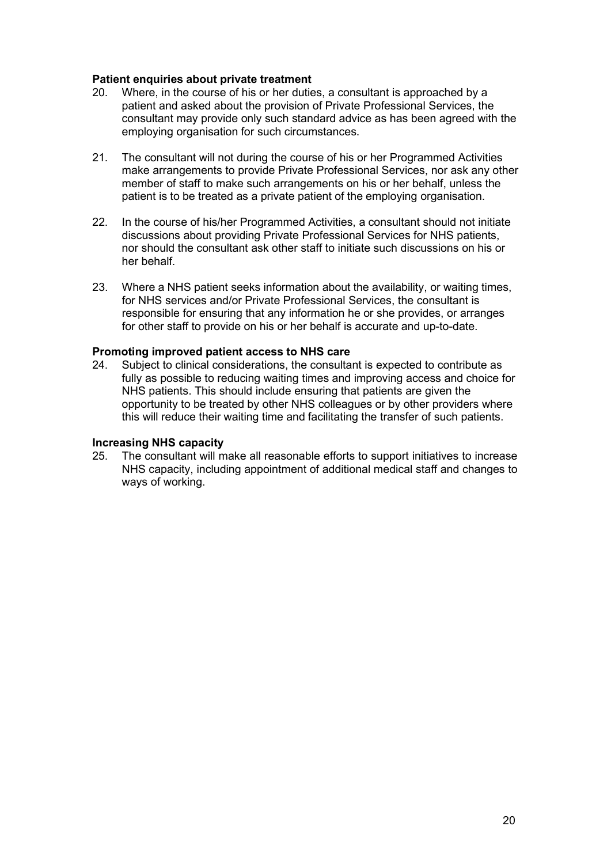# **Patient enquiries about private treatment** 20. Where, in the course of his or her dutie

- Where, in the course of his or her duties, a consultant is approached by a patient and asked about the provision of Private Professional Services, the consultant may provide only such standard advice as has been agreed with the employing organisation for such circumstances.
- 21. The consultant will not during the course of his or her Programmed Activities make arrangements to provide Private Professional Services, nor ask any other member of staff to make such arrangements on his or her behalf, unless the patient is to be treated as a private patient of the employing organisation.
- 22. In the course of his/her Programmed Activities, a consultant should not initiate discussions about providing Private Professional Services for NHS patients, nor should the consultant ask other staff to initiate such discussions on his or her behalf.
- 23. Where a NHS patient seeks information about the availability, or waiting times, for NHS services and/or Private Professional Services, the consultant is responsible for ensuring that any information he or she provides, or arranges for other staff to provide on his or her behalf is accurate and up-to-date.

#### **Promoting improved patient access to NHS care**

24. Subject to clinical considerations, the consultant is expected to contribute as fully as possible to reducing waiting times and improving access and choice for NHS patients. This should include ensuring that patients are given the opportunity to be treated by other NHS colleagues or by other providers where this will reduce their waiting time and facilitating the transfer of such patients.

## **Increasing NHS capacity**

The consultant will make all reasonable efforts to support initiatives to increase NHS capacity, including appointment of additional medical staff and changes to ways of working.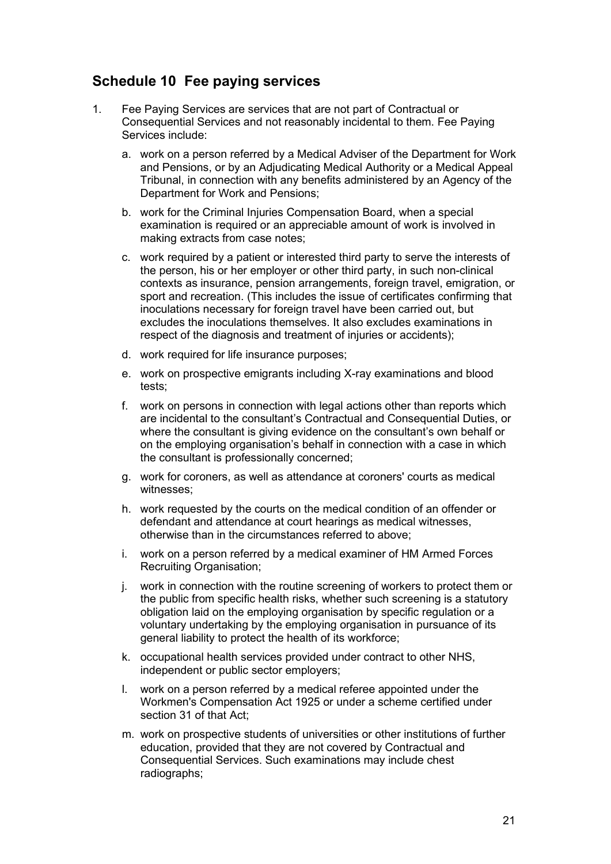## <span id="page-20-0"></span>**Schedule 10 Fee paying services**

- 1. Fee Paying Services are services that are not part of Contractual or Consequential Services and not reasonably incidental to them. Fee Paying Services include:
	- a. work on a person referred by a Medical Adviser of the Department for Work and Pensions, or by an Adjudicating Medical Authority or a Medical Appeal Tribunal, in connection with any benefits administered by an Agency of the Department for Work and Pensions;
	- b. work for the Criminal Injuries Compensation Board, when a special examination is required or an appreciable amount of work is involved in making extracts from case notes;
	- c. work required by a patient or interested third party to serve the interests of the person, his or her employer or other third party, in such non-clinical contexts as insurance, pension arrangements, foreign travel, emigration, or sport and recreation. (This includes the issue of certificates confirming that inoculations necessary for foreign travel have been carried out, but excludes the inoculations themselves. It also excludes examinations in respect of the diagnosis and treatment of injuries or accidents);
	- d. work required for life insurance purposes;
	- e. work on prospective emigrants including X-ray examinations and blood tests;
	- f. work on persons in connection with legal actions other than reports which are incidental to the consultant's Contractual and Consequential Duties, or where the consultant is giving evidence on the consultant's own behalf or on the employing organisation's behalf in connection with a case in which the consultant is professionally concerned;
	- g. work for coroners, as well as attendance at coroners' courts as medical witnesses;
	- h. work requested by the courts on the medical condition of an offender or defendant and attendance at court hearings as medical witnesses, otherwise than in the circumstances referred to above;
	- i. work on a person referred by a medical examiner of HM Armed Forces Recruiting Organisation;
	- j. work in connection with the routine screening of workers to protect them or the public from specific health risks, whether such screening is a statutory obligation laid on the employing organisation by specific regulation or a voluntary undertaking by the employing organisation in pursuance of its general liability to protect the health of its workforce;
	- k. occupational health services provided under contract to other NHS, independent or public sector employers;
	- l. work on a person referred by a medical referee appointed under the Workmen's Compensation Act 1925 or under a scheme certified under section 31 of that Act;
	- m. work on prospective students of universities or other institutions of further education, provided that they are not covered by Contractual and Consequential Services. Such examinations may include chest radiographs;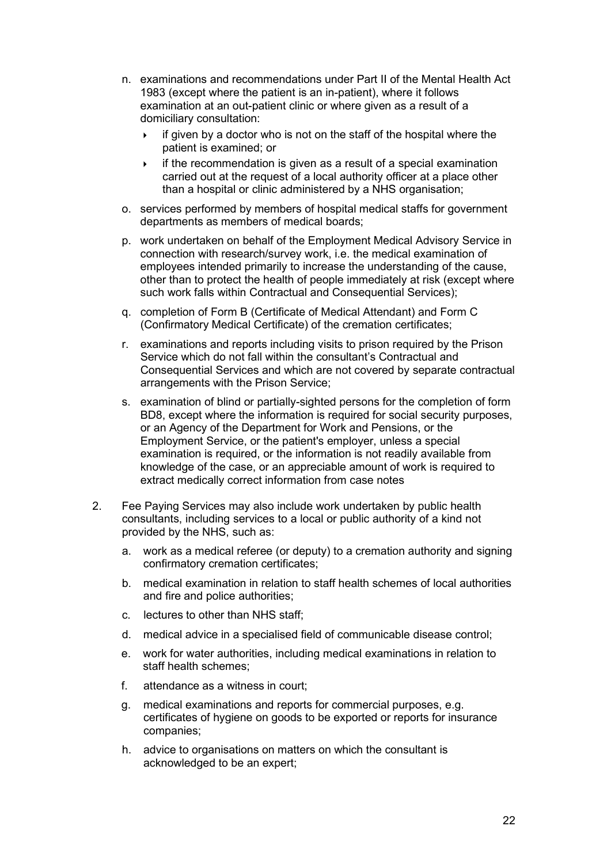- n. examinations and recommendations under Part II of the Mental Health Act 1983 (except where the patient is an in-patient), where it follows examination at an out-patient clinic or where given as a result of a domiciliary consultation:
	- $\rightarrow$  if given by a doctor who is not on the staff of the hospital where the patient is examined; or
	- $\rightarrow$  if the recommendation is given as a result of a special examination carried out at the request of a local authority officer at a place other than a hospital or clinic administered by a NHS organisation;
- o. services performed by members of hospital medical staffs for government departments as members of medical boards;
- p. work undertaken on behalf of the Employment Medical Advisory Service in connection with research/survey work, i.e. the medical examination of employees intended primarily to increase the understanding of the cause, other than to protect the health of people immediately at risk (except where such work falls within Contractual and Consequential Services);
- q. completion of Form B (Certificate of Medical Attendant) and Form C (Confirmatory Medical Certificate) of the cremation certificates;
- r. examinations and reports including visits to prison required by the Prison Service which do not fall within the consultant's Contractual and Consequential Services and which are not covered by separate contractual arrangements with the Prison Service;
- s. examination of blind or partially-sighted persons for the completion of form BD8, except where the information is required for social security purposes, or an Agency of the Department for Work and Pensions, or the Employment Service, or the patient's employer, unless a special examination is required, or the information is not readily available from knowledge of the case, or an appreciable amount of work is required to extract medically correct information from case notes
- 2. Fee Paying Services may also include work undertaken by public health consultants, including services to a local or public authority of a kind not provided by the NHS, such as:
	- a. work as a medical referee (or deputy) to a cremation authority and signing confirmatory cremation certificates;
	- b. medical examination in relation to staff health schemes of local authorities and fire and police authorities;
	- c. lectures to other than NHS staff;
	- d. medical advice in a specialised field of communicable disease control;
	- e. work for water authorities, including medical examinations in relation to staff health schemes;
	- f. attendance as a witness in court;
	- g. medical examinations and reports for commercial purposes, e.g. certificates of hygiene on goods to be exported or reports for insurance companies;
	- h. advice to organisations on matters on which the consultant is acknowledged to be an expert;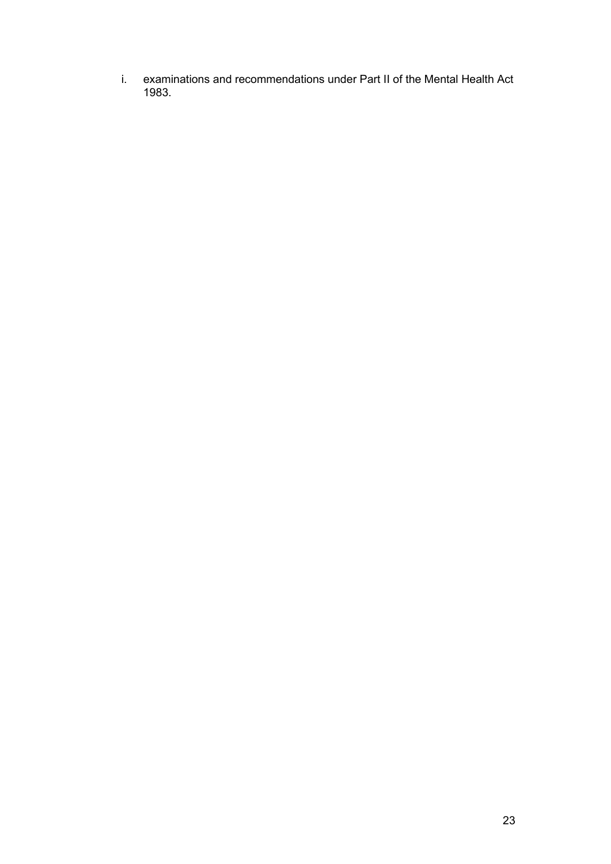i. examinations and recommendations under Part II of the Mental Health Act 1983.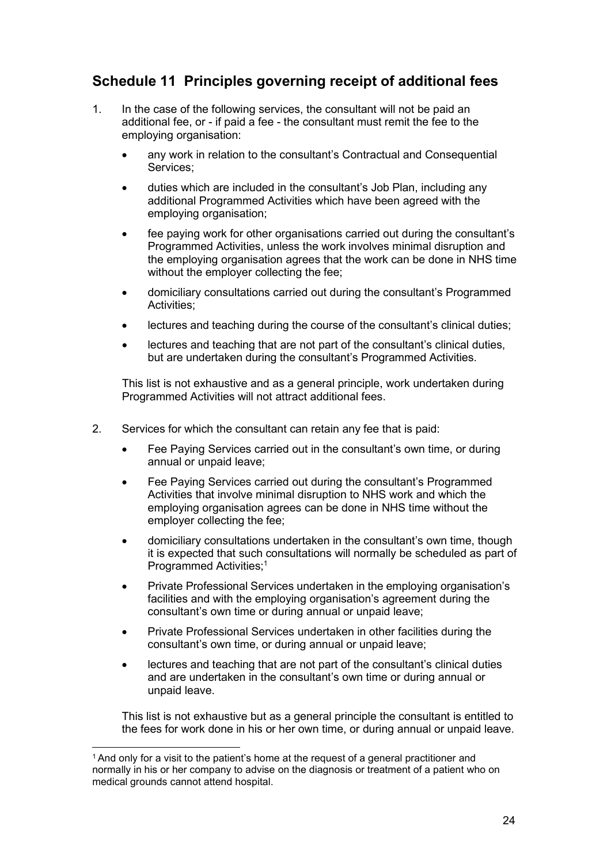## <span id="page-23-0"></span>**Schedule 11 Principles governing receipt of additional fees**

- 1. In the case of the following services, the consultant will not be paid an additional fee, or - if paid a fee - the consultant must remit the fee to the employing organisation:
	- any work in relation to the consultant's Contractual and Consequential Services;
	- duties which are included in the consultant's Job Plan, including any additional Programmed Activities which have been agreed with the employing organisation;
	- fee paying work for other organisations carried out during the consultant's Programmed Activities, unless the work involves minimal disruption and the employing organisation agrees that the work can be done in NHS time without the employer collecting the fee;
	- domiciliary consultations carried out during the consultant's Programmed Activities;
	- lectures and teaching during the course of the consultant's clinical duties;
	- lectures and teaching that are not part of the consultant's clinical duties, but are undertaken during the consultant's Programmed Activities.

This list is not exhaustive and as a general principle, work undertaken during Programmed Activities will not attract additional fees.

- 2. Services for which the consultant can retain any fee that is paid:
	- Fee Paying Services carried out in the consultant's own time, or during annual or unpaid leave;
	- Fee Paying Services carried out during the consultant's Programmed Activities that involve minimal disruption to NHS work and which the employing organisation agrees can be done in NHS time without the employer collecting the fee;
	- domiciliary consultations undertaken in the consultant's own time, though it is expected that such consultations will normally be scheduled as part of Programmed Activities;<sup>1</sup>
	- Private Professional Services undertaken in the employing organisation's facilities and with the employing organisation's agreement during the consultant's own time or during annual or unpaid leave;
	- Private Professional Services undertaken in other facilities during the consultant's own time, or during annual or unpaid leave;
	- lectures and teaching that are not part of the consultant's clinical duties and are undertaken in the consultant's own time or during annual or unpaid leave.

This list is not exhaustive but as a general principle the consultant is entitled to the fees for work done in his or her own time, or during annual or unpaid leave.

<sup>1</sup> And only for a visit to the patient's home at the request of a general practitioner and normally in his or her company to advise on the diagnosis or treatment of a patient who on medical grounds cannot attend hospital.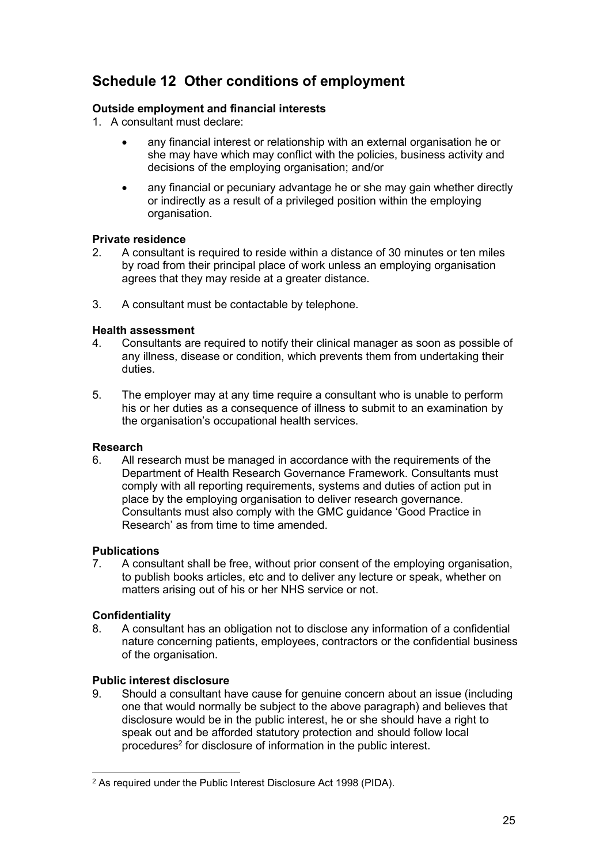## <span id="page-24-0"></span>**Schedule 12 Other conditions of employment**

### **Outside employment and financial interests**

- 1. A consultant must declare:
	- any financial interest or relationship with an external organisation he or she may have which may conflict with the policies, business activity and decisions of the employing organisation; and/or
	- any financial or pecuniary advantage he or she may gain whether directly or indirectly as a result of a privileged position within the employing organisation.

### **Private residence**

- 2. A consultant is required to reside within a distance of 30 minutes or ten miles by road from their principal place of work unless an employing organisation agrees that they may reside at a greater distance.
- 3. A consultant must be contactable by telephone.

### **Health assessment**

- 4. Consultants are required to notify their clinical manager as soon as possible of any illness, disease or condition, which prevents them from undertaking their duties.
- 5. The employer may at any time require a consultant who is unable to perform his or her duties as a consequence of illness to submit to an examination by the organisation's occupational health services.

### **Research**

6. All research must be managed in accordance with the requirements of the Department of Health Research Governance Framework. Consultants must comply with all reporting requirements, systems and duties of action put in place by the employing organisation to deliver research governance. Consultants must also comply with the GMC guidance 'Good Practice in Research' as from time to time amended.

### **Publications**

7. A consultant shall be free, without prior consent of the employing organisation, to publish books articles, etc and to deliver any lecture or speak, whether on matters arising out of his or her NHS service or not.

### **Confidentiality**

8. A consultant has an obligation not to disclose any information of a confidential nature concerning patients, employees, contractors or the confidential business of the organisation.

### **Public interest disclosure**

9. Should a consultant have cause for genuine concern about an issue (including one that would normally be subject to the above paragraph) and believes that disclosure would be in the public interest, he or she should have a right to speak out and be afforded statutory protection and should follow local procedures<sup>2</sup> for disclosure of information in the public interest.

<sup>2</sup> As required under the Public Interest Disclosure Act 1998 (PIDA).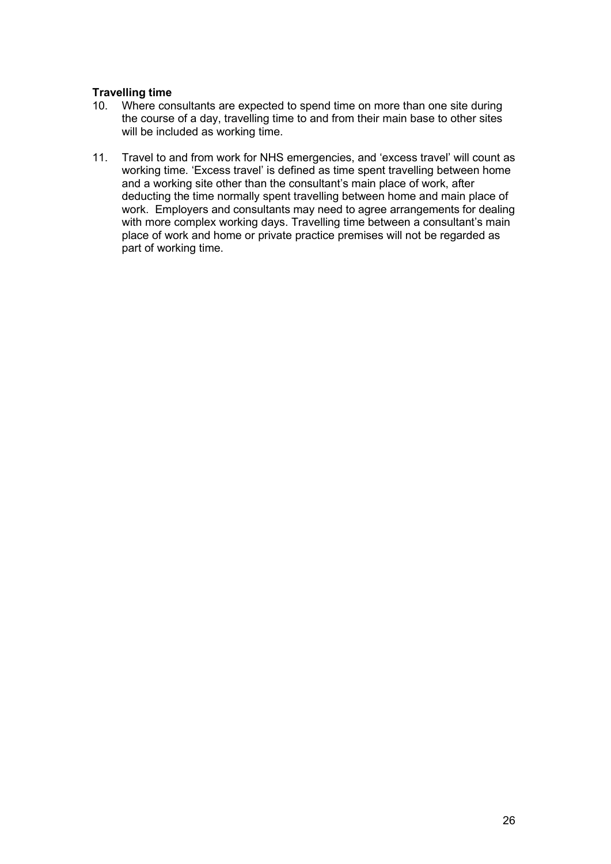### **Travelling time**

- 10. Where consultants are expected to spend time on more than one site during the course of a day, travelling time to and from their main base to other sites will be included as working time.
- 11. Travel to and from work for NHS emergencies, and 'excess travel' will count as working time. 'Excess travel' is defined as time spent travelling between home and a working site other than the consultant's main place of work, after deducting the time normally spent travelling between home and main place of work. Employers and consultants may need to agree arrangements for dealing with more complex working days. Travelling time between a consultant's main place of work and home or private practice premises will not be regarded as part of working time.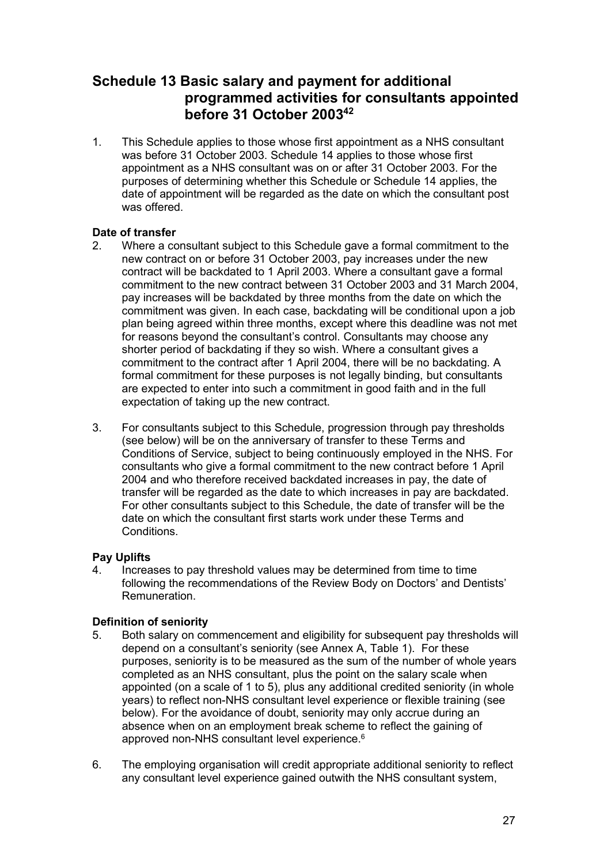### <span id="page-26-0"></span>**Schedule 13 Basic salary and payment for additional programmed activities for consultants appointed before 31 October 200342**

1. This Schedule applies to those whose first appointment as a NHS consultant was before 31 October 2003. Schedule 14 applies to those whose first appointment as a NHS consultant was on or after 31 October 2003. For the purposes of determining whether this Schedule or Schedule 14 applies, the date of appointment will be regarded as the date on which the consultant post was offered.

# **Date of transfer**<br>2. Where a co

- 2. Where a consultant subject to this Schedule gave a formal commitment to the new contract on or before 31 October 2003, pay increases under the new contract will be backdated to 1 April 2003. Where a consultant gave a formal commitment to the new contract between 31 October 2003 and 31 March 2004, pay increases will be backdated by three months from the date on which the commitment was given. In each case, backdating will be conditional upon a job plan being agreed within three months, except where this deadline was not met for reasons beyond the consultant's control. Consultants may choose any shorter period of backdating if they so wish. Where a consultant gives a commitment to the contract after 1 April 2004, there will be no backdating. A formal commitment for these purposes is not legally binding, but consultants are expected to enter into such a commitment in good faith and in the full expectation of taking up the new contract.
- 3. For consultants subject to this Schedule, progression through pay thresholds (see below) will be on the anniversary of transfer to these Terms and Conditions of Service, subject to being continuously employed in the NHS. For consultants who give a formal commitment to the new contract before 1 April 2004 and who therefore received backdated increases in pay, the date of transfer will be regarded as the date to which increases in pay are backdated. For other consultants subject to this Schedule, the date of transfer will be the date on which the consultant first starts work under these Terms and **Conditions**

### **Pay Uplifts**

4. Increases to pay threshold values may be determined from time to time following the recommendations of the Review Body on Doctors' and Dentists' Remuneration.

### **Definition of seniority**

- 5. Both salary on commencement and eligibility for subsequent pay thresholds will depend on a consultant's seniority (see Annex A, Table 1). For these purposes, seniority is to be measured as the sum of the number of whole years completed as an NHS consultant, plus the point on the salary scale when appointed (on a scale of 1 to 5), plus any additional credited seniority (in whole years) to reflect non-NHS consultant level experience or flexible training (see below). For the avoidance of doubt, seniority may only accrue during an absence when on an employment break scheme to reflect the gaining of approved non-NHS consultant level experience.<sup>6</sup>
- 6. The employing organisation will credit appropriate additional seniority to reflect any consultant level experience gained outwith the NHS consultant system,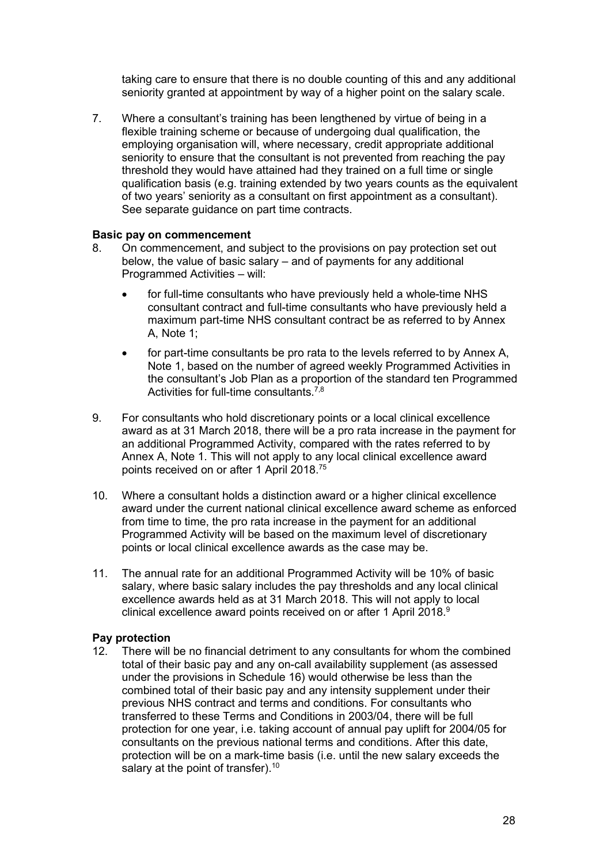taking care to ensure that there is no double counting of this and any additional seniority granted at appointment by way of a higher point on the salary scale.

7. Where a consultant's training has been lengthened by virtue of being in a flexible training scheme or because of undergoing dual qualification, the employing organisation will, where necessary, credit appropriate additional seniority to ensure that the consultant is not prevented from reaching the pay threshold they would have attained had they trained on a full time or single qualification basis (e.g. training extended by two years counts as the equivalent of two years' seniority as a consultant on first appointment as a consultant). See separate guidance on part time contracts.

#### **Basic pay on commencement**

- 8. On commencement, and subject to the provisions on pay protection set out below, the value of basic salary – and of payments for any additional Programmed Activities – will:
	- for full-time consultants who have previously held a whole-time NHS consultant contract and full-time consultants who have previously held a maximum part-time NHS consultant contract be as referred to by Annex A, Note 1;
	- for part-time consultants be pro rata to the levels referred to by Annex A, Note 1, based on the number of agreed weekly Programmed Activities in the consultant's Job Plan as a proportion of the standard ten Programmed Activities for full-time consultants.<sup>7,8</sup>
- 9. For consultants who hold discretionary points or a local clinical excellence award as at 31 March 2018, there will be a pro rata increase in the payment for an additional Programmed Activity, compared with the rates referred to by Annex A, Note 1. This will not apply to any local clinical excellence award points received on or after 1 April 2018.75
- 10. Where a consultant holds a distinction award or a higher clinical excellence award under the current national clinical excellence award scheme as enforced from time to time, the pro rata increase in the payment for an additional Programmed Activity will be based on the maximum level of discretionary points or local clinical excellence awards as the case may be.
- 11. The annual rate for an additional Programmed Activity will be 10% of basic salary, where basic salary includes the pay thresholds and any local clinical excellence awards held as at 31 March 2018. This will not apply to local clinical excellence award points received on or after 1 April 2018.<sup>9</sup>

### **Pay protection**

12. There will be no financial detriment to any consultants for whom the combined total of their basic pay and any on-call availability supplement (as assessed under the provisions in Schedule 16) would otherwise be less than the combined total of their basic pay and any intensity supplement under their previous NHS contract and terms and conditions. For consultants who transferred to these Terms and Conditions in 2003/04, there will be full protection for one year, i.e. taking account of annual pay uplift for 2004/05 for consultants on the previous national terms and conditions. After this date, protection will be on a mark-time basis (i.e. until the new salary exceeds the salary at the point of transfer).<sup>10</sup>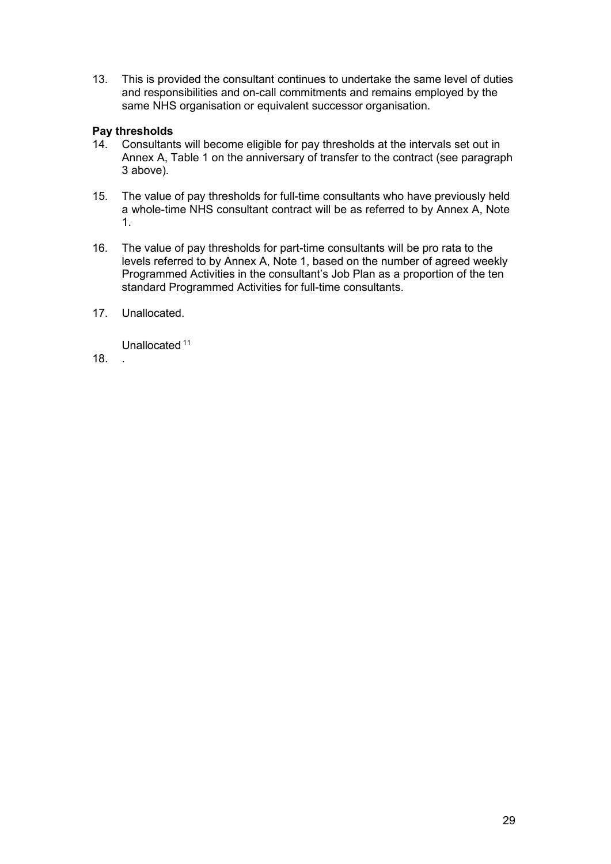13. This is provided the consultant continues to undertake the same level of duties and responsibilities and on-call commitments and remains employed by the same NHS organisation or equivalent successor organisation.

# **Pay thresholds**

- Consultants will become eligible for pay thresholds at the intervals set out in Annex A, Table 1 on the anniversary of transfer to the contract (see paragraph 3 above).
- 15. The value of pay thresholds for full-time consultants who have previously held a whole-time NHS consultant contract will be as referred to by Annex A, Note 1.
- 16. The value of pay thresholds for part-time consultants will be pro rata to the levels referred to by Annex A, Note 1, based on the number of agreed weekly Programmed Activities in the consultant's Job Plan as a proportion of the ten standard Programmed Activities for full-time consultants.
- 17. Unallocated.

Unallocated<sup>11</sup>

18. .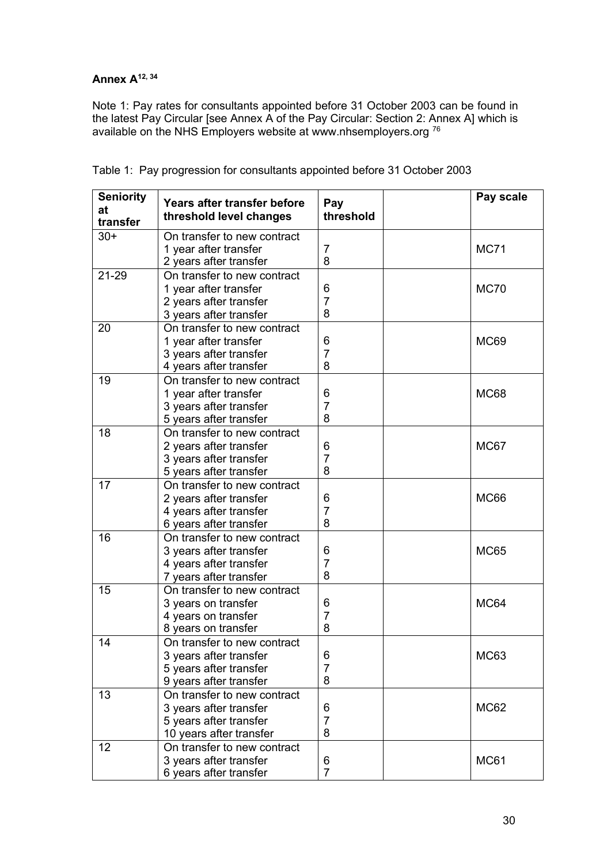## **Annex A12, <sup>34</sup>**

Note 1: Pay rates for consultants appointed before 31 October 2003 can be found in the latest Pay Circular [see Annex A of the Pay Circular: Section 2: Annex A] which is available on the NHS Employers website at [www.nhsemployers.org](http://www.nhsemployers.org/) <sup>76</sup>

| <b>Seniority</b><br>at | Years after transfer before<br>threshold level changes | Pay<br>threshold | Pay scale   |
|------------------------|--------------------------------------------------------|------------------|-------------|
| transfer               |                                                        |                  |             |
| $30+$                  | On transfer to new contract                            |                  | <b>MC71</b> |
|                        | 1 year after transfer<br>2 years after transfer        | 7<br>8           |             |
| 21-29                  | On transfer to new contract                            |                  |             |
|                        | 1 year after transfer                                  | 6                | <b>MC70</b> |
|                        | 2 years after transfer                                 | 7                |             |
|                        | 3 years after transfer                                 | 8                |             |
| 20                     | On transfer to new contract                            |                  |             |
|                        | 1 year after transfer                                  | 6                | <b>MC69</b> |
|                        | 3 years after transfer                                 | 7                |             |
|                        | 4 years after transfer                                 | 8                |             |
| 19                     | On transfer to new contract                            |                  |             |
|                        | 1 year after transfer                                  | 6                | <b>MC68</b> |
|                        | 3 years after transfer                                 | 7                |             |
|                        | 5 years after transfer                                 | 8                |             |
| 18                     | On transfer to new contract                            |                  |             |
|                        | 2 years after transfer                                 | 6                | MC67        |
|                        | 3 years after transfer                                 | 7                |             |
|                        | 5 years after transfer                                 | 8                |             |
| 17                     | On transfer to new contract                            |                  |             |
|                        | 2 years after transfer                                 | 6                | <b>MC66</b> |
|                        | 4 years after transfer                                 | 7                |             |
|                        | 6 years after transfer                                 | 8                |             |
| 16                     | On transfer to new contract                            |                  |             |
|                        | 3 years after transfer                                 | 6                | <b>MC65</b> |
|                        | 4 years after transfer                                 | 7                |             |
|                        | 7 years after transfer                                 | 8                |             |
| 15                     | On transfer to new contract                            |                  |             |
|                        | 3 years on transfer                                    | 6                | MC64        |
|                        | 4 years on transfer                                    | 7                |             |
|                        | 8 years on transfer                                    | 8                |             |
| 14                     | On transfer to new contract                            |                  |             |
|                        | 3 years after transfer                                 | 6                | <b>MC63</b> |
|                        | 5 years after transfer                                 | 7<br>8           |             |
|                        | 9 years after transfer<br>On transfer to new contract  |                  |             |
| 13                     |                                                        |                  |             |
|                        | 3 years after transfer<br>5 years after transfer       | 6<br>7           | <b>MC62</b> |
|                        | 10 years after transfer                                | 8                |             |
| 12                     | On transfer to new contract                            |                  |             |
|                        | 3 years after transfer                                 | 6                | <b>MC61</b> |
|                        | 6 years after transfer                                 | $\overline{7}$   |             |

Table 1: Pay progression for consultants appointed before 31 October 2003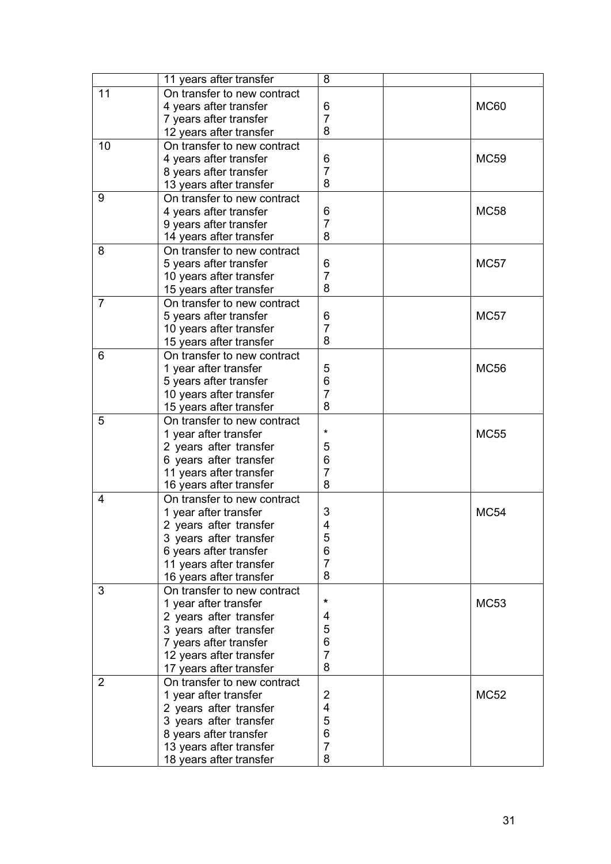|                | 11 years after transfer     | 8              |             |
|----------------|-----------------------------|----------------|-------------|
| 11             | On transfer to new contract |                |             |
|                | 4 years after transfer      | 6              | <b>MC60</b> |
|                | 7 years after transfer      | 7              |             |
|                | 12 years after transfer     | 8              |             |
| 10             | On transfer to new contract |                |             |
|                | 4 years after transfer      | 6              | <b>MC59</b> |
|                | 8 years after transfer      | $\overline{7}$ |             |
|                | 13 years after transfer     | 8              |             |
| 9              | On transfer to new contract |                |             |
|                | 4 years after transfer      | 6              | <b>MC58</b> |
|                | 9 years after transfer      | $\overline{7}$ |             |
|                | 14 years after transfer     | 8              |             |
| 8              | On transfer to new contract |                |             |
|                | 5 years after transfer      | 6              | <b>MC57</b> |
|                | 10 years after transfer     | $\overline{7}$ |             |
|                | 15 years after transfer     | 8              |             |
| 7              | On transfer to new contract |                |             |
|                | 5 years after transfer      | 6              | <b>MC57</b> |
|                | 10 years after transfer     | $\overline{7}$ |             |
|                | 15 years after transfer     | 8              |             |
| 6              | On transfer to new contract |                |             |
|                | 1 year after transfer       | 5              | <b>MC56</b> |
|                | 5 years after transfer      | 6              |             |
|                | 10 years after transfer     | 7              |             |
|                | 15 years after transfer     | 8              |             |
| 5              | On transfer to new contract |                |             |
|                | 1 year after transfer       | $\star$        | <b>MC55</b> |
|                | 2 years after transfer      | 5              |             |
|                | 6 years after transfer      | 6              |             |
|                | 11 years after transfer     | $\overline{7}$ |             |
|                | 16 years after transfer     | 8              |             |
| 4              | On transfer to new contract |                |             |
|                | 1 year after transfer       | 3              | <b>MC54</b> |
|                | 2 years after transfer      | 4              |             |
|                | 3 years after transfer      | 5              |             |
|                | 6 years after transfer      | 6              |             |
|                | 11 years after transfer     | $\overline{7}$ |             |
|                | 16 years after transfer     | 8              |             |
| 3              | On transfer to new contract |                |             |
|                | 1 year after transfer       | *              | MC53        |
|                | 2 years after transfer      | 4              |             |
|                | 3 years after transfer      | 5              |             |
|                | 7 years after transfer      | 6              |             |
|                | 12 years after transfer     | $\overline{7}$ |             |
|                | 17 years after transfer     | 8              |             |
| $\overline{2}$ | On transfer to new contract |                |             |
|                | 1 year after transfer       | 2              | MC52        |
|                | 2 years after transfer      | 4              |             |
|                | 3 years after transfer      | 5              |             |
|                | 8 years after transfer      | 6              |             |
|                | 13 years after transfer     | $\overline{7}$ |             |
|                | 18 years after transfer     | 8              |             |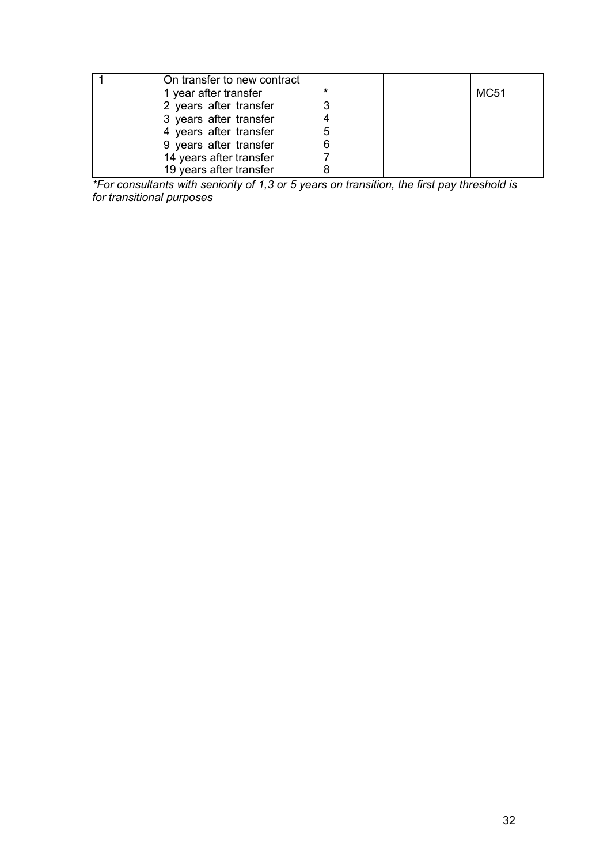| On transfer to new contract |   |             |
|-----------------------------|---|-------------|
| 1 year after transfer       | ÷ | <b>MC51</b> |
| 2 years after transfer      |   |             |
| 3 years after transfer      |   |             |
| 4 years after transfer      |   |             |
| 9 years after transfer      |   |             |
| 14 years after transfer     |   |             |
| 19 years after transfer     |   |             |

*\*For consultants with seniority of 1,3 or 5 years on transition, the first pay threshold is for transitional purposes*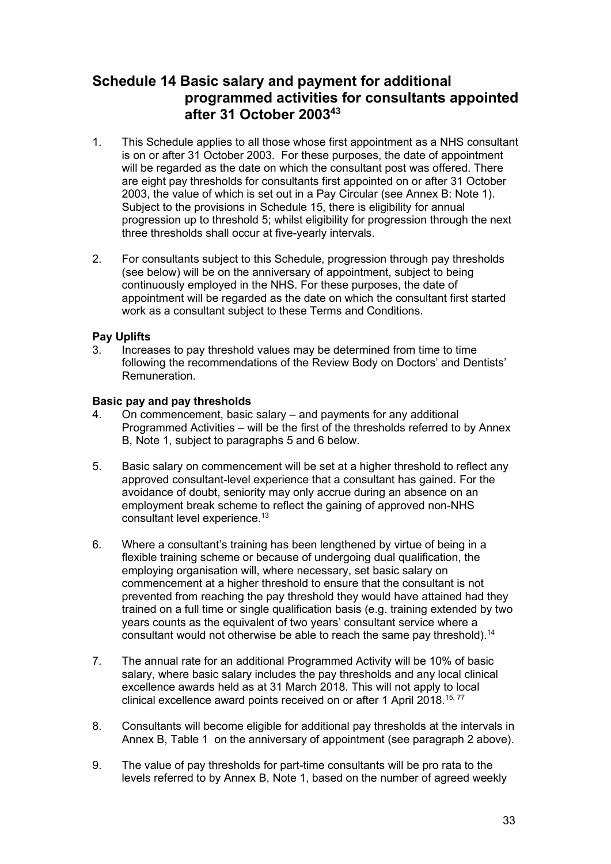### <span id="page-32-0"></span>**Schedule 14 Basic salary and payment for additional programmed activities for consultants appointed after 31 October 200343**

- 1. This Schedule applies to all those whose first appointment as a NHS consultant is on or after 31 October 2003. For these purposes, the date of appointment will be regarded as the date on which the consultant post was offered. There are eight pay thresholds for consultants first appointed on or after 31 October 2003, the value of which is set out in a Pay Circular (see Annex B: Note 1). Subject to the provisions in Schedule 15, there is eligibility for annual progression up to threshold 5; whilst eligibility for progression through the next three thresholds shall occur at five-yearly intervals.
- <span id="page-32-3"></span>2. For consultants subject to this Schedule, progression through pay thresholds (see below) will be on the anniversary of appointment, subject to being continuously employed in the NHS. For these purposes, the date of appointment will be regarded as the date on which the consultant first started work as a consultant subject to these Terms and Conditions.

### **Pay Uplifts**

3. Increases to pay threshold values may be determined from time to time following the recommendations of the Review Body on Doctors' and Dentists' Remuneration.

### **Basic pay and pay thresholds**

- 4. On commencement, basic salary and payments for any additional Programmed Activities – will be the first of the thresholds referred to by Annex B, Note 1, subject to paragraphs [5](#page-32-1) and [6](#page-32-2) below.
- <span id="page-32-1"></span>5. Basic salary on commencement will be set at a higher threshold to reflect any approved consultant-level experience that a consultant has gained. For the avoidance of doubt, seniority may only accrue during an absence on an employment break scheme to reflect the gaining of approved non-NHS consultant level experience.13
- <span id="page-32-2"></span>6. Where a consultant's training has been lengthened by virtue of being in a flexible training scheme or because of undergoing dual qualification, the employing organisation will, where necessary, set basic salary on commencement at a higher threshold to ensure that the consultant is not prevented from reaching the pay threshold they would have attained had they trained on a full time or single qualification basis (e.g. training extended by two years counts as the equivalent of two years' consultant service where a consultant would not otherwise be able to reach the same pay threshold).<sup>14</sup>
- 7. The annual rate for an additional Programmed Activity will be 10% of basic salary, where basic salary includes the pay thresholds and any local clinical excellence awards held as at 31 March 2018. This will not apply to local clinical excellence award points received on or after 1 April 2018.<sup>15, 77</sup>
- 8. Consultants will become eligible for additional pay thresholds at the intervals in Annex B, Table 1 on the anniversary of appointment (see paragraph [2](#page-32-3) above).
- 9. The value of pay thresholds for part-time consultants will be pro rata to the levels referred to by Annex B, Note 1, based on the number of agreed weekly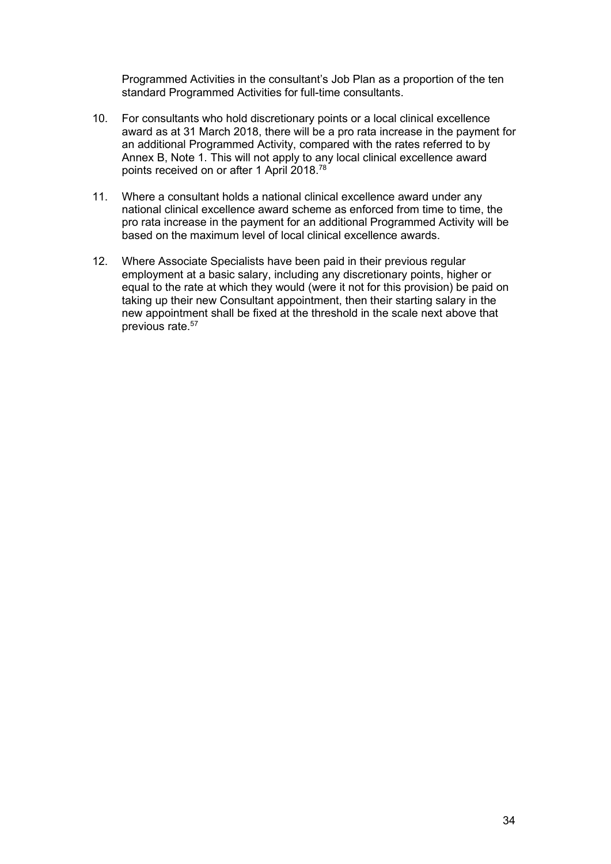Programmed Activities in the consultant's Job Plan as a proportion of the ten standard Programmed Activities for full-time consultants.

- 10. For consultants who hold discretionary points or a local clinical excellence award as at 31 March 2018, there will be a pro rata increase in the payment for an additional Programmed Activity, compared with the rates referred to by Annex B, Note 1. This will not apply to any local clinical excellence award points received on or after 1 April 2018.78
- 11. Where a consultant holds a national clinical excellence award under any national clinical excellence award scheme as enforced from time to time, the pro rata increase in the payment for an additional Programmed Activity will be based on the maximum level of local clinical excellence awards.
- 12. Where Associate Specialists have been paid in their previous regular employment at a basic salary, including any discretionary points, higher or equal to the rate at which they would (were it not for this provision) be paid on taking up their new Consultant appointment, then their starting salary in the new appointment shall be fixed at the threshold in the scale next above that previous rate.57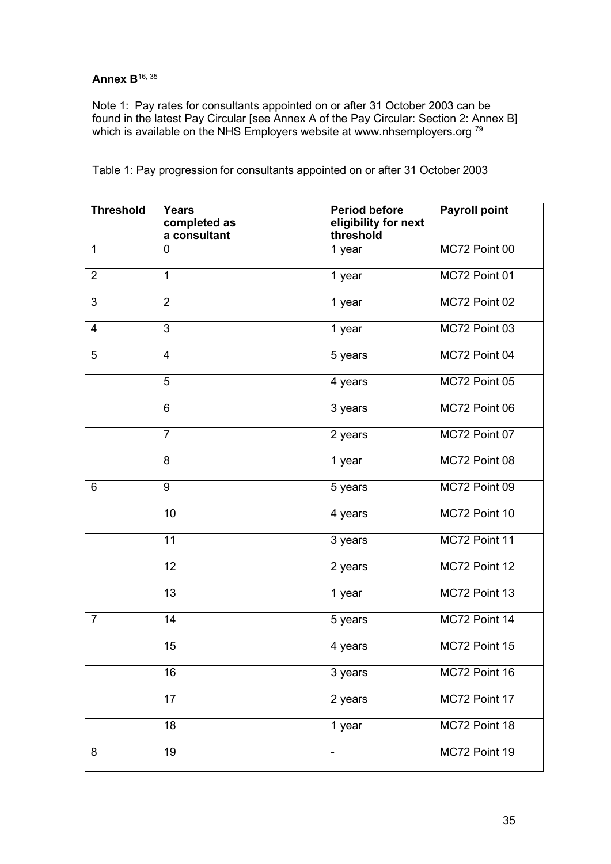## **Annex B**16, <sup>35</sup>

Note 1: Pay rates for consultants appointed on or after 31 October 2003 can be found in the latest Pay Circular [see Annex A of the Pay Circular: Section 2: Annex B] which is available on the NHS Employers website at [www.nhsemployers.org](http://www.nhsemployers.org/)<sup>79</sup>

| <b>Threshold</b> | <b>Years</b><br>completed as | <b>Period before</b><br>eligibility for next | <b>Payroll point</b> |  |
|------------------|------------------------------|----------------------------------------------|----------------------|--|
|                  | a consultant                 | threshold                                    |                      |  |
| $\mathbf{1}$     | 0                            | 1 year                                       | MC72 Point 00        |  |
| $\overline{2}$   | $\mathbf{1}$                 | 1 year                                       | MC72 Point 01        |  |
| 3                | $\overline{2}$               | 1 year                                       | MC72 Point 02        |  |
| $\overline{4}$   | 3                            | 1 year                                       | MC72 Point 03        |  |
| 5                | $\overline{4}$               | 5 years                                      | MC72 Point 04        |  |
|                  | 5                            | 4 years                                      | MC72 Point 05        |  |
|                  | $6\phantom{1}6$              | 3 years                                      | MC72 Point 06        |  |
|                  | $\overline{7}$               | 2 years                                      | MC72 Point 07        |  |
|                  | 8                            | 1 year                                       | MC72 Point 08        |  |
| 6                | 9                            | 5 years                                      | MC72 Point 09        |  |
|                  | 10                           | 4 years                                      | MC72 Point 10        |  |
|                  | 11                           | 3 years                                      | MC72 Point 11        |  |
|                  | 12                           | 2 years                                      | MC72 Point 12        |  |
|                  | 13                           | 1 year                                       | MC72 Point 13        |  |
| $\overline{7}$   | 14                           | 5 years                                      | MC72 Point 14        |  |
|                  | 15                           | 4 years                                      | MC72 Point 15        |  |
|                  | 16                           | 3 years                                      | MC72 Point 16        |  |
|                  | 17                           | 2 years                                      | MC72 Point 17        |  |
|                  | $\overline{18}$              | 1 year                                       | MC72 Point 18        |  |
| 8                | 19                           | $\overline{\phantom{0}}$                     | MC72 Point 19        |  |

Table 1: Pay progression for consultants appointed on or after 31 October 2003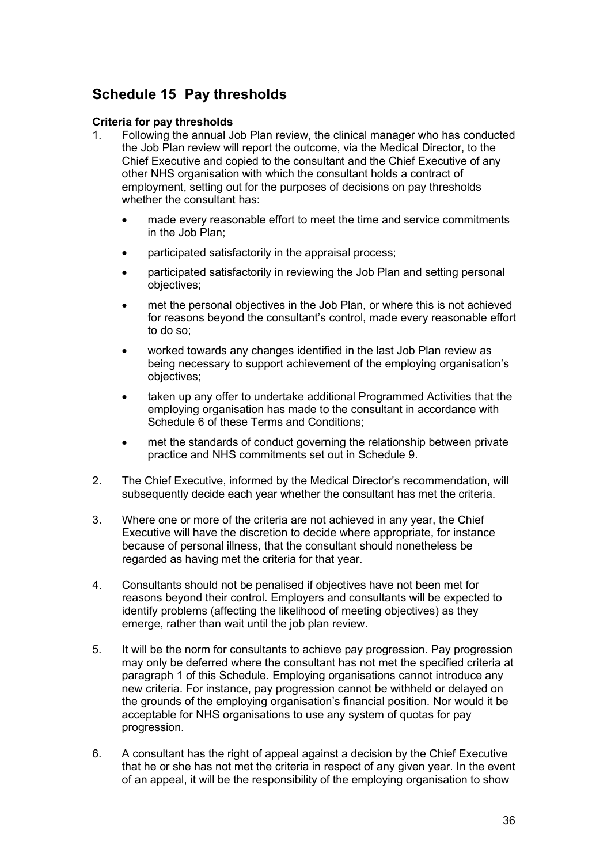## <span id="page-35-0"></span>**Schedule 15 Pay thresholds**

### **Criteria for pay thresholds**

- <span id="page-35-1"></span>1. Following the annual Job Plan review, the clinical manager who has conducted the Job Plan review will report the outcome, via the Medical Director, to the Chief Executive and copied to the consultant and the Chief Executive of any other NHS organisation with which the consultant holds a contract of employment, setting out for the purposes of decisions on pay thresholds whether the consultant has:
	- made every reasonable effort to meet the time and service commitments in the Job Plan:
	- participated satisfactorily in the appraisal process;
	- participated satisfactorily in reviewing the Job Plan and setting personal objectives;
	- met the personal objectives in the Job Plan, or where this is not achieved for reasons beyond the consultant's control, made every reasonable effort to do so;
	- worked towards any changes identified in the last Job Plan review as being necessary to support achievement of the employing organisation's objectives;
	- taken up any offer to undertake additional Programmed Activities that the employing organisation has made to the consultant in accordance with Schedule 6 of these Terms and Conditions;
	- met the standards of conduct governing the relationship between private practice and NHS commitments set out in Schedule 9.
- 2. The Chief Executive, informed by the Medical Director's recommendation, will subsequently decide each year whether the consultant has met the criteria.
- 3. Where one or more of the criteria are not achieved in any year, the Chief Executive will have the discretion to decide where appropriate, for instance because of personal illness, that the consultant should nonetheless be regarded as having met the criteria for that year.
- 4. Consultants should not be penalised if objectives have not been met for reasons beyond their control. Employers and consultants will be expected to identify problems (affecting the likelihood of meeting objectives) as they emerge, rather than wait until the job plan review.
- 5. It will be the norm for consultants to achieve pay progression. Pay progression may only be deferred where the consultant has not met the specified criteria at paragraph [1 o](#page-35-1)f this Schedule. Employing organisations cannot introduce any new criteria. For instance, pay progression cannot be withheld or delayed on the grounds of the employing organisation's financial position. Nor would it be acceptable for NHS organisations to use any system of quotas for pay progression.
- 6. A consultant has the right of appeal against a decision by the Chief Executive that he or she has not met the criteria in respect of any given year. In the event of an appeal, it will be the responsibility of the employing organisation to show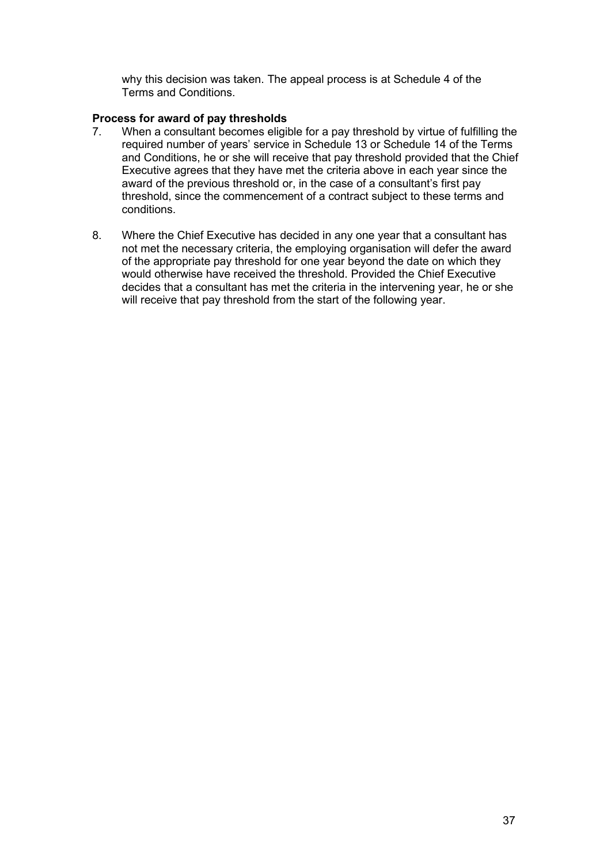why this decision was taken. The appeal process is at Schedule 4 of the Terms and Conditions.

# **Process for award of pay thresholds**

- When a consultant becomes eligible for a pay threshold by virtue of fulfilling the required number of years' service in Schedule 13 or Schedule 14 of the Terms and Conditions, he or she will receive that pay threshold provided that the Chief Executive agrees that they have met the criteria above in each year since the award of the previous threshold or, in the case of a consultant's first pay threshold, since the commencement of a contract subject to these terms and conditions.
- 8. Where the Chief Executive has decided in any one year that a consultant has not met the necessary criteria, the employing organisation will defer the award of the appropriate pay threshold for one year beyond the date on which they would otherwise have received the threshold. Provided the Chief Executive decides that a consultant has met the criteria in the intervening year, he or she will receive that pay threshold from the start of the following year.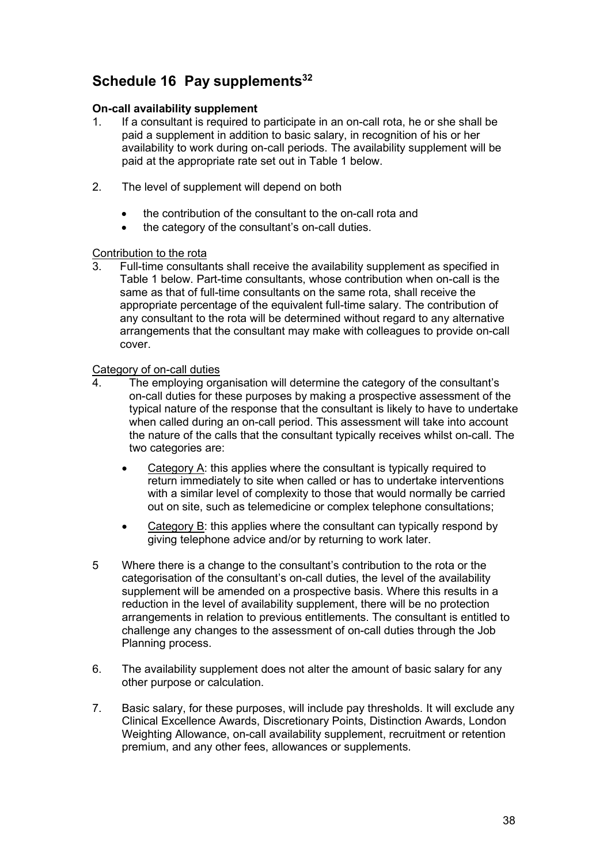# **Schedule 16 Pay supplements32**

### **On-call availability supplement**

- 1. If a consultant is required to participate in an on-call rota, he or she shall be paid a supplement in addition to basic salary, in recognition of his or her availability to work during on-call periods. The availability supplement will be paid at the appropriate rate set out in Table 1 below.
- 2. The level of supplement will depend on both
	- the contribution of the consultant to the on-call rota and
	- the category of the consultant's on-call duties.

# **Contribution to the rota**<br>3 Full-time consulta

Full-time consultants shall receive the availability supplement as specified in Table 1 below. Part-time consultants, whose contribution when on-call is the same as that of full-time consultants on the same rota, shall receive the appropriate percentage of the equivalent full-time salary. The contribution of any consultant to the rota will be determined without regard to any alternative arrangements that the consultant may make with colleagues to provide on-call cover.

### Category of on-call duties

- 4. The employing organisation will determine the category of the consultant's on-call duties for these purposes by making a prospective assessment of the typical nature of the response that the consultant is likely to have to undertake when called during an on-call period. This assessment will take into account the nature of the calls that the consultant typically receives whilst on-call. The two categories are:
	- Category A: this applies where the consultant is typically required to return immediately to site when called or has to undertake interventions with a similar level of complexity to those that would normally be carried out on site, such as telemedicine or complex telephone consultations;
	- Category B: this applies where the consultant can typically respond by giving telephone advice and/or by returning to work later.
- 5 Where there is a change to the consultant's contribution to the rota or the categorisation of the consultant's on-call duties, the level of the availability supplement will be amended on a prospective basis. Where this results in a reduction in the level of availability supplement, there will be no protection arrangements in relation to previous entitlements. The consultant is entitled to challenge any changes to the assessment of on-call duties through the Job Planning process.
- 6. The availability supplement does not alter the amount of basic salary for any other purpose or calculation.
- 7. Basic salary, for these purposes, will include pay thresholds. It will exclude any Clinical Excellence Awards, Discretionary Points, Distinction Awards, London Weighting Allowance, on-call availability supplement, recruitment or retention premium, and any other fees, allowances or supplements.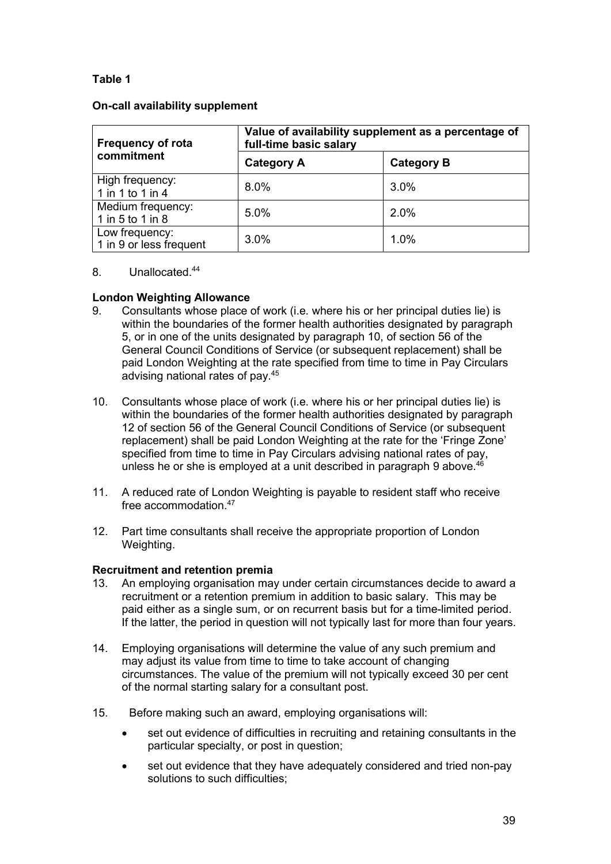## **Table 1**

#### **On-call availability supplement**

| <b>Frequency of rota</b><br>commitment    | Value of availability supplement as a percentage of<br>full-time basic salary |                   |  |
|-------------------------------------------|-------------------------------------------------------------------------------|-------------------|--|
|                                           | <b>Category A</b>                                                             | <b>Category B</b> |  |
| High frequency:<br>1 in 1 to 1 in 4       | $8.0\%$                                                                       | $3.0\%$           |  |
| Medium frequency:<br>1 in 5 to 1 in 8     | 5.0%                                                                          | $2.0\%$           |  |
| Low frequency:<br>1 in 9 or less frequent | 3.0%                                                                          | 1.0%              |  |

### 8. Unallocated.44

### **London Weighting Allowance**

- 9. Consultants whose place of work (i.e. where his or her principal duties lie) is within the boundaries of the former health authorities designated by paragraph 5, or in one of the units designated by paragraph 10, of section 56 of the General Council Conditions of Service (or subsequent replacement) shall be paid London Weighting at the rate specified from time to time in Pay Circulars advising national rates of pay.45
- 10. Consultants whose place of work (i.e. where his or her principal duties lie) is within the boundaries of the former health authorities designated by paragraph 12 of section 56 of the General Council Conditions of Service (or subsequent replacement) shall be paid London Weighting at the rate for the 'Fringe Zone' specified from time to time in Pay Circulars advising national rates of pay, unless he or she is employed at a unit described in paragraph 9 above.<sup>46</sup>
- 11. A reduced rate of London Weighting is payable to resident staff who receive free accommodation.47
- 12. Part time consultants shall receive the appropriate proportion of London Weighting.

#### **Recruitment and retention premia**

- 13. An employing organisation may under certain circumstances decide to award a recruitment or a retention premium in addition to basic salary. This may be paid either as a single sum, or on recurrent basis but for a time-limited period. If the latter, the period in question will not typically last for more than four years.
- 14. Employing organisations will determine the value of any such premium and may adjust its value from time to time to take account of changing circumstances. The value of the premium will not typically exceed 30 per cent of the normal starting salary for a consultant post.
- 15. Before making such an award, employing organisations will:
	- set out evidence of difficulties in recruiting and retaining consultants in the particular specialty, or post in question;
	- set out evidence that they have adequately considered and tried non-pay solutions to such difficulties;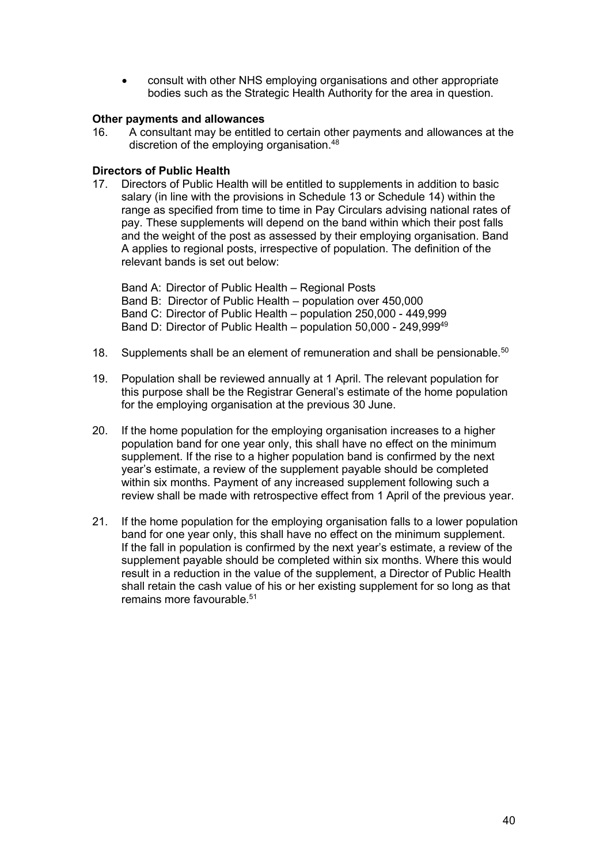• consult with other NHS employing organisations and other appropriate bodies such as the Strategic Health Authority for the area in question.

# **Other payments and allowances**<br>16. A consultant may be entitled

16. A consultant may be entitled to certain other payments and allowances at the discretion of the employing organisation.48

#### **Directors of Public Health**

17. Directors of Public Health will be entitled to supplements in addition to basic salary (in line with the provisions in Schedule 13 or Schedule 14) within the range as specified from time to time in Pay Circulars advising national rates of pay. These supplements will depend on the band within which their post falls and the weight of the post as assessed by their employing organisation. Band A applies to regional posts, irrespective of population. The definition of the relevant bands is set out below:

Band A: Director of Public Health – Regional Posts Band B: Director of Public Health – population over 450,000 Band C: Director of Public Health – population 250,000 - 449,999 Band D: Director of Public Health – population 50,000 - 249,99949

- 18. Supplements shall be an element of remuneration and shall be pensionable.<sup>50</sup>
- 19. Population shall be reviewed annually at 1 April. The relevant population for this purpose shall be the Registrar General's estimate of the home population for the employing organisation at the previous 30 June.
- 20. If the home population for the employing organisation increases to a higher population band for one year only, this shall have no effect on the minimum supplement. If the rise to a higher population band is confirmed by the next year's estimate, a review of the supplement payable should be completed within six months. Payment of any increased supplement following such a review shall be made with retrospective effect from 1 April of the previous year.
- 21. If the home population for the employing organisation falls to a lower population band for one year only, this shall have no effect on the minimum supplement. If the fall in population is confirmed by the next year's estimate, a review of the supplement payable should be completed within six months. Where this would result in a reduction in the value of the supplement, a Director of Public Health shall retain the cash value of his or her existing supplement for so long as that remains more favourable.<sup>51</sup>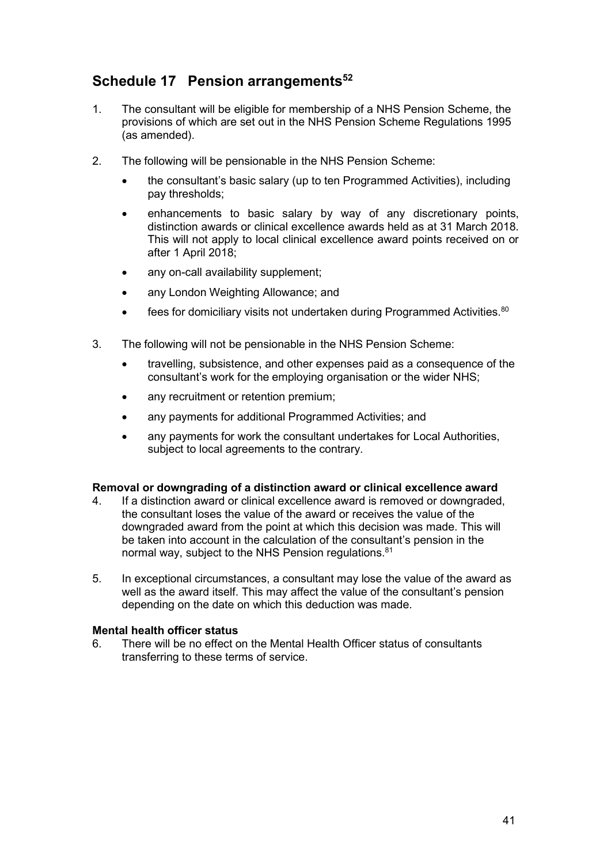# **Schedule 17 Pension arrangements52**

- 1. The consultant will be eligible for membership of a NHS Pension Scheme, the provisions of which are set out in the NHS Pension Scheme Regulations 1995 (as amended).
- 2. The following will be pensionable in the NHS Pension Scheme:
	- the consultant's basic salary (up to ten Programmed Activities), including pay thresholds;
	- enhancements to basic salary by way of any discretionary points, distinction awards or clinical excellence awards held as at 31 March 2018. This will not apply to local clinical excellence award points received on or after 1 April 2018;
	- any on-call availability supplement;
	- any London Weighting Allowance; and
	- fees for domiciliary visits not undertaken during Programmed Activities.<sup>80</sup>
- 3. The following will not be pensionable in the NHS Pension Scheme:
	- travelling, subsistence, and other expenses paid as a consequence of the consultant's work for the employing organisation or the wider NHS;
	- any recruitment or retention premium;
	- any payments for additional Programmed Activities; and
	- any payments for work the consultant undertakes for Local Authorities, subject to local agreements to the contrary.

#### **Removal or downgrading of a distinction award or clinical excellence award**

- 4. If a distinction award or clinical excellence award is removed or downgraded, the consultant loses the value of the award or receives the value of the downgraded award from the point at which this decision was made. This will be taken into account in the calculation of the consultant's pension in the normal way, subject to the NHS Pension regulations.<sup>81</sup>
- 5. In exceptional circumstances, a consultant may lose the value of the award as well as the award itself. This may affect the value of the consultant's pension depending on the date on which this deduction was made.

#### **Mental health officer status**

6. There will be no effect on the Mental Health Officer status of consultants transferring to these terms of service.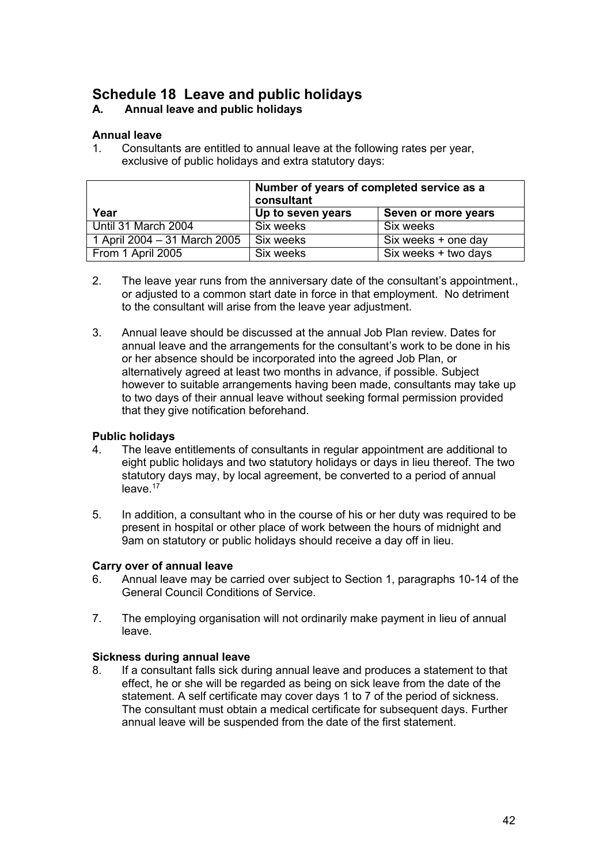# **Schedule 18 Leave and public holidays**

## **A. Annual leave and public holidays**

### **Annual leave**

1. Consultants are entitled to annual leave at the following rates per year, exclusive of public holidays and extra statutory days:

|                              | Number of years of completed service as a<br>consultant |                      |  |
|------------------------------|---------------------------------------------------------|----------------------|--|
| Year                         | Up to seven years                                       | Seven or more years  |  |
| Until 31 March 2004          | Six weeks                                               | Six weeks            |  |
| 1 April 2004 – 31 March 2005 | Six weeks                                               | Six weeks + one day  |  |
| From 1 April 2005            | Six weeks                                               | Six weeks + two days |  |

- 2. The leave year runs from the anniversary date of the consultant's appointment., or adjusted to a common start date in force in that employment. No detriment to the consultant will arise from the leave year adjustment.
- 3. Annual leave should be discussed at the annual Job Plan review. Dates for annual leave and the arrangements for the consultant's work to be done in his or her absence should be incorporated into the agreed Job Plan, or alternatively agreed at least two months in advance, if possible. Subject however to suitable arrangements having been made, consultants may take up to two days of their annual leave without seeking formal permission provided that they give notification beforehand.

#### **Public holidays**

- 4. The leave entitlements of consultants in regular appointment are additional to eight public holidays and two statutory holidays or days in lieu thereof. The two statutory days may, by local agreement, be converted to a period of annual  $leave.<sup>17</sup>$
- 5. In addition, a consultant who in the course of his or her duty was required to be present in hospital or other place of work between the hours of midnight and 9am on statutory or public holidays should receive a day off in lieu.

# **Carry over of annual leave**

- 6. Annual leave may be carried over subject to Section 1, paragraphs 10-14 of the General Council Conditions of Service.
- 7. The employing organisation will not ordinarily make payment in lieu of annual leave.

# **Sickness during annual leave**

If a consultant falls sick during annual leave and produces a statement to that effect, he or she will be regarded as being on sick leave from the date of the statement. A self certificate may cover days 1 to 7 of the period of sickness. The consultant must obtain a medical certificate for subsequent days. Further annual leave will be suspended from the date of the first statement.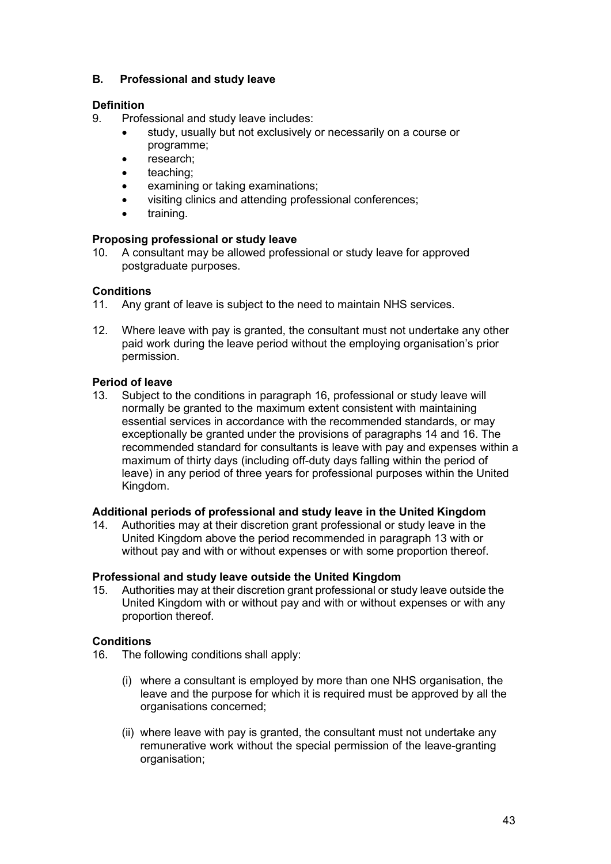## **B. Professional and study leave**

# **Definition**<br>9. Profe

- Professional and study leave includes:
	- study, usually but not exclusively or necessarily on a course or programme;
	- research:
	- teaching;
	- examining or taking examinations;
	- visiting clinics and attending professional conferences;
	- training.

#### **Proposing professional or study leave**

10. A consultant may be allowed professional or study leave for approved postgraduate purposes.

#### **Conditions**

- 11. Any grant of leave is subject to the need to maintain NHS services.
- 12. Where leave with pay is granted, the consultant must not undertake any other paid work during the leave period without the employing organisation's prior permission.

#### **Period of leave**

13. Subject to the conditions in paragraph 16, professional or study leave will normally be granted to the maximum extent consistent with maintaining essential services in accordance with the recommended standards, or may exceptionally be granted under the provisions of paragraphs 14 and 16. The recommended standard for consultants is leave with pay and expenses within a maximum of thirty days (including off-duty days falling within the period of leave) in any period of three years for professional purposes within the United Kingdom.

#### **Additional periods of professional and study leave in the United Kingdom**

14. Authorities may at their discretion grant professional or study leave in the United Kingdom above the period recommended in paragraph 13 with or without pay and with or without expenses or with some proportion thereof.

#### **Professional and study leave outside the United Kingdom**

15. Authorities may at their discretion grant professional or study leave outside the United Kingdom with or without pay and with or without expenses or with any proportion thereof.

#### **Conditions**

- 16. The following conditions shall apply:
	- (i) where a consultant is employed by more than one NHS organisation, the leave and the purpose for which it is required must be approved by all the organisations concerned;
	- (ii) where leave with pay is granted, the consultant must not undertake any remunerative work without the special permission of the leave-granting organisation;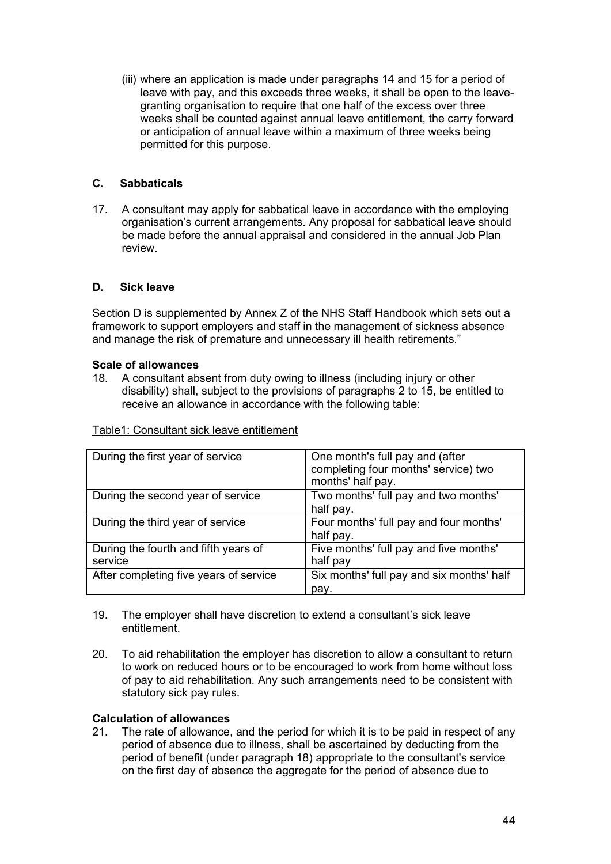(iii) where an application is made under paragraphs 14 and 15 for a period of leave with pay, and this exceeds three weeks, it shall be open to the leavegranting organisation to require that one half of the excess over three weeks shall be counted against annual leave entitlement, the carry forward or anticipation of annual leave within a maximum of three weeks being permitted for this purpose.

### **C. Sabbaticals**

17. A consultant may apply for sabbatical leave in accordance with the employing organisation's current arrangements. Any proposal for sabbatical leave should be made before the annual appraisal and considered in the annual Job Plan review.

#### **D. Sick leave**

Section D is supplemented by Annex Z of the NHS Staff Handbook which sets out a framework to support employers and staff in the management of sickness absence and manage the risk of premature and unnecessary ill health retirements."

# **Scale of allowances**

18. A consultant absent from duty owing to illness (including injury or other disability) shall, subject to the provisions of paragraphs 2 to 15, be entitled to receive an allowance in accordance with the following table:

| During the first year of service                | One month's full pay and (after<br>completing four months' service) two<br>months' half pay. |
|-------------------------------------------------|----------------------------------------------------------------------------------------------|
| During the second year of service               | Two months' full pay and two months'<br>half pay.                                            |
| During the third year of service                | Four months' full pay and four months'<br>half pay.                                          |
| During the fourth and fifth years of<br>service | Five months' full pay and five months'<br>half pay                                           |
| After completing five years of service          | Six months' full pay and six months' half<br>pay.                                            |

Table1: Consultant sick leave entitlement

- 19. The employer shall have discretion to extend a consultant's sick leave entitlement.
- 20. To aid rehabilitation the employer has discretion to allow a consultant to return to work on reduced hours or to be encouraged to work from home without loss of pay to aid rehabilitation. Any such arrangements need to be consistent with statutory sick pay rules.

#### **Calculation of allowances**

21. The rate of allowance, and the period for which it is to be paid in respect of any period of absence due to illness, shall be ascertained by deducting from the period of benefit (under paragraph 18) appropriate to the consultant's service on the first day of absence the aggregate for the period of absence due to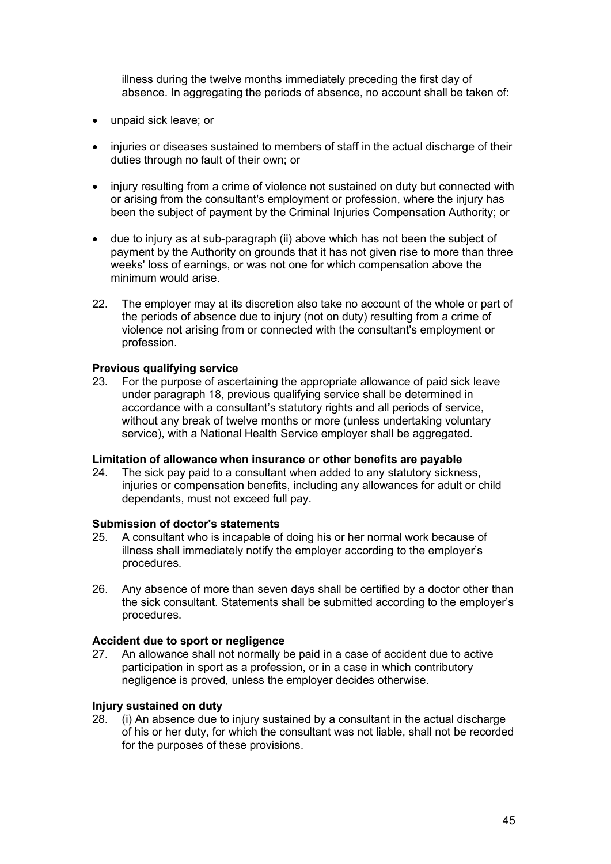illness during the twelve months immediately preceding the first day of absence. In aggregating the periods of absence, no account shall be taken of:

- unpaid sick leave; or
- injuries or diseases sustained to members of staff in the actual discharge of their duties through no fault of their own; or
- injury resulting from a crime of violence not sustained on duty but connected with or arising from the consultant's employment or profession, where the injury has been the subject of payment by the Criminal Injuries Compensation Authority; or
- due to injury as at sub-paragraph (ii) above which has not been the subject of payment by the Authority on grounds that it has not given rise to more than three weeks' loss of earnings, or was not one for which compensation above the minimum would arise
- 22. The employer may at its discretion also take no account of the whole or part of the periods of absence due to injury (not on duty) resulting from a crime of violence not arising from or connected with the consultant's employment or profession.

#### **Previous qualifying service**

23. For the purpose of ascertaining the appropriate allowance of paid sick leave under paragraph 18, previous qualifying service shall be determined in accordance with a consultant's statutory rights and all periods of service, without any break of twelve months or more (unless undertaking voluntary service), with a National Health Service employer shall be aggregated.

#### **Limitation of allowance when insurance or other benefits are payable**

24. The sick pay paid to a consultant when added to any statutory sickness, injuries or compensation benefits, including any allowances for adult or child dependants, must not exceed full pay.

#### **Submission of doctor's statements**

- 25. A consultant who is incapable of doing his or her normal work because of illness shall immediately notify the employer according to the employer's procedures.
- 26. Any absence of more than seven days shall be certified by a doctor other than the sick consultant. Statements shall be submitted according to the employer's procedures.

#### **Accident due to sport or negligence**

27. An allowance shall not normally be paid in a case of accident due to active participation in sport as a profession, or in a case in which contributory negligence is proved, unless the employer decides otherwise.

#### **Injury sustained on duty**

28. (i) An absence due to injury sustained by a consultant in the actual discharge of his or her duty, for which the consultant was not liable, shall not be recorded for the purposes of these provisions.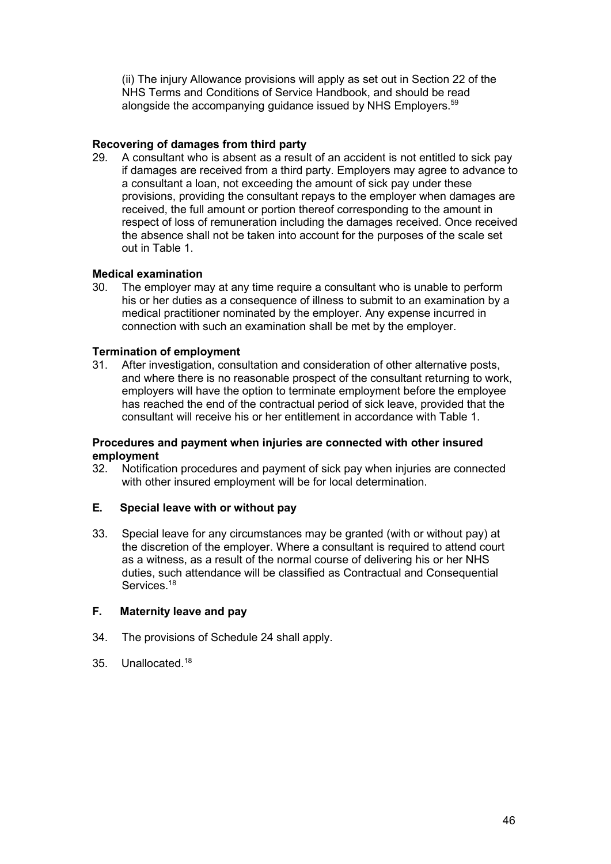(ii) The injury Allowance provisions will apply as set out in Section 22 of the NHS Terms and Conditions of Service Handbook, and should be read alongside the accompanying guidance issued by NHS Employers.<sup>59</sup>

# **Recovering of damages from third party**

29. A consultant who is absent as a result of an accident is not entitled to sick pay if damages are received from a third party. Employers may agree to advance to a consultant a loan, not exceeding the amount of sick pay under these provisions, providing the consultant repays to the employer when damages are received, the full amount or portion thereof corresponding to the amount in respect of loss of remuneration including the damages received. Once received the absence shall not be taken into account for the purposes of the scale set out in Table 1.

# **Medical examination**

The employer may at any time require a consultant who is unable to perform his or her duties as a consequence of illness to submit to an examination by a medical practitioner nominated by the employer. Any expense incurred in connection with such an examination shall be met by the employer.

# **Termination of employment**<br>31. After investigation, consu

After investigation, consultation and consideration of other alternative posts, and where there is no reasonable prospect of the consultant returning to work, employers will have the option to terminate employment before the employee has reached the end of the contractual period of sick leave, provided that the consultant will receive his or her entitlement in accordance with Table 1.

# **Procedures and payment when injuries are connected with other insured** employment<br>32. Notificat

32. Notification procedures and payment of sick pay when injuries are connected with other insured employment will be for local determination.

#### **E. Special leave with or without pay**

33. Special leave for any circumstances may be granted (with or without pay) at the discretion of the employer. Where a consultant is required to attend court as a witness, as a result of the normal course of delivering his or her NHS duties, such attendance will be classified as Contractual and Consequential Services.<sup>18</sup>

#### **F. Maternity leave and pay**

- 34. The provisions of Schedule 24 shall apply.
- 35. Unallocated.18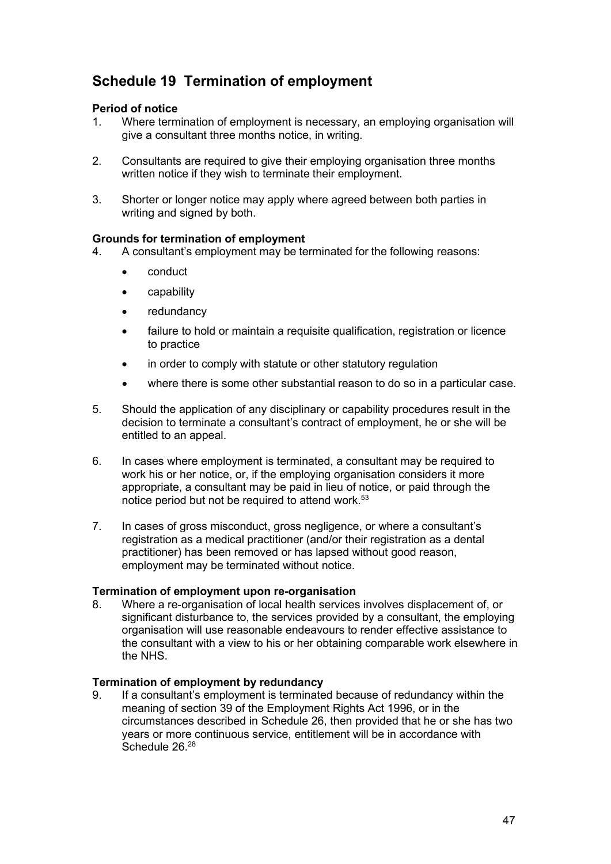# **Schedule 19 Termination of employment**

#### **Period of notice**

- 1. Where termination of employment is necessary, an employing organisation will give a consultant three months notice, in writing.
- 2. Consultants are required to give their employing organisation three months written notice if they wish to terminate their employment.
- 3. Shorter or longer notice may apply where agreed between both parties in writing and signed by both.

# **Grounds for termination of employment**

- 4. A consultant's employment may be terminated for the following reasons:
	- conduct
	- capability
	- redundancy
	- failure to hold or maintain a requisite qualification, registration or licence to practice
	- in order to comply with statute or other statutory regulation
	- where there is some other substantial reason to do so in a particular case.
- 5. Should the application of any disciplinary or capability procedures result in the decision to terminate a consultant's contract of employment, he or she will be entitled to an appeal.
- 6. In cases where employment is terminated, a consultant may be required to work his or her notice, or, if the employing organisation considers it more appropriate, a consultant may be paid in lieu of notice, or paid through the notice period but not be required to attend work.<sup>53</sup>
- 7. In cases of gross misconduct, gross negligence, or where a consultant's registration as a medical practitioner (and/or their registration as a dental practitioner) has been removed or has lapsed without good reason, employment may be terminated without notice.

#### **Termination of employment upon re-organisation**

8. Where a re-organisation of local health services involves displacement of, or significant disturbance to, the services provided by a consultant, the employing organisation will use reasonable endeavours to render effective assistance to the consultant with a view to his or her obtaining comparable work elsewhere in the NHS.

#### **Termination of employment by redundancy**

9. If a consultant's employment is terminated because of redundancy within the meaning of section 39 of the Employment Rights Act 1996, or in the circumstances described in Schedule 26, then provided that he or she has two years or more continuous service, entitlement will be in accordance with Schedule 26.<sup>28</sup>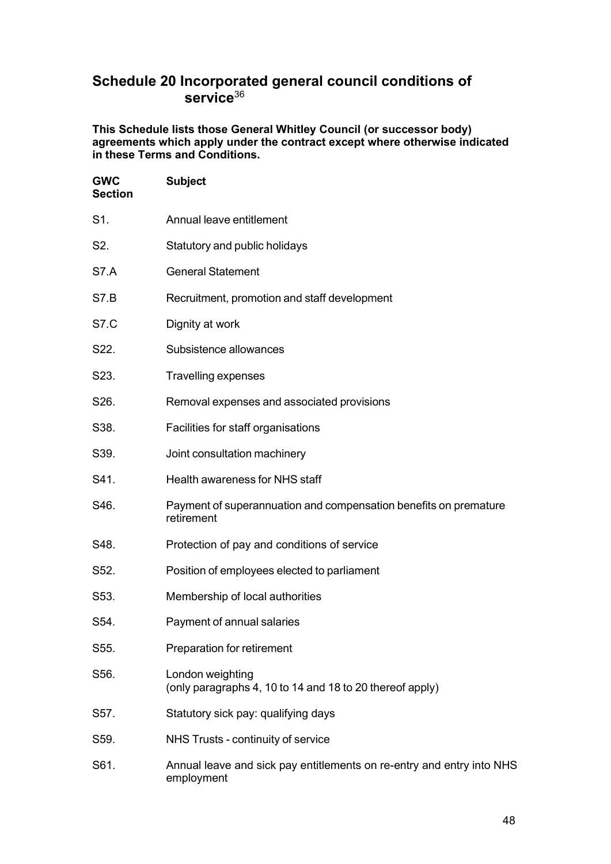# **Schedule 20 Incorporated general council conditions of service**<sup>36</sup>

**This Schedule lists those General Whitley Council (or successor body) agreements which apply under the contract except where otherwise indicated in these Terms and Conditions.**

| <b>GWC</b><br><b>Section</b> | <b>Subject</b>                                                                      |
|------------------------------|-------------------------------------------------------------------------------------|
| S1.                          | Annual leave entitlement                                                            |
| S2.                          | Statutory and public holidays                                                       |
| S7.A                         | <b>General Statement</b>                                                            |
| <b>S7.B</b>                  | Recruitment, promotion and staff development                                        |
| <b>S7.C</b>                  | Dignity at work                                                                     |
| S22.                         | Subsistence allowances                                                              |
| S23.                         | <b>Travelling expenses</b>                                                          |
| S26.                         | Removal expenses and associated provisions                                          |
| S38.                         | Facilities for staff organisations                                                  |
| S39.                         | Joint consultation machinery                                                        |
| S41.                         | Health awareness for NHS staff                                                      |
| S46.                         | Payment of superannuation and compensation benefits on premature<br>retirement      |
| S48.                         | Protection of pay and conditions of service                                         |
| S52.                         | Position of employees elected to parliament                                         |
| S53.                         | Membership of local authorities                                                     |
| S54.                         | Payment of annual salaries                                                          |
| S55.                         | Preparation for retirement                                                          |
| S56.                         | London weighting<br>(only paragraphs 4, 10 to 14 and 18 to 20 thereof apply)        |
| S57.                         | Statutory sick pay: qualifying days                                                 |
| S59.                         | NHS Trusts - continuity of service                                                  |
| S61.                         | Annual leave and sick pay entitlements on re-entry and entry into NHS<br>employment |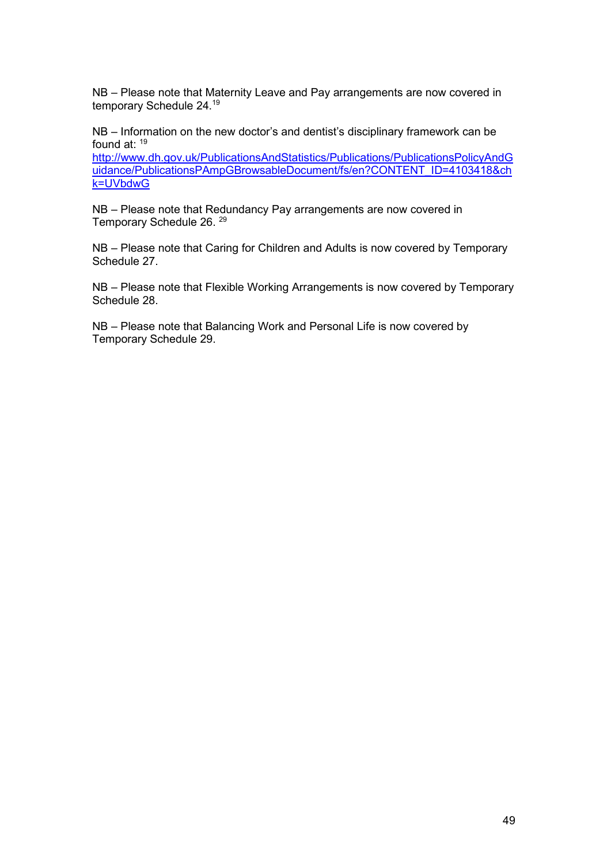NB – Please note that Maternity Leave and Pay arrangements are now covered in temporary Schedule 24.19

NB – Information on the new doctor's and dentist's disciplinary framework can be found at: 19

[http://www.dh.gov.uk/PublicationsAndStatistics/Publications/PublicationsPolicyAndG](http://www.dh.gov.uk/PublicationsAndStatistics/Publications/PublicationsPolicyAndGuidance/PublicationsPAmpGBrowsableDocument/fs/en?CONTENT_ID=4103418&chk=UVbdwG) [uidance/PublicationsPAmpGBrowsableDocument/fs/en?CONTENT\\_ID=4103418&ch](http://www.dh.gov.uk/PublicationsAndStatistics/Publications/PublicationsPolicyAndGuidance/PublicationsPAmpGBrowsableDocument/fs/en?CONTENT_ID=4103418&chk=UVbdwG) [k=UVbdwG](http://www.dh.gov.uk/PublicationsAndStatistics/Publications/PublicationsPolicyAndGuidance/PublicationsPAmpGBrowsableDocument/fs/en?CONTENT_ID=4103418&chk=UVbdwG)

NB – Please note that Redundancy Pay arrangements are now covered in Temporary Schedule 26. <sup>29</sup>

NB – Please note that Caring for Children and Adults is now covered by Temporary Schedule 27.

NB – Please note that Flexible Working Arrangements is now covered by Temporary Schedule 28.

NB – Please note that Balancing Work and Personal Life is now covered by Temporary Schedule 29.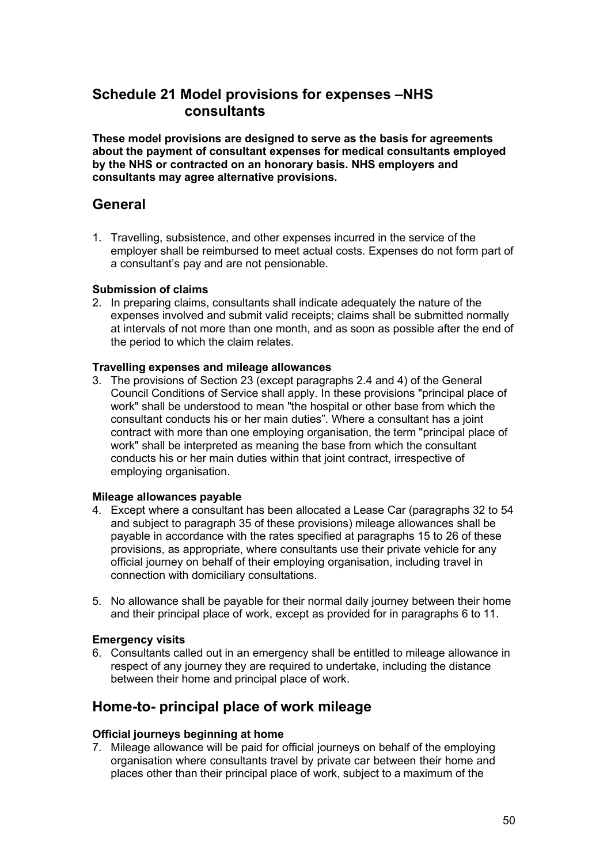# **Schedule 21 Model provisions for expenses –NHS consultants**

**These model provisions are designed to serve as the basis for agreements about the payment of consultant expenses for medical consultants employed by the NHS or contracted on an honorary basis. NHS employers and consultants may agree alternative provisions.**

## **General**

1. Travelling, subsistence, and other expenses incurred in the service of the employer shall be reimbursed to meet actual costs. Expenses do not form part of a consultant's pay and are not pensionable.

### **Submission of claims**

2. In preparing claims, consultants shall indicate adequately the nature of the expenses involved and submit valid receipts; claims shall be submitted normally at intervals of not more than one month, and as soon as possible after the end of the period to which the claim relates.

#### **Travelling expenses and mileage allowances**

3. The provisions of Section 23 (except paragraphs 2.4 and 4) of the General Council Conditions of Service shall apply. In these provisions "principal place of work" shall be understood to mean "the hospital or other base from which the consultant conducts his or her main duties". Where a consultant has a joint contract with more than one employing organisation, the term "principal place of work" shall be interpreted as meaning the base from which the consultant conducts his or her main duties within that joint contract, irrespective of employing organisation.

#### **Mileage allowances payable**

- 4. Except where a consultant has been allocated a Lease Car (paragraphs 32 to 54 and subject to paragraph 35 of these provisions) mileage allowances shall be payable in accordance with the rates specified at paragraphs 15 to 26 of these provisions, as appropriate, where consultants use their private vehicle for any official journey on behalf of their employing organisation, including travel in connection with domiciliary consultations.
- 5. No allowance shall be payable for their normal daily journey between their home and their principal place of work, except as provided for in paragraphs 6 to 11.

#### **Emergency visits**

6. Consultants called out in an emergency shall be entitled to mileage allowance in respect of any journey they are required to undertake, including the distance between their home and principal place of work.

# **Home-to- principal place of work mileage**

#### **Official journeys beginning at home**

7. Mileage allowance will be paid for official journeys on behalf of the employing organisation where consultants travel by private car between their home and places other than their principal place of work, subject to a maximum of the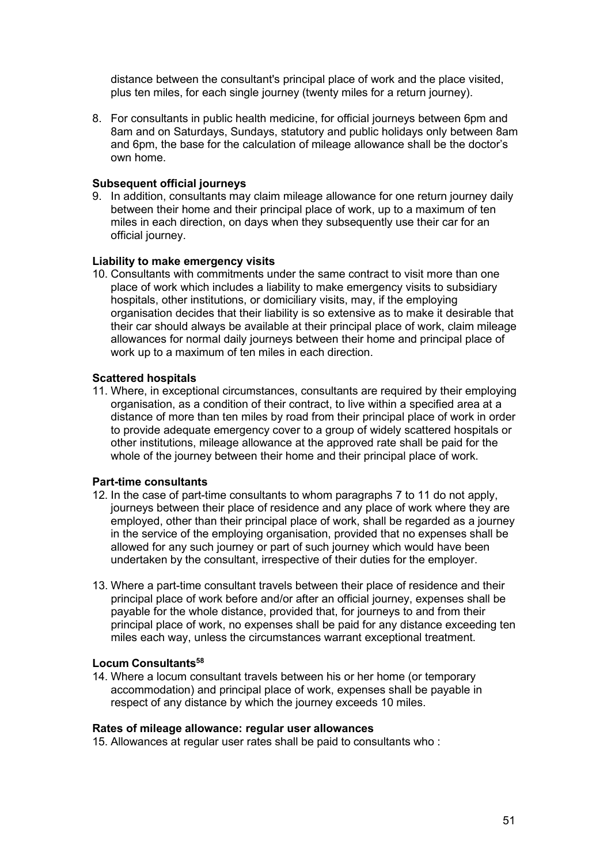distance between the consultant's principal place of work and the place visited, plus ten miles, for each single journey (twenty miles for a return journey).

8. For consultants in public health medicine, for official journeys between 6pm and 8am and on Saturdays, Sundays, statutory and public holidays only between 8am and 6pm, the base for the calculation of mileage allowance shall be the doctor's own home.

#### **Subsequent official journeys**

9. In addition, consultants may claim mileage allowance for one return journey daily between their home and their principal place of work, up to a maximum of ten miles in each direction, on days when they subsequently use their car for an official journey.

#### **Liability to make emergency visits**

10. Consultants with commitments under the same contract to visit more than one place of work which includes a liability to make emergency visits to subsidiary hospitals, other institutions, or domiciliary visits, may, if the employing organisation decides that their liability is so extensive as to make it desirable that their car should always be available at their principal place of work, claim mileage allowances for normal daily journeys between their home and principal place of work up to a maximum of ten miles in each direction.

#### **Scattered hospitals**

11. Where, in exceptional circumstances, consultants are required by their employing organisation, as a condition of their contract, to live within a specified area at a distance of more than ten miles by road from their principal place of work in order to provide adequate emergency cover to a group of widely scattered hospitals or other institutions, mileage allowance at the approved rate shall be paid for the whole of the journey between their home and their principal place of work.

#### **Part-time consultants**

- 12. In the case of part-time consultants to whom paragraphs 7 to 11 do not apply, journeys between their place of residence and any place of work where they are employed, other than their principal place of work, shall be regarded as a journey in the service of the employing organisation, provided that no expenses shall be allowed for any such journey or part of such journey which would have been undertaken by the consultant, irrespective of their duties for the employer.
- 13. Where a part-time consultant travels between their place of residence and their principal place of work before and/or after an official journey, expenses shall be payable for the whole distance, provided that, for journeys to and from their principal place of work, no expenses shall be paid for any distance exceeding ten miles each way, unless the circumstances warrant exceptional treatment.

#### **Locum Consultants58**

14. Where a locum consultant travels between his or her home (or temporary accommodation) and principal place of work, expenses shall be payable in respect of any distance by which the journey exceeds 10 miles.

#### **Rates of mileage allowance: regular user allowances**

15. Allowances at regular user rates shall be paid to consultants who :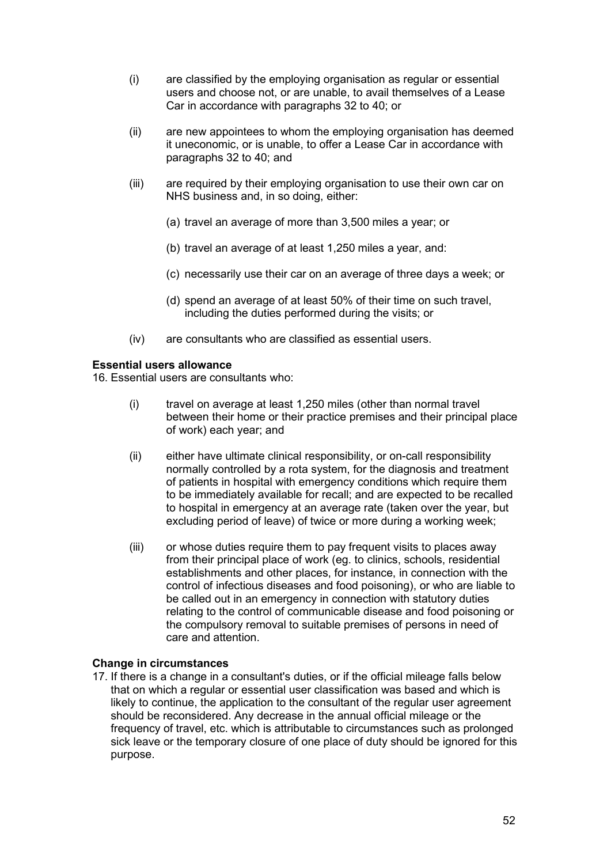- (i) are classified by the employing organisation as regular or essential users and choose not, or are unable, to avail themselves of a Lease Car in accordance with paragraphs 32 to 40; or
- (ii) are new appointees to whom the employing organisation has deemed it uneconomic, or is unable, to offer a Lease Car in accordance with paragraphs 32 to 40; and
- (iii) are required by their employing organisation to use their own car on NHS business and, in so doing, either:
	- (a) travel an average of more than 3,500 miles a year; or
	- (b) travel an average of at least 1,250 miles a year, and:
	- (c) necessarily use their car on an average of three days a week; or
	- (d) spend an average of at least 50% of their time on such travel, including the duties performed during the visits; or
- (iv) are consultants who are classified as essential users.

#### **Essential users allowance**

16. Essential users are consultants who:

- (i) travel on average at least 1,250 miles (other than normal travel between their home or their practice premises and their principal place of work) each year; and
- (ii) either have ultimate clinical responsibility, or on-call responsibility normally controlled by a rota system, for the diagnosis and treatment of patients in hospital with emergency conditions which require them to be immediately available for recall; and are expected to be recalled to hospital in emergency at an average rate (taken over the year, but excluding period of leave) of twice or more during a working week;
- (iii) or whose duties require them to pay frequent visits to places away from their principal place of work (eg. to clinics, schools, residential establishments and other places, for instance, in connection with the control of infectious diseases and food poisoning), or who are liable to be called out in an emergency in connection with statutory duties relating to the control of communicable disease and food poisoning or the compulsory removal to suitable premises of persons in need of care and attention.

#### **Change in circumstances**

17. If there is a change in a consultant's duties, or if the official mileage falls below that on which a regular or essential user classification was based and which is likely to continue, the application to the consultant of the regular user agreement should be reconsidered. Any decrease in the annual official mileage or the frequency of travel, etc. which is attributable to circumstances such as prolonged sick leave or the temporary closure of one place of duty should be ignored for this purpose.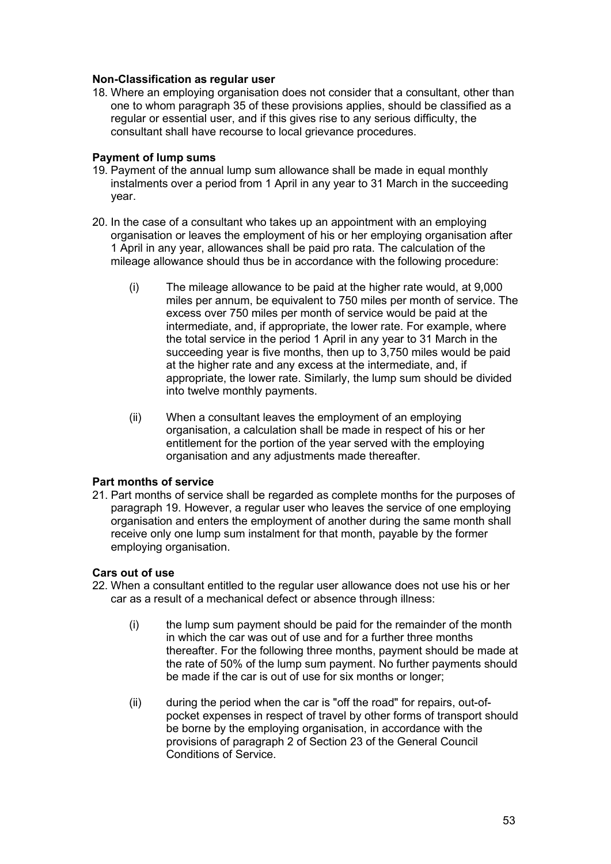#### **Non-Classification as regular user**

18. Where an employing organisation does not consider that a consultant, other than one to whom paragraph 35 of these provisions applies, should be classified as a regular or essential user, and if this gives rise to any serious difficulty, the consultant shall have recourse to local grievance procedures.

#### **Payment of lump sums**

- 19. Payment of the annual lump sum allowance shall be made in equal monthly instalments over a period from 1 April in any year to 31 March in the succeeding year.
- 20. In the case of a consultant who takes up an appointment with an employing organisation or leaves the employment of his or her employing organisation after 1 April in any year, allowances shall be paid pro rata. The calculation of the mileage allowance should thus be in accordance with the following procedure:
	- (i) The mileage allowance to be paid at the higher rate would, at 9,000 miles per annum, be equivalent to 750 miles per month of service. The excess over 750 miles per month of service would be paid at the intermediate, and, if appropriate, the lower rate. For example, where the total service in the period 1 April in any year to 31 March in the succeeding year is five months, then up to 3,750 miles would be paid at the higher rate and any excess at the intermediate, and, if appropriate, the lower rate. Similarly, the lump sum should be divided into twelve monthly payments.
	- (ii) When a consultant leaves the employment of an employing organisation, a calculation shall be made in respect of his or her entitlement for the portion of the year served with the employing organisation and any adjustments made thereafter.

#### **Part months of service**

21. Part months of service shall be regarded as complete months for the purposes of paragraph 19. However, a regular user who leaves the service of one employing organisation and enters the employment of another during the same month shall receive only one lump sum instalment for that month, payable by the former employing organisation.

#### **Cars out of use**

- 22. When a consultant entitled to the regular user allowance does not use his or her car as a result of a mechanical defect or absence through illness:
	- (i) the lump sum payment should be paid for the remainder of the month in which the car was out of use and for a further three months thereafter. For the following three months, payment should be made at the rate of 50% of the lump sum payment. No further payments should be made if the car is out of use for six months or longer;
	- (ii) during the period when the car is "off the road" for repairs, out-ofpocket expenses in respect of travel by other forms of transport should be borne by the employing organisation, in accordance with the provisions of paragraph 2 of Section 23 of the General Council Conditions of Service.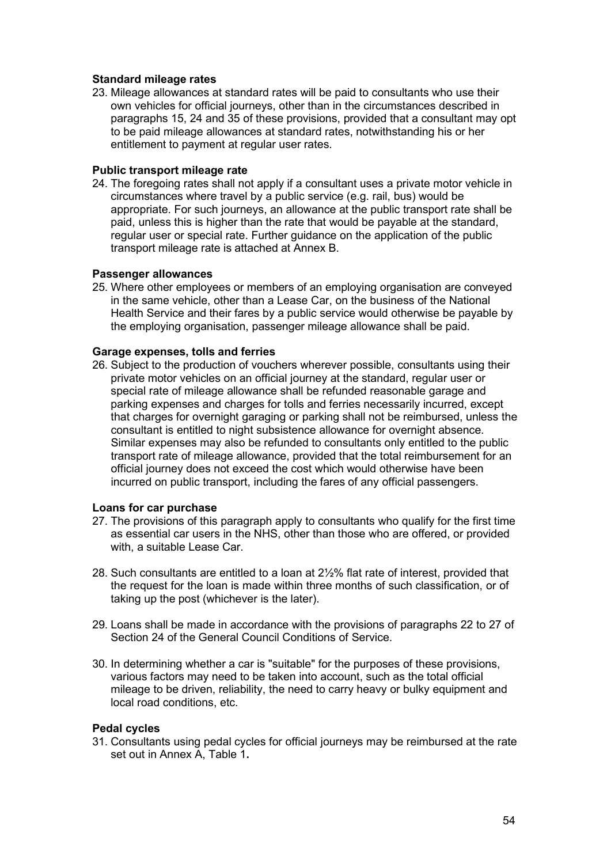#### **Standard mileage rates**

23. Mileage allowances at standard rates will be paid to consultants who use their own vehicles for official journeys, other than in the circumstances described in paragraphs 15, 24 and 35 of these provisions, provided that a consultant may opt to be paid mileage allowances at standard rates, notwithstanding his or her entitlement to payment at regular user rates.

#### **Public transport mileage rate**

24. The foregoing rates shall not apply if a consultant uses a private motor vehicle in circumstances where travel by a public service (e.g. rail, bus) would be appropriate. For such journeys, an allowance at the public transport rate shall be paid, unless this is higher than the rate that would be payable at the standard, regular user or special rate. Further guidance on the application of the public transport mileage rate is attached at Annex B.

#### **Passenger allowances**

25. Where other employees or members of an employing organisation are conveyed in the same vehicle, other than a Lease Car, on the business of the National Health Service and their fares by a public service would otherwise be payable by the employing organisation, passenger mileage allowance shall be paid.

#### **Garage expenses, tolls and ferries**

26. Subject to the production of vouchers wherever possible, consultants using their private motor vehicles on an official journey at the standard, regular user or special rate of mileage allowance shall be refunded reasonable garage and parking expenses and charges for tolls and ferries necessarily incurred, except that charges for overnight garaging or parking shall not be reimbursed, unless the consultant is entitled to night subsistence allowance for overnight absence. Similar expenses may also be refunded to consultants only entitled to the public transport rate of mileage allowance, provided that the total reimbursement for an official journey does not exceed the cost which would otherwise have been incurred on public transport, including the fares of any official passengers.

#### **Loans for car purchase**

- 27. The provisions of this paragraph apply to consultants who qualify for the first time as essential car users in the NHS, other than those who are offered, or provided with, a suitable Lease Car.
- 28. Such consultants are entitled to a loan at 2½% flat rate of interest, provided that the request for the loan is made within three months of such classification, or of taking up the post (whichever is the later).
- 29. Loans shall be made in accordance with the provisions of paragraphs 22 to 27 of Section 24 of the General Council Conditions of Service.
- 30. In determining whether a car is "suitable" for the purposes of these provisions, various factors may need to be taken into account, such as the total official mileage to be driven, reliability, the need to carry heavy or bulky equipment and local road conditions, etc.

#### **Pedal cycles**

31. Consultants using pedal cycles for official journeys may be reimbursed at the rate set out in Annex A, Table 1**.**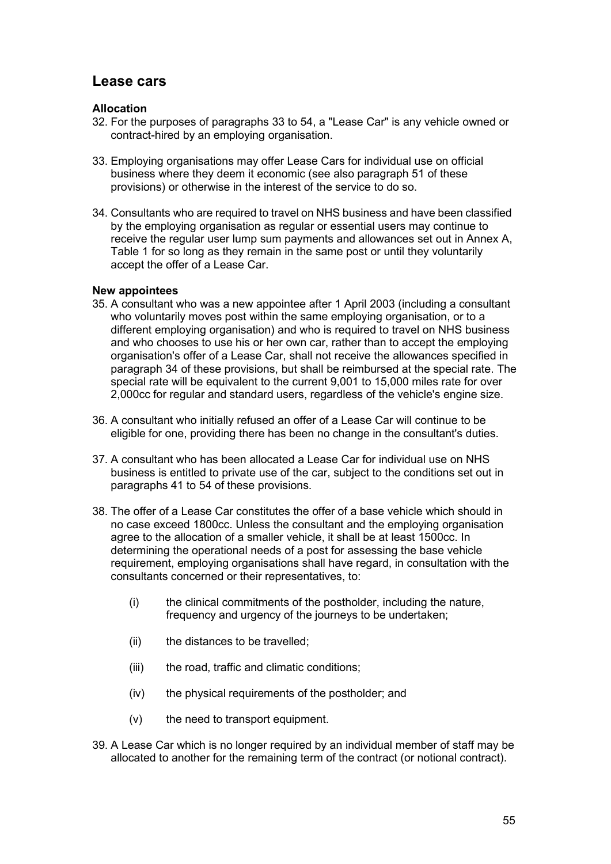## **Lease cars**

#### **Allocation**

- 32. For the purposes of paragraphs 33 to 54, a "Lease Car" is any vehicle owned or contract-hired by an employing organisation.
- 33. Employing organisations may offer Lease Cars for individual use on official business where they deem it economic (see also paragraph 51 of these provisions) or otherwise in the interest of the service to do so.
- 34. Consultants who are required to travel on NHS business and have been classified by the employing organisation as regular or essential users may continue to receive the regular user lump sum payments and allowances set out in Annex A, Table 1 for so long as they remain in the same post or until they voluntarily accept the offer of a Lease Car.

### **New appointees**

- 35. A consultant who was a new appointee after 1 April 2003 (including a consultant who voluntarily moves post within the same employing organisation, or to a different employing organisation) and who is required to travel on NHS business and who chooses to use his or her own car, rather than to accept the employing organisation's offer of a Lease Car, shall not receive the allowances specified in paragraph 34 of these provisions, but shall be reimbursed at the special rate. The special rate will be equivalent to the current 9,001 to 15,000 miles rate for over 2,000cc for regular and standard users, regardless of the vehicle's engine size.
- 36. A consultant who initially refused an offer of a Lease Car will continue to be eligible for one, providing there has been no change in the consultant's duties.
- 37. A consultant who has been allocated a Lease Car for individual use on NHS business is entitled to private use of the car, subject to the conditions set out in paragraphs 41 to 54 of these provisions.
- 38. The offer of a Lease Car constitutes the offer of a base vehicle which should in no case exceed 1800cc. Unless the consultant and the employing organisation agree to the allocation of a smaller vehicle, it shall be at least 1500cc. In determining the operational needs of a post for assessing the base vehicle requirement, employing organisations shall have regard, in consultation with the consultants concerned or their representatives, to:
	- (i) the clinical commitments of the postholder, including the nature, frequency and urgency of the journeys to be undertaken;
	- (ii) the distances to be travelled;
	- (iii) the road, traffic and climatic conditions;
	- (iv) the physical requirements of the postholder; and
	- (v) the need to transport equipment.
- 39. A Lease Car which is no longer required by an individual member of staff may be allocated to another for the remaining term of the contract (or notional contract).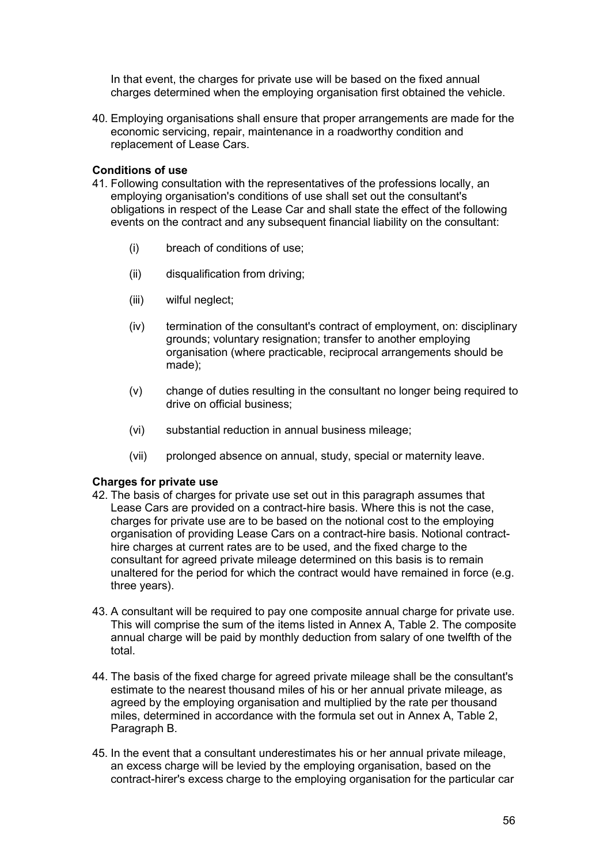In that event, the charges for private use will be based on the fixed annual charges determined when the employing organisation first obtained the vehicle.

40. Employing organisations shall ensure that proper arrangements are made for the economic servicing, repair, maintenance in a roadworthy condition and replacement of Lease Cars.

#### **Conditions of use**

- 41. Following consultation with the representatives of the professions locally, an employing organisation's conditions of use shall set out the consultant's obligations in respect of the Lease Car and shall state the effect of the following events on the contract and any subsequent financial liability on the consultant:
	- (i) breach of conditions of use;
	- (ii) disqualification from driving;
	- (iii) wilful neglect;
	- (iv) termination of the consultant's contract of employment, on: disciplinary grounds; voluntary resignation; transfer to another employing organisation (where practicable, reciprocal arrangements should be made);
	- (v) change of duties resulting in the consultant no longer being required to drive on official business;
	- (vi) substantial reduction in annual business mileage;
	- (vii) prolonged absence on annual, study, special or maternity leave.

#### **Charges for private use**

- 42. The basis of charges for private use set out in this paragraph assumes that Lease Cars are provided on a contract-hire basis. Where this is not the case, charges for private use are to be based on the notional cost to the employing organisation of providing Lease Cars on a contract-hire basis. Notional contracthire charges at current rates are to be used, and the fixed charge to the consultant for agreed private mileage determined on this basis is to remain unaltered for the period for which the contract would have remained in force (e.g. three years).
- 43. A consultant will be required to pay one composite annual charge for private use. This will comprise the sum of the items listed in Annex A, Table 2. The composite annual charge will be paid by monthly deduction from salary of one twelfth of the total.
- 44. The basis of the fixed charge for agreed private mileage shall be the consultant's estimate to the nearest thousand miles of his or her annual private mileage, as agreed by the employing organisation and multiplied by the rate per thousand miles, determined in accordance with the formula set out in Annex A, Table 2, Paragraph B.
- 45. In the event that a consultant underestimates his or her annual private mileage, an excess charge will be levied by the employing organisation, based on the contract-hirer's excess charge to the employing organisation for the particular car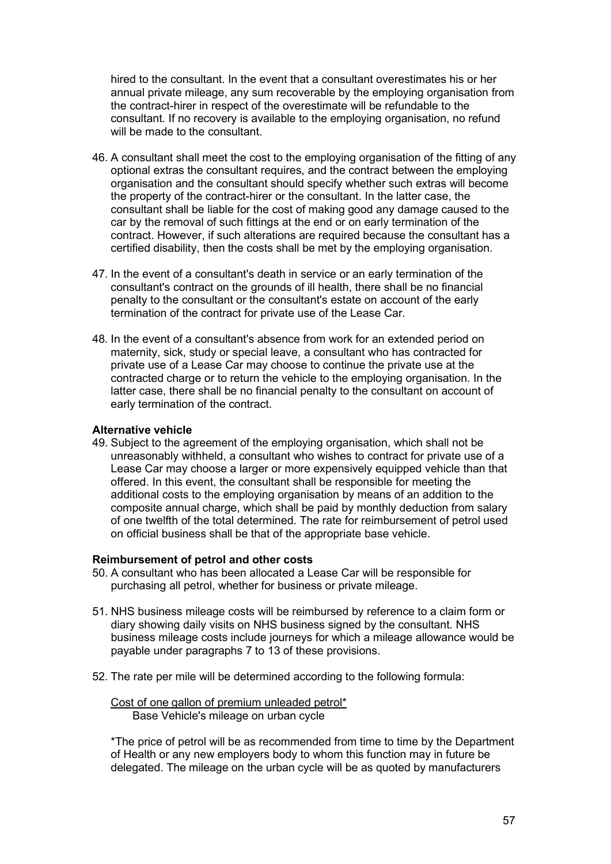hired to the consultant. In the event that a consultant overestimates his or her annual private mileage, any sum recoverable by the employing organisation from the contract-hirer in respect of the overestimate will be refundable to the consultant. If no recovery is available to the employing organisation, no refund will be made to the consultant.

- 46. A consultant shall meet the cost to the employing organisation of the fitting of any optional extras the consultant requires, and the contract between the employing organisation and the consultant should specify whether such extras will become the property of the contract-hirer or the consultant. In the latter case, the consultant shall be liable for the cost of making good any damage caused to the car by the removal of such fittings at the end or on early termination of the contract. However, if such alterations are required because the consultant has a certified disability, then the costs shall be met by the employing organisation.
- 47. In the event of a consultant's death in service or an early termination of the consultant's contract on the grounds of ill health, there shall be no financial penalty to the consultant or the consultant's estate on account of the early termination of the contract for private use of the Lease Car.
- 48. In the event of a consultant's absence from work for an extended period on maternity, sick, study or special leave, a consultant who has contracted for private use of a Lease Car may choose to continue the private use at the contracted charge or to return the vehicle to the employing organisation. In the latter case, there shall be no financial penalty to the consultant on account of early termination of the contract.

#### **Alternative vehicle**

49. Subject to the agreement of the employing organisation, which shall not be unreasonably withheld, a consultant who wishes to contract for private use of a Lease Car may choose a larger or more expensively equipped vehicle than that offered. In this event, the consultant shall be responsible for meeting the additional costs to the employing organisation by means of an addition to the composite annual charge, which shall be paid by monthly deduction from salary of one twelfth of the total determined. The rate for reimbursement of petrol used on official business shall be that of the appropriate base vehicle.

#### **Reimbursement of petrol and other costs**

- 50. A consultant who has been allocated a Lease Car will be responsible for purchasing all petrol, whether for business or private mileage.
- 51. NHS business mileage costs will be reimbursed by reference to a claim form or diary showing daily visits on NHS business signed by the consultant. NHS business mileage costs include journeys for which a mileage allowance would be payable under paragraphs 7 to 13 of these provisions.
- 52. The rate per mile will be determined according to the following formula:

Cost of one gallon of premium unleaded petrol\* Base Vehicle's mileage on urban cycle

\*The price of petrol will be as recommended from time to time by the Department of Health or any new employers body to whom this function may in future be delegated. The mileage on the urban cycle will be as quoted by manufacturers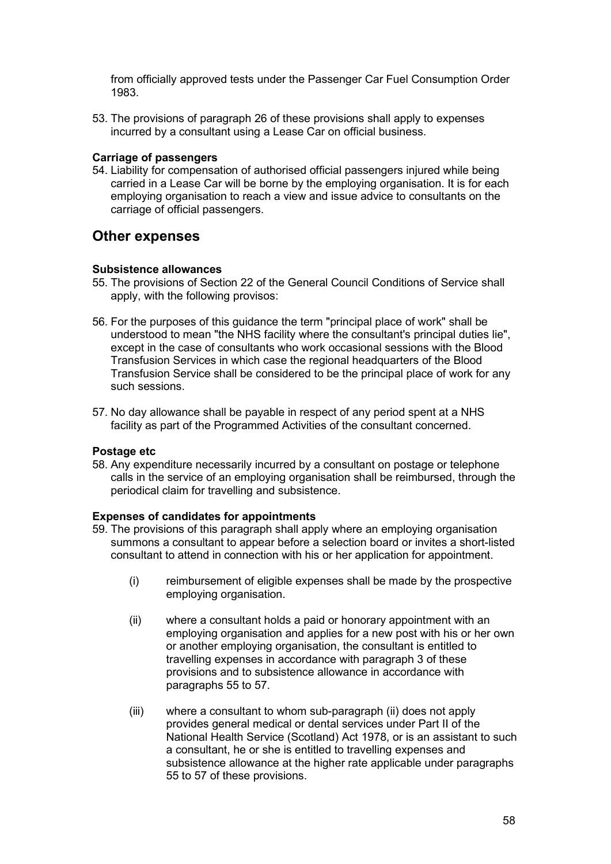from officially approved tests under the Passenger Car Fuel Consumption Order 1983.

53. The provisions of paragraph 26 of these provisions shall apply to expenses incurred by a consultant using a Lease Car on official business.

#### **Carriage of passengers**

54. Liability for compensation of authorised official passengers injured while being carried in a Lease Car will be borne by the employing organisation. It is for each employing organisation to reach a view and issue advice to consultants on the carriage of official passengers.

## **Other expenses**

#### **Subsistence allowances**

- 55. The provisions of Section 22 of the General Council Conditions of Service shall apply, with the following provisos:
- 56. For the purposes of this guidance the term "principal place of work" shall be understood to mean "the NHS facility where the consultant's principal duties lie", except in the case of consultants who work occasional sessions with the Blood Transfusion Services in which case the regional headquarters of the Blood Transfusion Service shall be considered to be the principal place of work for any such sessions.
- 57. No day allowance shall be payable in respect of any period spent at a NHS facility as part of the Programmed Activities of the consultant concerned.

#### **Postage etc**

58. Any expenditure necessarily incurred by a consultant on postage or telephone calls in the service of an employing organisation shall be reimbursed, through the periodical claim for travelling and subsistence.

#### **Expenses of candidates for appointments**

- 59. The provisions of this paragraph shall apply where an employing organisation summons a consultant to appear before a selection board or invites a short-listed consultant to attend in connection with his or her application for appointment.
	- (i) reimbursement of eligible expenses shall be made by the prospective employing organisation.
	- (ii) where a consultant holds a paid or honorary appointment with an employing organisation and applies for a new post with his or her own or another employing organisation, the consultant is entitled to travelling expenses in accordance with paragraph 3 of these provisions and to subsistence allowance in accordance with paragraphs 55 to 57.
	- (iii) where a consultant to whom sub-paragraph (ii) does not apply provides general medical or dental services under Part II of the National Health Service (Scotland) Act 1978, or is an assistant to such a consultant, he or she is entitled to travelling expenses and subsistence allowance at the higher rate applicable under paragraphs 55 to 57 of these provisions.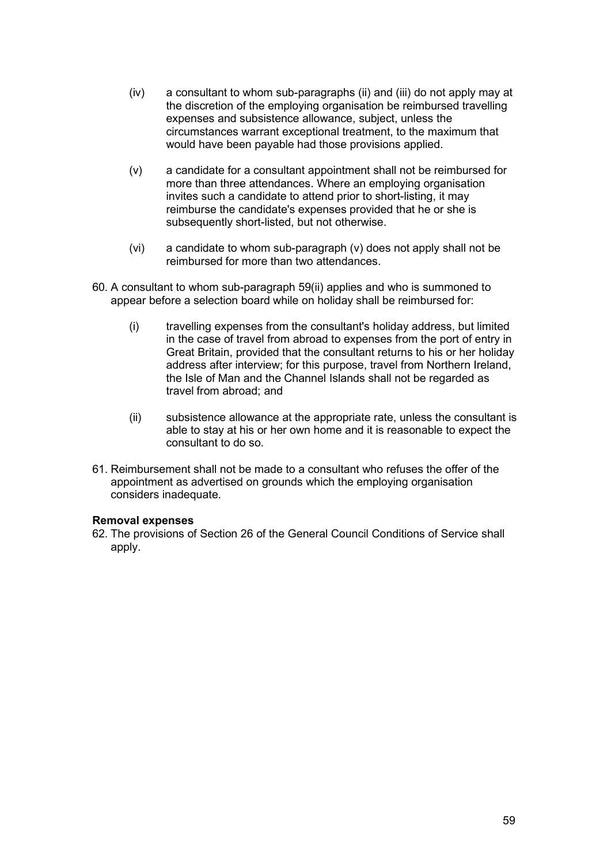- (iv) a consultant to whom sub-paragraphs (ii) and (iii) do not apply may at the discretion of the employing organisation be reimbursed travelling expenses and subsistence allowance, subject, unless the circumstances warrant exceptional treatment, to the maximum that would have been payable had those provisions applied.
- (v) a candidate for a consultant appointment shall not be reimbursed for more than three attendances. Where an employing organisation invites such a candidate to attend prior to short-listing, it may reimburse the candidate's expenses provided that he or she is subsequently short-listed, but not otherwise.
- (vi) a candidate to whom sub-paragraph (v) does not apply shall not be reimbursed for more than two attendances.
- 60. A consultant to whom sub-paragraph 59(ii) applies and who is summoned to appear before a selection board while on holiday shall be reimbursed for:
	- (i) travelling expenses from the consultant's holiday address, but limited in the case of travel from abroad to expenses from the port of entry in Great Britain, provided that the consultant returns to his or her holiday address after interview; for this purpose, travel from Northern Ireland, the Isle of Man and the Channel Islands shall not be regarded as travel from abroad; and
	- (ii) subsistence allowance at the appropriate rate, unless the consultant is able to stay at his or her own home and it is reasonable to expect the consultant to do so.
- 61. Reimbursement shall not be made to a consultant who refuses the offer of the appointment as advertised on grounds which the employing organisation considers inadequate.

#### **Removal expenses**

62. The provisions of Section 26 of the General Council Conditions of Service shall apply.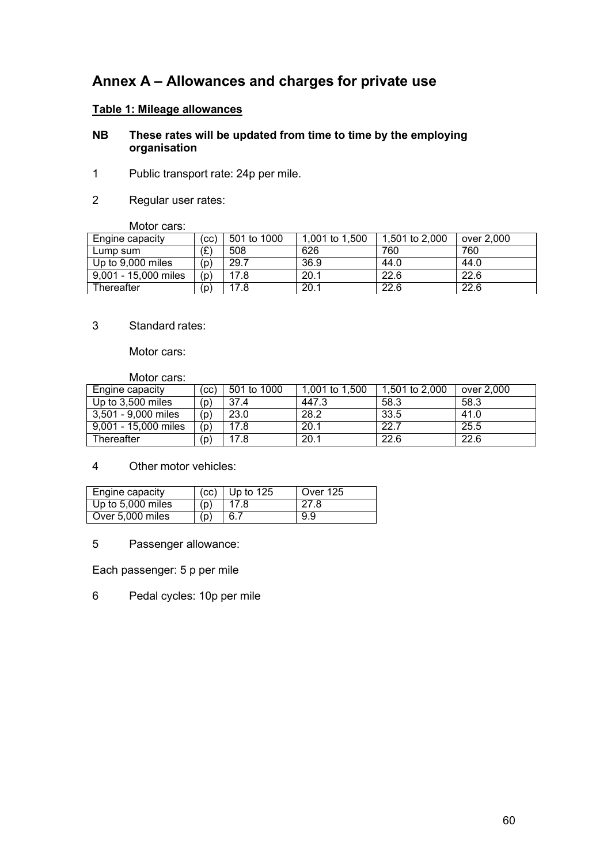# **Annex A – Allowances and charges for private use**

## **Table 1: Mileage allowances**

#### **NB These rates will be updated from time to time by the employing organisation**

- 1 Public transport rate: 24p per mile.
- 2 Regular user rates:

Motor cars:

| Engine capacity      | (CC) | 501 to 1000 | 1,001 to 1,500 | 1.501 to 2.000 | over 2,000 |
|----------------------|------|-------------|----------------|----------------|------------|
| Lump sum             | '£'  | 508         | 626            | 760            | 760        |
| Up to 9,000 miles    | (p)  | 29.7        | 36.9           | 44.0           | 44.0       |
| 9.001 - 15.000 miles | (p)  | 17.8        | 20.1           | 22.6           | 22.6       |
| Thereafter           | (D)  | 17.8        | 20.1           | 22.6           | 22.6       |

### 3 Standard rates:

Motor cars:

Motor cars:

| Engine capacity      | (cc) | 501 to 1000 | 1,001 to 1,500 | 1,501 to 2,000 | over 2.000 |
|----------------------|------|-------------|----------------|----------------|------------|
| Up to 3,500 miles    | (p)  | 37.4        | 447.3          | 58.3           | 58.3       |
| 3,501 - 9,000 miles  | (p)  | 23.0        | 28.2           | 33.5           | 41.0       |
| 9,001 - 15,000 miles | (p)  | 17.8        | 20.1           | 22.7           | 25.5       |
| Thereafter           | (p)  | 17.8        | 20.1           | 22.6           | 22.6       |

#### 4 Other motor vehicles:

| Engine capacity   |     | $(cc)$   Up to 125 | <b>Over 125</b> |
|-------------------|-----|--------------------|-----------------|
| Up to 5,000 miles | (p) |                    | 27.8            |
| Over 5,000 miles  | (p) | 6.7                | 9.9             |

5 Passenger allowance:

Each passenger: 5 p per mile

6 Pedal cycles: 10p per mile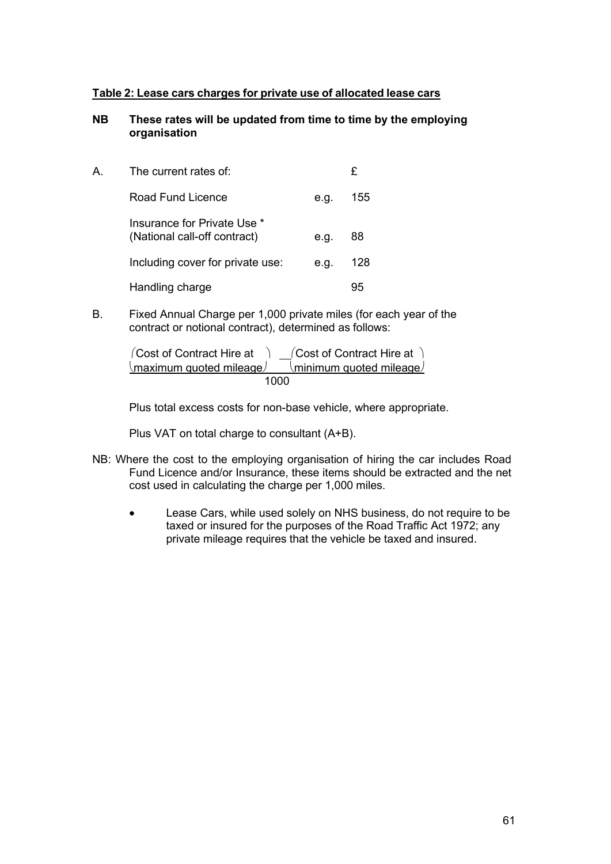#### **Table 2: Lease cars charges for private use of allocated lease cars**

#### **NB These rates will be updated from time to time by the employing organisation**

| А | The current rates of:                                       |      | £   |
|---|-------------------------------------------------------------|------|-----|
|   | Road Fund Licence                                           | e.g. | 155 |
|   | Insurance for Private Use *<br>(National call-off contract) | e.g. | 88  |
|   | Including cover for private use:                            | e.g. | 128 |
|   | Handling charge                                             |      |     |

B. Fixed Annual Charge per 1,000 private miles (for each year of the contract or notional contract), determined as follows:

 $\Gamma$  Cost of Contract Hire at  $\Gamma$   $\Gamma$  Cost of Contract Hire at  $\Gamma$  $\langle$ maximum quoted mileage $\langle$  minimum quoted mileage $\langle$ 1000

Plus total excess costs for non-base vehicle, where appropriate.

Plus VAT on total charge to consultant (A+B).

- NB: Where the cost to the employing organisation of hiring the car includes Road Fund Licence and/or Insurance, these items should be extracted and the net cost used in calculating the charge per 1,000 miles.
	- Lease Cars, while used solely on NHS business, do not require to be taxed or insured for the purposes of the Road Traffic Act 1972; any private mileage requires that the vehicle be taxed and insured.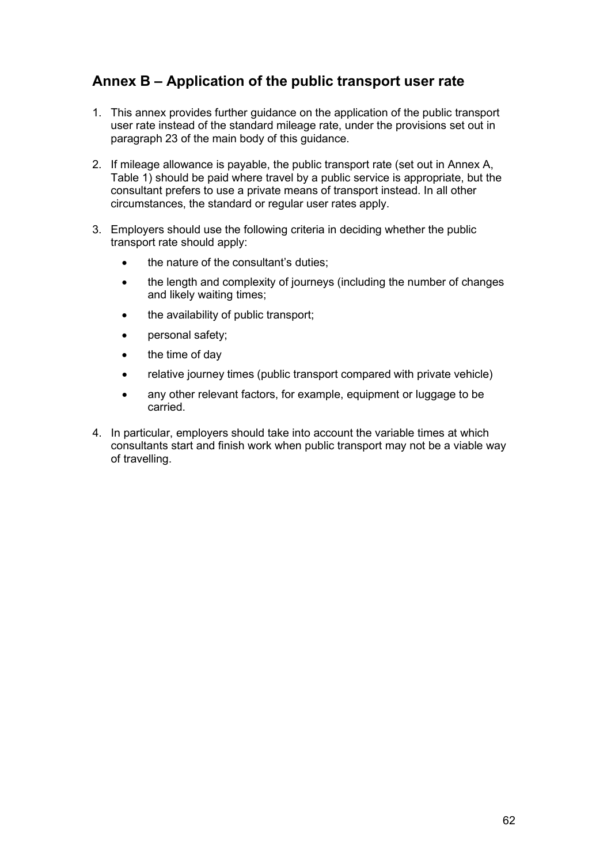# **Annex B – Application of the public transport user rate**

- 1. This annex provides further guidance on the application of the public transport user rate instead of the standard mileage rate, under the provisions set out in paragraph 23 of the main body of this guidance.
- 2. If mileage allowance is payable, the public transport rate (set out in Annex A, Table 1) should be paid where travel by a public service is appropriate, but the consultant prefers to use a private means of transport instead. In all other circumstances, the standard or regular user rates apply.
- 3. Employers should use the following criteria in deciding whether the public transport rate should apply:
	- the nature of the consultant's duties:
	- the length and complexity of journeys (including the number of changes and likely waiting times;
	- the availability of public transport:
	- personal safety;
	- the time of day
	- relative journey times (public transport compared with private vehicle)
	- any other relevant factors, for example, equipment or luggage to be carried.
- 4. In particular, employers should take into account the variable times at which consultants start and finish work when public transport may not be a viable way of travelling.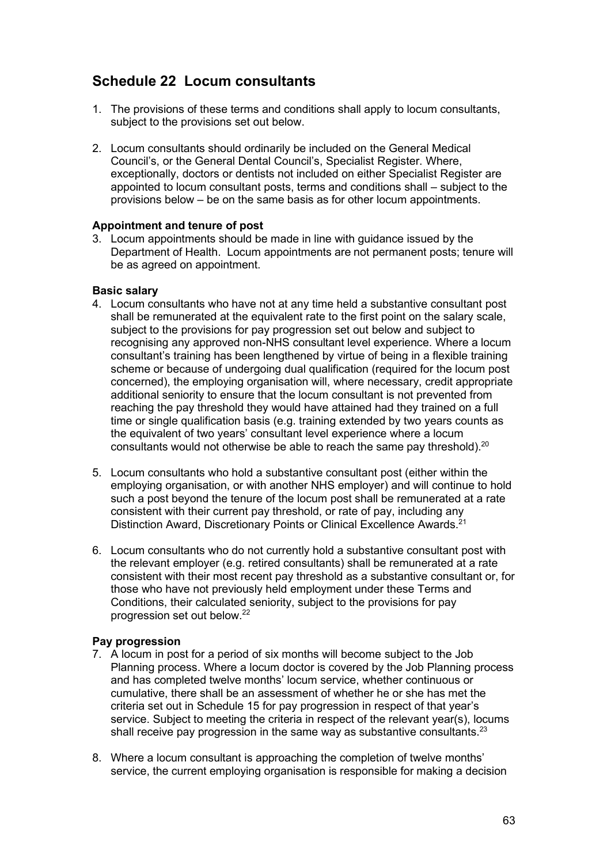# **Schedule 22 Locum consultants**

- 1. The provisions of these terms and conditions shall apply to locum consultants, subject to the provisions set out below.
- 2. Locum consultants should ordinarily be included on the General Medical Council's, or the General Dental Council's, Specialist Register. Where, exceptionally, doctors or dentists not included on either Specialist Register are appointed to locum consultant posts, terms and conditions shall – subject to the provisions below – be on the same basis as for other locum appointments.

#### **Appointment and tenure of post**

3. Locum appointments should be made in line with guidance issued by the Department of Health. Locum appointments are not permanent posts; tenure will be as agreed on appointment.

#### **Basic salary**

- 4. Locum consultants who have not at any time held a substantive consultant post shall be remunerated at the equivalent rate to the first point on the salary scale, subject to the provisions for pay progression set out below and subject to recognising any approved non-NHS consultant level experience. Where a locum consultant's training has been lengthened by virtue of being in a flexible training scheme or because of undergoing dual qualification (required for the locum post concerned), the employing organisation will, where necessary, credit appropriate additional seniority to ensure that the locum consultant is not prevented from reaching the pay threshold they would have attained had they trained on a full time or single qualification basis (e.g. training extended by two years counts as the equivalent of two years' consultant level experience where a locum consultants would not otherwise be able to reach the same pay threshold).<sup>20</sup>
- 5. Locum consultants who hold a substantive consultant post (either within the employing organisation, or with another NHS employer) and will continue to hold such a post beyond the tenure of the locum post shall be remunerated at a rate consistent with their current pay threshold, or rate of pay, including any Distinction Award, Discretionary Points or Clinical Excellence Awards.<sup>21</sup>
- 6. Locum consultants who do not currently hold a substantive consultant post with the relevant employer (e.g. retired consultants) shall be remunerated at a rate consistent with their most recent pay threshold as a substantive consultant or, for those who have not previously held employment under these Terms and Conditions, their calculated seniority, subject to the provisions for pay progression set out below.22

#### **Pay progression**

- 7. A locum in post for a period of six months will become subject to the Job Planning process. Where a locum doctor is covered by the Job Planning process and has completed twelve months' locum service, whether continuous or cumulative, there shall be an assessment of whether he or she has met the criteria set out in Schedule 15 for pay progression in respect of that year's service. Subject to meeting the criteria in respect of the relevant year(s), locums shall receive pay progression in the same way as substantive consultants.<sup>23</sup>
- 8. Where a locum consultant is approaching the completion of twelve months' service, the current employing organisation is responsible for making a decision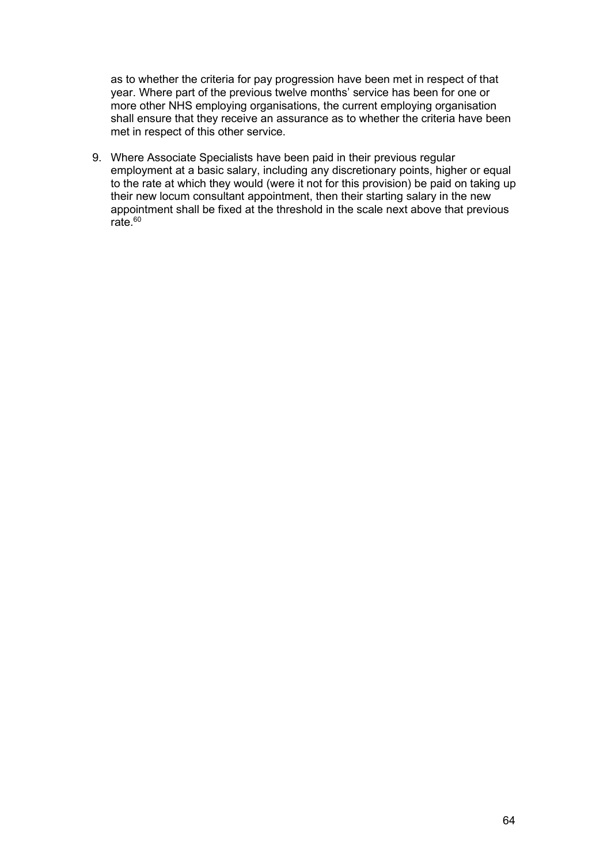as to whether the criteria for pay progression have been met in respect of that year. Where part of the previous twelve months' service has been for one or more other NHS employing organisations, the current employing organisation shall ensure that they receive an assurance as to whether the criteria have been met in respect of this other service.

9. Where Associate Specialists have been paid in their previous regular employment at a basic salary, including any discretionary points, higher or equal to the rate at which they would (were it not for this provision) be paid on taking up their new locum consultant appointment, then their starting salary in the new appointment shall be fixed at the threshold in the scale next above that previous rate. $60$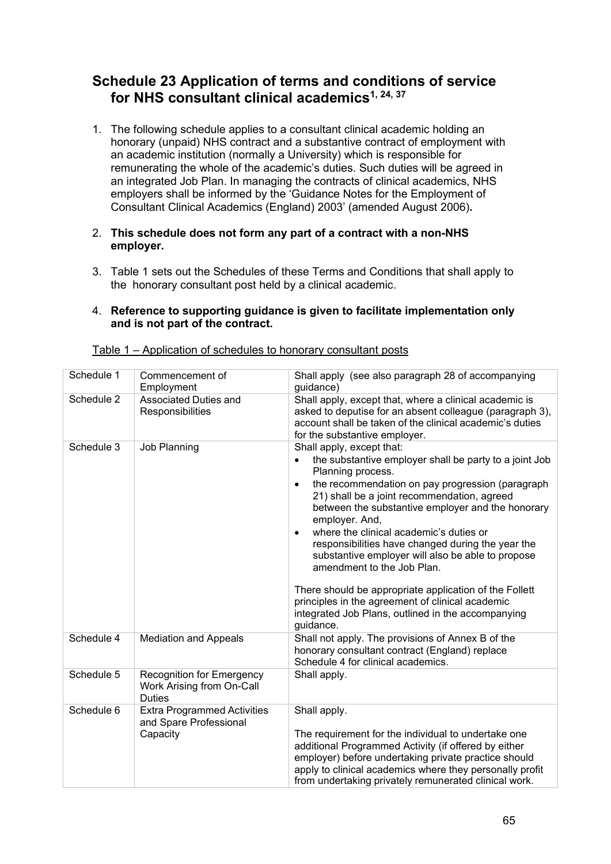## **Schedule 23 Application of terms and conditions of service for NHS consultant clinical academics1, 24, <sup>37</sup>**

1. The following schedule applies to a consultant clinical academic holding an honorary (unpaid) NHS contract and a substantive contract of employment with an academic institution (normally a University) which is responsible for remunerating the whole of the academic's duties. Such duties will be agreed in an integrated Job Plan. In managing the contracts of clinical academics, NHS employers shall be informed by the 'Guidance Notes for the Employment of Consultant Clinical Academics (England) 2003' (amended August 2006)**.**

#### 2. **This schedule does not form any part of a contract with a non-NHS employer.**

3. Table 1 sets out the Schedules of these Terms and Conditions that shall apply to the honorary consultant post held by a clinical academic.

#### 4. **Reference to supporting guidance is given to facilitate implementation only and is not part of the contract.**

| Schedule 1 | Commencement of<br>Employment                                                  | Shall apply (see also paragraph 28 of accompanying<br>guidance)                                                                                                                                                                                                                                                                                                                                                                                                                                                                                                                                                                                                                               |
|------------|--------------------------------------------------------------------------------|-----------------------------------------------------------------------------------------------------------------------------------------------------------------------------------------------------------------------------------------------------------------------------------------------------------------------------------------------------------------------------------------------------------------------------------------------------------------------------------------------------------------------------------------------------------------------------------------------------------------------------------------------------------------------------------------------|
| Schedule 2 | Associated Duties and<br>Responsibilities                                      | Shall apply, except that, where a clinical academic is<br>asked to deputise for an absent colleague (paragraph 3),<br>account shall be taken of the clinical academic's duties<br>for the substantive employer.                                                                                                                                                                                                                                                                                                                                                                                                                                                                               |
| Schedule 3 | Job Planning                                                                   | Shall apply, except that:<br>the substantive employer shall be party to a joint Job<br>$\bullet$<br>Planning process.<br>the recommendation on pay progression (paragraph<br>$\bullet$<br>21) shall be a joint recommendation, agreed<br>between the substantive employer and the honorary<br>employer. And,<br>where the clinical academic's duties or<br>$\bullet$<br>responsibilities have changed during the year the<br>substantive employer will also be able to propose<br>amendment to the Job Plan.<br>There should be appropriate application of the Follett<br>principles in the agreement of clinical academic<br>integrated Job Plans, outlined in the accompanying<br>guidance. |
| Schedule 4 | <b>Mediation and Appeals</b>                                                   | Shall not apply. The provisions of Annex B of the<br>honorary consultant contract (England) replace<br>Schedule 4 for clinical academics.                                                                                                                                                                                                                                                                                                                                                                                                                                                                                                                                                     |
| Schedule 5 | <b>Recognition for Emergency</b><br>Work Arising from On-Call<br><b>Duties</b> | Shall apply.                                                                                                                                                                                                                                                                                                                                                                                                                                                                                                                                                                                                                                                                                  |
| Schedule 6 | <b>Extra Programmed Activities</b><br>and Spare Professional<br>Capacity       | Shall apply.<br>The requirement for the individual to undertake one<br>additional Programmed Activity (if offered by either<br>employer) before undertaking private practice should<br>apply to clinical academics where they personally profit<br>from undertaking privately remunerated clinical work.                                                                                                                                                                                                                                                                                                                                                                                      |

#### Table 1 – Application of schedules to honorary consultant posts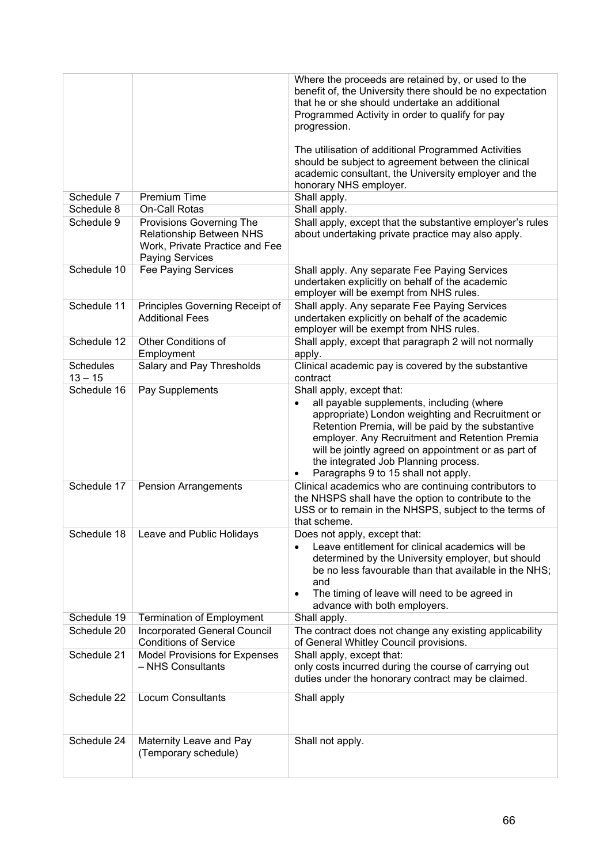|                               |                                                                                                                  | Where the proceeds are retained by, or used to the<br>benefit of, the University there should be no expectation<br>that he or she should undertake an additional<br>Programmed Activity in order to qualify for pay<br>progression.                                                                                                                                                               |
|-------------------------------|------------------------------------------------------------------------------------------------------------------|---------------------------------------------------------------------------------------------------------------------------------------------------------------------------------------------------------------------------------------------------------------------------------------------------------------------------------------------------------------------------------------------------|
|                               |                                                                                                                  | The utilisation of additional Programmed Activities<br>should be subject to agreement between the clinical<br>academic consultant, the University employer and the<br>honorary NHS employer.                                                                                                                                                                                                      |
| Schedule 7                    | <b>Premium Time</b>                                                                                              | Shall apply.                                                                                                                                                                                                                                                                                                                                                                                      |
| Schedule 8                    | On-Call Rotas                                                                                                    | Shall apply.                                                                                                                                                                                                                                                                                                                                                                                      |
| Schedule 9                    | Provisions Governing The<br>Relationship Between NHS<br>Work, Private Practice and Fee<br><b>Paying Services</b> | Shall apply, except that the substantive employer's rules<br>about undertaking private practice may also apply.                                                                                                                                                                                                                                                                                   |
| Schedule 10                   | Fee Paying Services                                                                                              | Shall apply. Any separate Fee Paying Services<br>undertaken explicitly on behalf of the academic<br>employer will be exempt from NHS rules.                                                                                                                                                                                                                                                       |
| Schedule 11                   | Principles Governing Receipt of<br><b>Additional Fees</b>                                                        | Shall apply. Any separate Fee Paying Services<br>undertaken explicitly on behalf of the academic<br>employer will be exempt from NHS rules.                                                                                                                                                                                                                                                       |
| Schedule 12                   | Other Conditions of<br>Employment                                                                                | Shall apply, except that paragraph 2 will not normally<br>apply.                                                                                                                                                                                                                                                                                                                                  |
| <b>Schedules</b><br>$13 - 15$ | Salary and Pay Thresholds                                                                                        | Clinical academic pay is covered by the substantive<br>contract                                                                                                                                                                                                                                                                                                                                   |
| Schedule 16                   | Pay Supplements                                                                                                  | Shall apply, except that:<br>all payable supplements, including (where<br>$\bullet$<br>appropriate) London weighting and Recruitment or<br>Retention Premia, will be paid by the substantive<br>employer. Any Recruitment and Retention Premia<br>will be jointly agreed on appointment or as part of<br>the integrated Job Planning process.<br>Paragraphs 9 to 15 shall not apply.<br>$\bullet$ |
| Schedule 17                   | <b>Pension Arrangements</b>                                                                                      | Clinical academics who are continuing contributors to<br>the NHSPS shall have the option to contribute to the<br>USS or to remain in the NHSPS, subject to the terms of<br>that scheme.                                                                                                                                                                                                           |
| Schedule 18                   | Leave and Public Holidays                                                                                        | Does not apply, except that:<br>Leave entitlement for clinical academics will be<br>$\bullet$<br>determined by the University employer, but should<br>be no less favourable than that available in the NHS;<br>and<br>The timing of leave will need to be agreed in<br>٠<br>advance with both employers.                                                                                          |
| Schedule 19                   | <b>Termination of Employment</b>                                                                                 | Shall apply.                                                                                                                                                                                                                                                                                                                                                                                      |
| Schedule 20                   | <b>Incorporated General Council</b><br><b>Conditions of Service</b>                                              | The contract does not change any existing applicability<br>of General Whitley Council provisions.                                                                                                                                                                                                                                                                                                 |
| Schedule 21                   | <b>Model Provisions for Expenses</b><br>- NHS Consultants                                                        | Shall apply, except that:<br>only costs incurred during the course of carrying out<br>duties under the honorary contract may be claimed.                                                                                                                                                                                                                                                          |
| Schedule 22                   | <b>Locum Consultants</b>                                                                                         | Shall apply                                                                                                                                                                                                                                                                                                                                                                                       |
| Schedule 24                   | Maternity Leave and Pay<br>(Temporary schedule)                                                                  | Shall not apply.                                                                                                                                                                                                                                                                                                                                                                                  |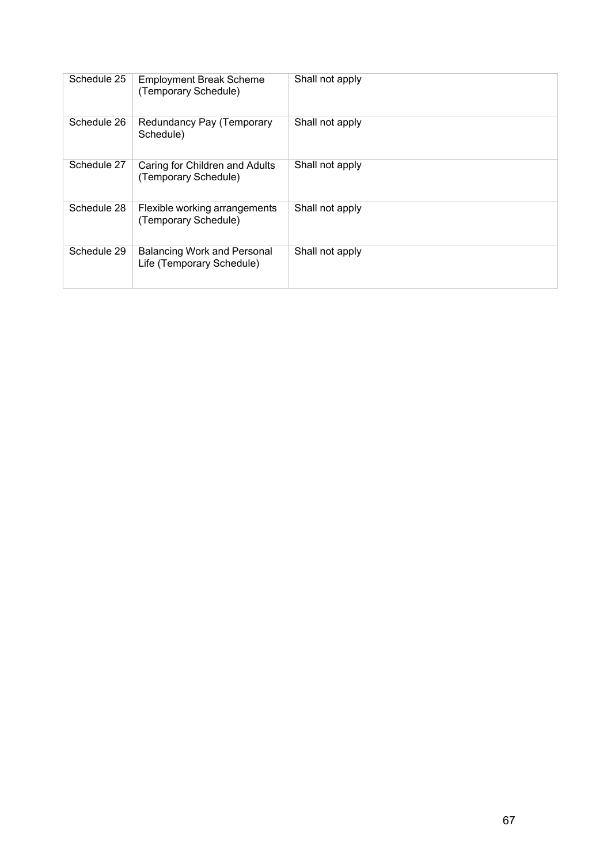| Schedule 25 | <b>Employment Break Scheme</b><br>(Temporary Schedule)          | Shall not apply |
|-------------|-----------------------------------------------------------------|-----------------|
| Schedule 26 | Redundancy Pay (Temporary<br>Schedule)                          | Shall not apply |
| Schedule 27 | Caring for Children and Adults<br>(Temporary Schedule)          | Shall not apply |
| Schedule 28 | Flexible working arrangements<br>(Temporary Schedule)           | Shall not apply |
| Schedule 29 | <b>Balancing Work and Personal</b><br>Life (Temporary Schedule) | Shall not apply |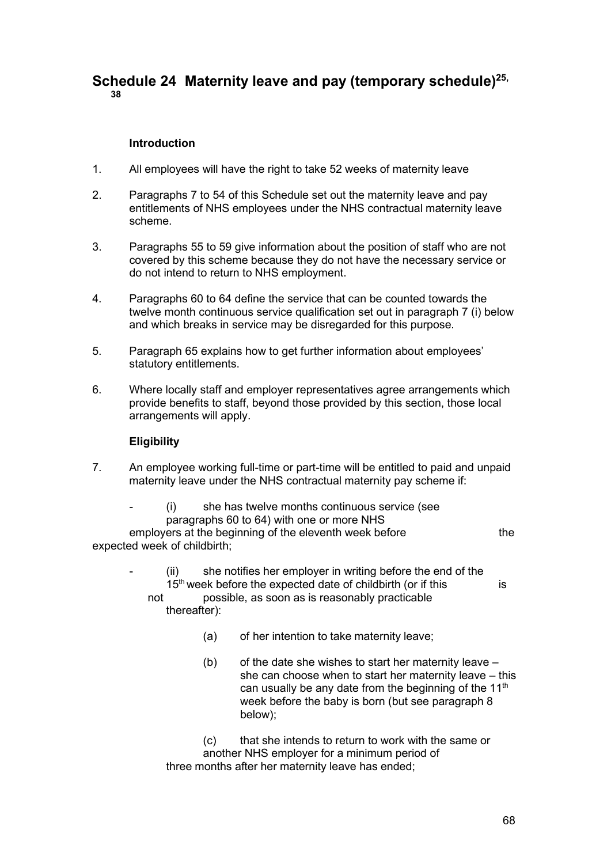## **Schedule 24 Maternity leave and pay (temporary schedule)25, 38**

#### **Introduction**

- 1. All employees will have the right to take 52 weeks of maternity leave
- 2. Paragraphs 7 to 54 of this Schedule set out the maternity leave and pay entitlements of NHS employees under the NHS contractual maternity leave scheme.
- 3. Paragraphs 55 to 59 give information about the position of staff who are not covered by this scheme because they do not have the necessary service or do not intend to return to NHS employment.
- 4. Paragraphs 60 to 64 define the service that can be counted towards the twelve month continuous service qualification set out in paragraph 7 (i) below and which breaks in service may be disregarded for this purpose.
- 5. Paragraph 65 explains how to get further information about employees' statutory entitlements.
- 6. Where locally staff and employer representatives agree arrangements which provide benefits to staff, beyond those provided by this section, those local arrangements will apply.

#### **Eligibility**

7. An employee working full-time or part-time will be entitled to paid and unpaid maternity leave under the NHS contractual maternity pay scheme if:

(i) she has twelve months continuous service (see paragraphs 60 to 64) with one or more NHS employers at the beginning of the eleventh week before the the expected week of childbirth;

- $(ii)$  she notifies her employer in writing before the end of the  $15<sup>th</sup>$  week before the expected date of childbirth (or if this is not possible, as soon as is reasonably practicable thereafter):
	- (a) of her intention to take maternity leave;
	- (b) of the date she wishes to start her maternity leave she can choose when to start her maternity leave – this can usually be any date from the beginning of the  $11<sup>th</sup>$ week before the baby is born (but see paragraph 8 below);

(c) that she intends to return to work with the same or another NHS employer for a minimum period of three months after her maternity leave has ended;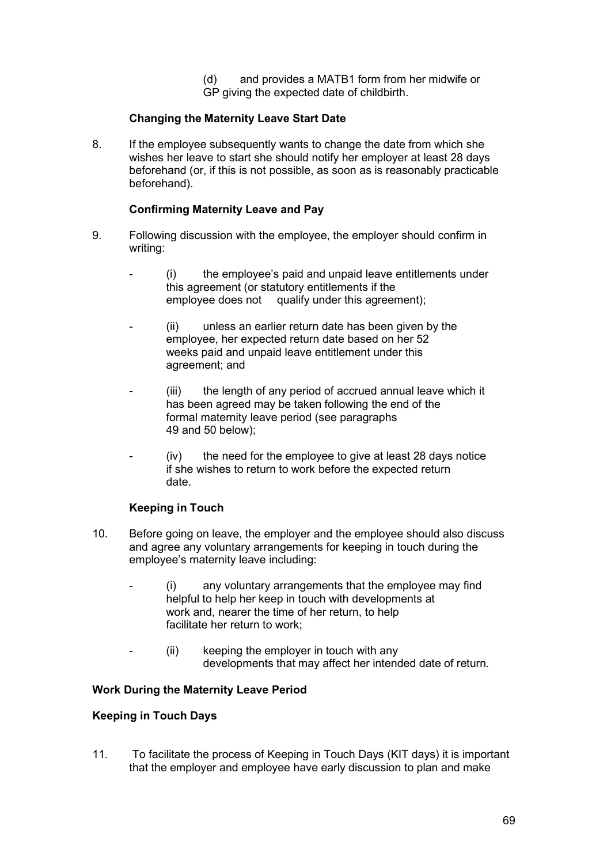(d) and provides a MATB1 form from her midwife or GP giving the expected date of childbirth.

## **Changing the Maternity Leave Start Date**

8. If the employee subsequently wants to change the date from which she wishes her leave to start she should notify her employer at least 28 days beforehand (or, if this is not possible, as soon as is reasonably practicable beforehand).

#### **Confirming Maternity Leave and Pay**

- 9. Following discussion with the employee, the employer should confirm in writing:
	- (i) the employee's paid and unpaid leave entitlements under this agreement (or statutory entitlements if the employee does not qualify under this agreement);
	- (ii) unless an earlier return date has been given by the employee, her expected return date based on her 52 weeks paid and unpaid leave entitlement under this agreement; and
	- $(iii)$  the length of any period of accrued annual leave which it has been agreed may be taken following the end of the formal maternity leave period (see paragraphs 49 and 50 below);
	- (iv) the need for the employee to give at least 28 days notice if she wishes to return to work before the expected return date.

## **Keeping in Touch**

- 10. Before going on leave, the employer and the employee should also discuss and agree any voluntary arrangements for keeping in touch during the employee's maternity leave including:
	- $(i)$  any voluntary arrangements that the employee may find helpful to help her keep in touch with developments at work and, nearer the time of her return, to help facilitate her return to work;
	- $(ii)$  keeping the employer in touch with any developments that may affect her intended date of return.

#### **Work During the Maternity Leave Period**

#### **Keeping in Touch Days**

11. To facilitate the process of Keeping in Touch Days (KIT days) it is important that the employer and employee have early discussion to plan and make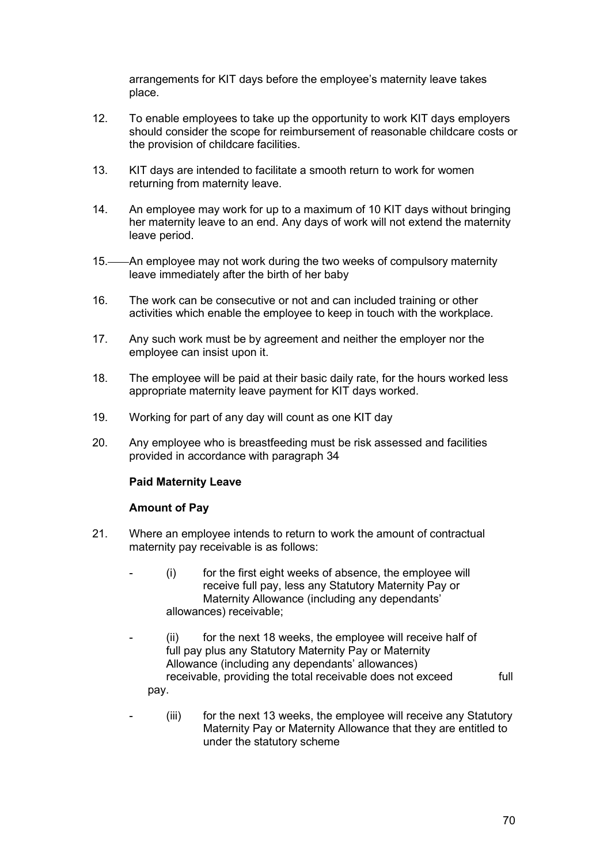arrangements for KIT days before the employee's maternity leave takes place.

- 12. To enable employees to take up the opportunity to work KIT days employers should consider the scope for reimbursement of reasonable childcare costs or the provision of childcare facilities.
- 13. KIT days are intended to facilitate a smooth return to work for women returning from maternity leave.
- 14. An employee may work for up to a maximum of 10 KIT days without bringing her maternity leave to an end. Any days of work will not extend the maternity leave period.
- 15.——An employee may not work during the two weeks of compulsory maternity leave immediately after the birth of her baby
- 16. The work can be consecutive or not and can included training or other activities which enable the employee to keep in touch with the workplace.
- 17. Any such work must be by agreement and neither the employer nor the employee can insist upon it.
- 18. The employee will be paid at their basic daily rate, for the hours worked less appropriate maternity leave payment for KIT days worked.
- 19. Working for part of any day will count as one KIT day
- 20. Any employee who is breastfeeding must be risk assessed and facilities provided in accordance with paragraph 34

#### **Paid Maternity Leave**

#### **Amount of Pay**

- 21. Where an employee intends to return to work the amount of contractual maternity pay receivable is as follows:
	- $(i)$  for the first eight weeks of absence, the employee will receive full pay, less any Statutory Maternity Pay or Maternity Allowance (including any dependants' allowances) receivable;
	- $(ii)$  for the next 18 weeks, the employee will receive half of full pay plus any Statutory Maternity Pay or Maternity Allowance (including any dependants' allowances) receivable, providing the total receivable does not exceed full pay.
	- $(iii)$  for the next 13 weeks, the employee will receive any Statutory Maternity Pay or Maternity Allowance that they are entitled to under the statutory scheme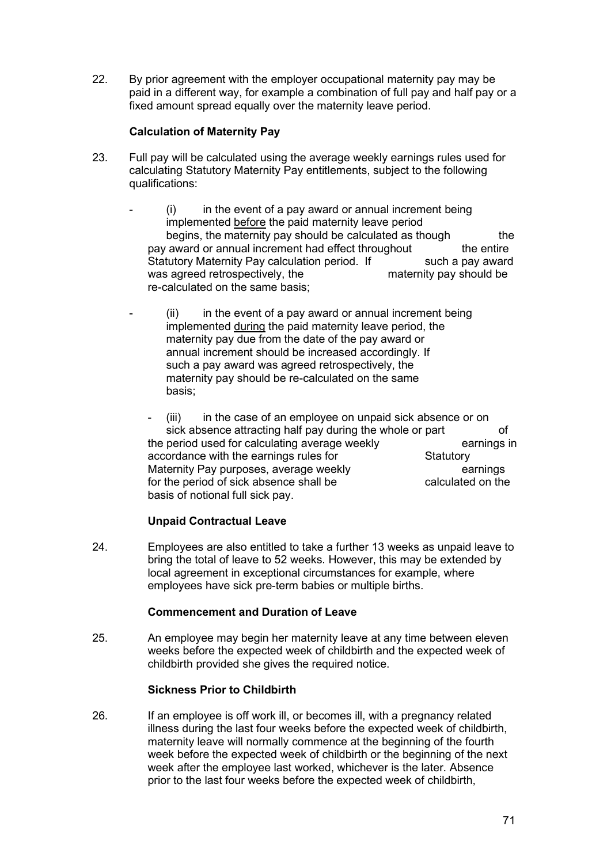22. By prior agreement with the employer occupational maternity pay may be paid in a different way, for example a combination of full pay and half pay or a fixed amount spread equally over the maternity leave period.

#### **Calculation of Maternity Pay**

- 23. Full pay will be calculated using the average weekly earnings rules used for calculating Statutory Maternity Pay entitlements, subject to the following qualifications:
	- $(i)$  in the event of a pay award or annual increment being implemented before the paid maternity leave period begins, the maternity pay should be calculated as though the the the the entire by a ward or annual increment had effect throughout pay award or annual increment had effect throughout Statutory Maternity Pay calculation period. If such a pay award<br>was agreed retrospectively, the maternity pay should be was agreed retrospectively, the re-calculated on the same basis;
	- $(ii)$  in the event of a pay award or annual increment being implemented during the paid maternity leave period, the maternity pay due from the date of the pay award or annual increment should be increased accordingly. If such a pay award was agreed retrospectively, the maternity pay should be re-calculated on the same basis;

 $(iii)$  in the case of an employee on unpaid sick absence or on sick absence attracting half pay during the whole or part of<br>period used for calculating average weekly earnings in the period used for calculating average weekly<br>accordance with the earnings rules for Statutory accordance with the earnings rules for Maternity Pay purposes, average weekly earnings earnings for the period of sick absence shall be calculated on the basis of notional full sick pay.

## **Unpaid Contractual Leave**

24. Employees are also entitled to take a further 13 weeks as unpaid leave to bring the total of leave to 52 weeks. However, this may be extended by local agreement in exceptional circumstances for example, where employees have sick pre-term babies or multiple births.

#### **Commencement and Duration of Leave**

25. An employee may begin her maternity leave at any time between eleven weeks before the expected week of childbirth and the expected week of childbirth provided she gives the required notice.

## **Sickness Prior to Childbirth**

26. If an employee is off work ill, or becomes ill, with a pregnancy related illness during the last four weeks before the expected week of childbirth, maternity leave will normally commence at the beginning of the fourth week before the expected week of childbirth or the beginning of the next week after the employee last worked, whichever is the later. Absence prior to the last four weeks before the expected week of childbirth,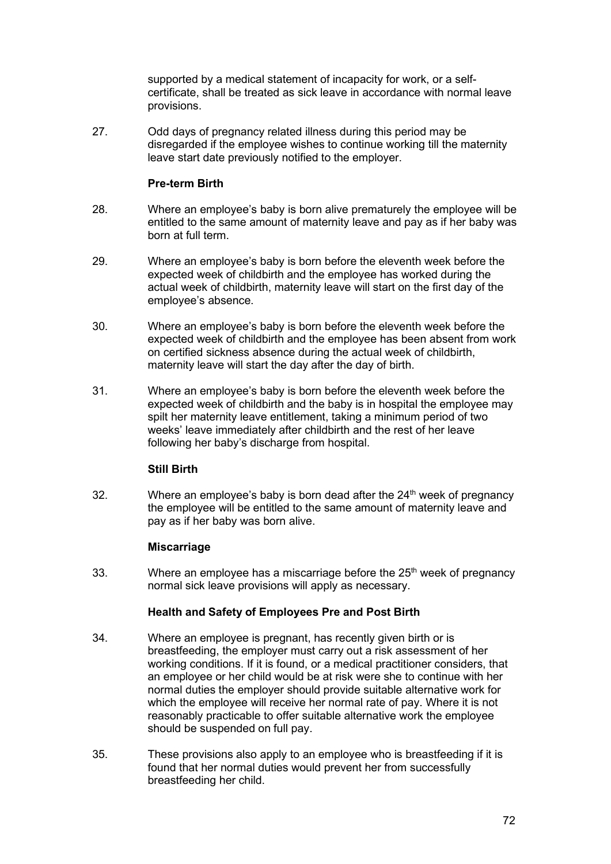supported by a medical statement of incapacity for work, or a selfcertificate, shall be treated as sick leave in accordance with normal leave provisions.

27. Odd days of pregnancy related illness during this period may be disregarded if the employee wishes to continue working till the maternity leave start date previously notified to the employer.

#### **Pre-term Birth**

- 28. Where an employee's baby is born alive prematurely the employee will be entitled to the same amount of maternity leave and pay as if her baby was born at full term.
- 29. Where an employee's baby is born before the eleventh week before the expected week of childbirth and the employee has worked during the actual week of childbirth, maternity leave will start on the first day of the employee's absence.
- 30. Where an employee's baby is born before the eleventh week before the expected week of childbirth and the employee has been absent from work on certified sickness absence during the actual week of childbirth, maternity leave will start the day after the day of birth.
- 31. Where an employee's baby is born before the eleventh week before the expected week of childbirth and the baby is in hospital the employee may spilt her maternity leave entitlement, taking a minimum period of two weeks' leave immediately after childbirth and the rest of her leave following her baby's discharge from hospital.

## **Still Birth**

32. Where an employee's baby is born dead after the  $24<sup>th</sup>$  week of pregnancy the employee will be entitled to the same amount of maternity leave and pay as if her baby was born alive.

## **Miscarriage**

33. Where an employee has a miscarriage before the  $25<sup>th</sup>$  week of pregnancy normal sick leave provisions will apply as necessary.

#### **Health and Safety of Employees Pre and Post Birth**

- 34. Where an employee is pregnant, has recently given birth or is breastfeeding, the employer must carry out a risk assessment of her working conditions. If it is found, or a medical practitioner considers, that an employee or her child would be at risk were she to continue with her normal duties the employer should provide suitable alternative work for which the employee will receive her normal rate of pay. Where it is not reasonably practicable to offer suitable alternative work the employee should be suspended on full pay.
- 35. These provisions also apply to an employee who is breastfeeding if it is found that her normal duties would prevent her from successfully breastfeeding her child.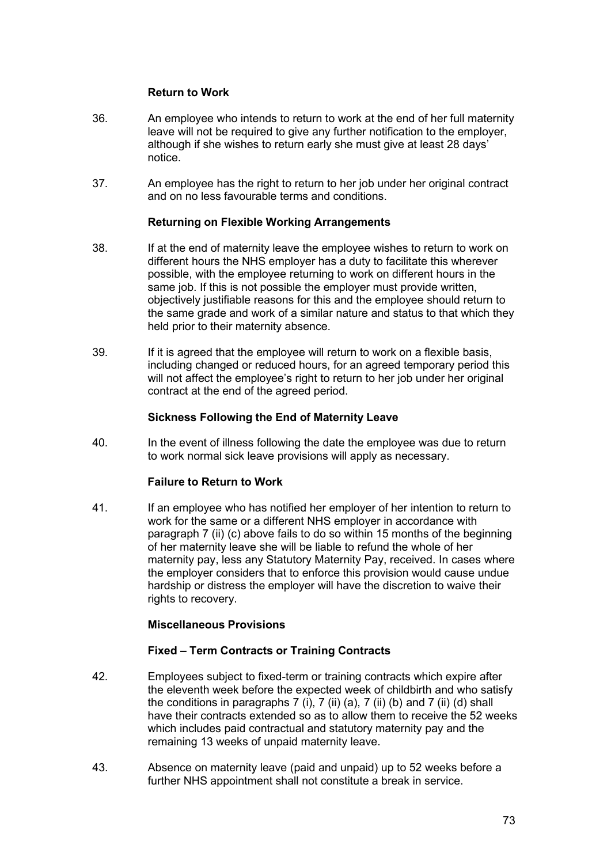## **Return to Work**

- 36. An employee who intends to return to work at the end of her full maternity leave will not be required to give any further notification to the employer, although if she wishes to return early she must give at least 28 days' notice.
- 37. An employee has the right to return to her job under her original contract and on no less favourable terms and conditions.

## **Returning on Flexible Working Arrangements**

- 38. If at the end of maternity leave the employee wishes to return to work on different hours the NHS employer has a duty to facilitate this wherever possible, with the employee returning to work on different hours in the same job. If this is not possible the employer must provide written, objectively justifiable reasons for this and the employee should return to the same grade and work of a similar nature and status to that which they held prior to their maternity absence.
- 39. If it is agreed that the employee will return to work on a flexible basis, including changed or reduced hours, for an agreed temporary period this will not affect the employee's right to return to her job under her original contract at the end of the agreed period.

#### **Sickness Following the End of Maternity Leave**

40. In the event of illness following the date the employee was due to return to work normal sick leave provisions will apply as necessary.

## **Failure to Return to Work**

41. If an employee who has notified her employer of her intention to return to work for the same or a different NHS employer in accordance with paragraph 7 (ii) (c) above fails to do so within 15 months of the beginning of her maternity leave she will be liable to refund the whole of her maternity pay, less any Statutory Maternity Pay, received. In cases where the employer considers that to enforce this provision would cause undue hardship or distress the employer will have the discretion to waive their rights to recovery.

## **Miscellaneous Provisions**

## **Fixed – Term Contracts or Training Contracts**

- 42. Employees subject to fixed-term or training contracts which expire after the eleventh week before the expected week of childbirth and who satisfy the conditions in paragraphs  $7$  (i),  $7$  (ii) (a),  $7$  (ii) (b) and  $7$  (ii) (d) shall have their contracts extended so as to allow them to receive the 52 weeks which includes paid contractual and statutory maternity pay and the remaining 13 weeks of unpaid maternity leave.
- 43. Absence on maternity leave (paid and unpaid) up to 52 weeks before a further NHS appointment shall not constitute a break in service.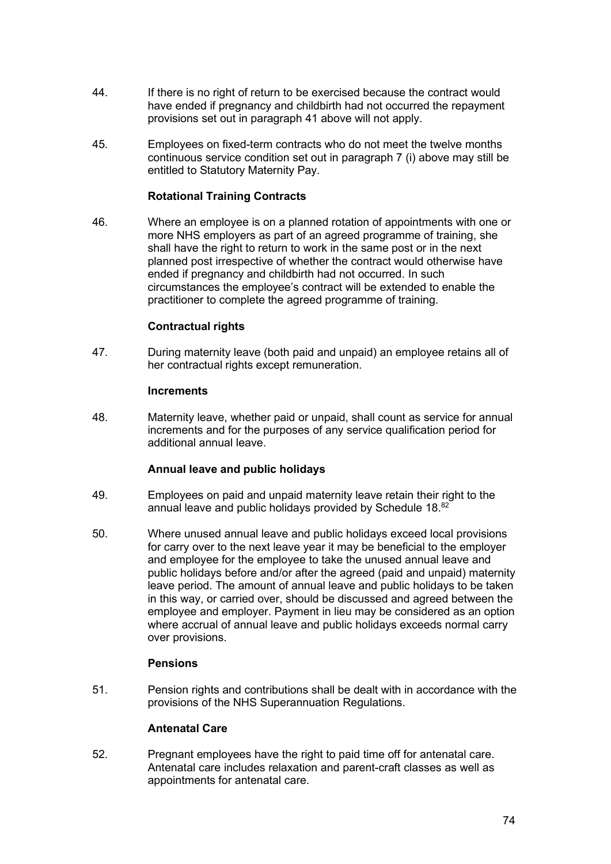- 44. If there is no right of return to be exercised because the contract would have ended if pregnancy and childbirth had not occurred the repayment provisions set out in paragraph 41 above will not apply.
- 45. Employees on fixed-term contracts who do not meet the twelve months continuous service condition set out in paragraph 7 (i) above may still be entitled to Statutory Maternity Pay.

## **Rotational Training Contracts**

46. Where an employee is on a planned rotation of appointments with one or more NHS employers as part of an agreed programme of training, she shall have the right to return to work in the same post or in the next planned post irrespective of whether the contract would otherwise have ended if pregnancy and childbirth had not occurred. In such circumstances the employee's contract will be extended to enable the practitioner to complete the agreed programme of training.

## **Contractual rights**

47. During maternity leave (both paid and unpaid) an employee retains all of her contractual rights except remuneration.

## **Increments**

48. Maternity leave, whether paid or unpaid, shall count as service for annual increments and for the purposes of any service qualification period for additional annual leave.

## **Annual leave and public holidays**

- 49. Employees on paid and unpaid maternity leave retain their right to the annual leave and public holidays provided by Schedule 18.<sup>82</sup>
- 50. Where unused annual leave and public holidays exceed local provisions for carry over to the next leave year it may be beneficial to the employer and employee for the employee to take the unused annual leave and public holidays before and/or after the agreed (paid and unpaid) maternity leave period. The amount of annual leave and public holidays to be taken in this way, or carried over, should be discussed and agreed between the employee and employer. Payment in lieu may be considered as an option where accrual of annual leave and public holidays exceeds normal carry over provisions.

## **Pensions**

51. Pension rights and contributions shall be dealt with in accordance with the provisions of the NHS Superannuation Regulations.

## **Antenatal Care**

52. Pregnant employees have the right to paid time off for antenatal care. Antenatal care includes relaxation and parent-craft classes as well as appointments for antenatal care.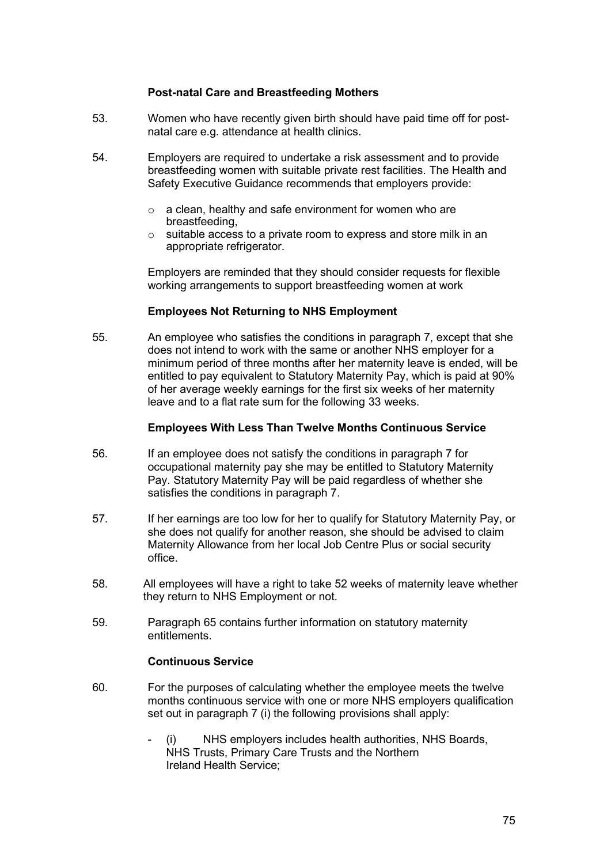## **Post-natal Care and Breastfeeding Mothers**

- 53. Women who have recently given birth should have paid time off for postnatal care e.g. attendance at health clinics.
- 54. Employers are required to undertake a risk assessment and to provide breastfeeding women with suitable private rest facilities. The Health and Safety Executive Guidance recommends that employers provide:
	- o a clean, healthy and safe environment for women who are breastfeeding,
	- o suitable access to a private room to express and store milk in an appropriate refrigerator.

Employers are reminded that they should consider requests for flexible working arrangements to support breastfeeding women at work

## **Employees Not Returning to NHS Employment**

55. An employee who satisfies the conditions in paragraph 7, except that she does not intend to work with the same or another NHS employer for a minimum period of three months after her maternity leave is ended, will be entitled to pay equivalent to Statutory Maternity Pay, which is paid at 90% of her average weekly earnings for the first six weeks of her maternity leave and to a flat rate sum for the following 33 weeks.

#### **Employees With Less Than Twelve Months Continuous Service**

- 56. If an employee does not satisfy the conditions in paragraph 7 for occupational maternity pay she may be entitled to Statutory Maternity Pay. Statutory Maternity Pay will be paid regardless of whether she satisfies the conditions in paragraph 7.
- 57. If her earnings are too low for her to qualify for Statutory Maternity Pay, or she does not qualify for another reason, she should be advised to claim Maternity Allowance from her local Job Centre Plus or social security office.
- 58. All employees will have a right to take 52 weeks of maternity leave whether they return to NHS Employment or not.
- 59. Paragraph 65 contains further information on statutory maternity entitlements.

#### **Continuous Service**

- 60. For the purposes of calculating whether the employee meets the twelve months continuous service with one or more NHS employers qualification set out in paragraph 7 (i) the following provisions shall apply:
	- (i) NHS employers includes health authorities, NHS Boards, NHS Trusts, Primary Care Trusts and the Northern Ireland Health Service;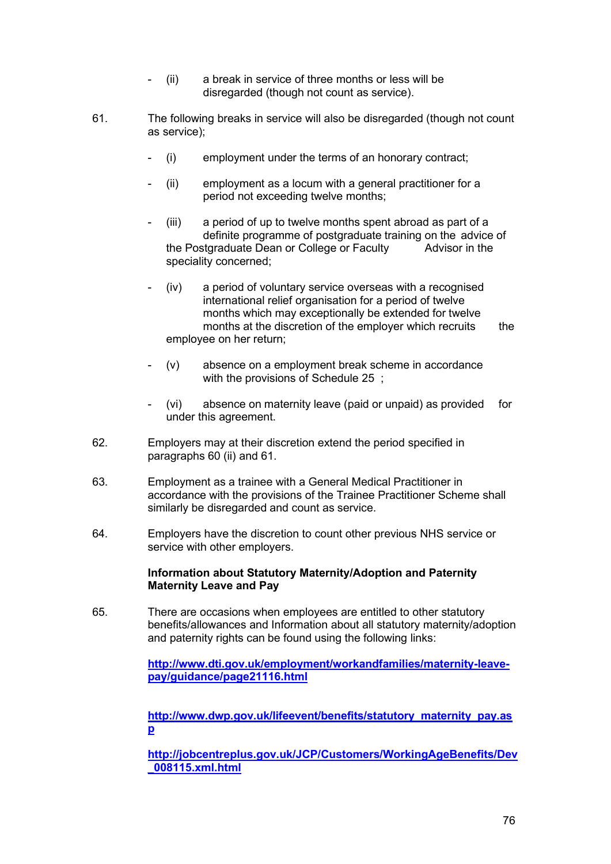- (ii) a break in service of three months or less will be disregarded (though not count as service).
- 61. The following breaks in service will also be disregarded (though not count as service);
	- (i) employment under the terms of an honorary contract;
	- $(ii)$  employment as a locum with a general practitioner for a period not exceeding twelve months;
	- $(iii)$  a period of up to twelve months spent abroad as part of a definite programme of postgraduate training on the advice of definite programme of postgraduate Dean or College or Faculty the Postgraduate Dean or College or Faculty speciality concerned;
	- $(iv)$  a period of voluntary service overseas with a recognised international relief organisation for a period of twelve months which may exceptionally be extended for twelve months at the discretion of the employer which recruits the employee on her return;
	- $(v)$  absence on a employment break scheme in accordance with the provisions of Schedule 25 ;
	- (vi) absence on maternity leave (paid or unpaid) as provided for under this agreement.
- 62. Employers may at their discretion extend the period specified in paragraphs 60 (ii) and 61.
- 63. Employment as a trainee with a General Medical Practitioner in accordance with the provisions of the Trainee Practitioner Scheme shall similarly be disregarded and count as service.
- 64. Employers have the discretion to count other previous NHS service or service with other employers.

#### **Information about Statutory Maternity/Adoption and Paternity Maternity Leave and Pay**

65. There are occasions when employees are entitled to other statutory benefits/allowances and Information about all statutory maternity/adoption and paternity rights can be found using the following links:

> **[http://www.dti.gov.uk/employment/workandfamilies/maternity-leave](http://www.dti.gov.uk/employment/workandfamilies/maternity-leave-pay/guidance/page21116.html)[pay/guidance/page21116.html](http://www.dti.gov.uk/employment/workandfamilies/maternity-leave-pay/guidance/page21116.html)**

> **[http://www.dwp.gov.uk/lifeevent/benefits/statutory\\_maternity\\_pay.as](http://www.dwp.gov.uk/lifeevent/benefits/statutory_maternity_pay.asp) [p](http://www.dwp.gov.uk/lifeevent/benefits/statutory_maternity_pay.asp)**

**[http://jobcentreplus.gov.uk/JCP/Customers/WorkingAgeBenefits/Dev](http://jobcentreplus.gov.uk/JCP/Customers/WorkingAgeBenefits/Dev_008115.xml.html) [\\_008115.xml.html](http://jobcentreplus.gov.uk/JCP/Customers/WorkingAgeBenefits/Dev_008115.xml.html)**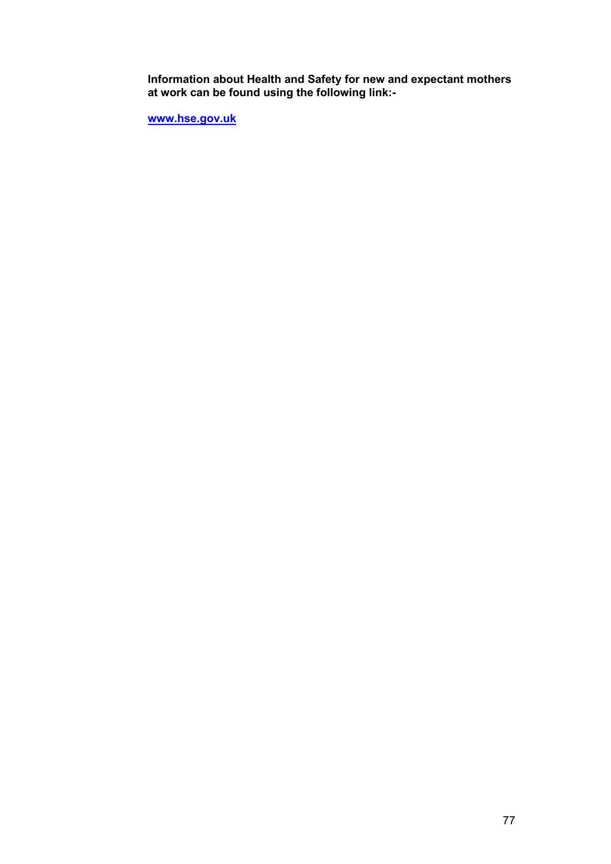**Information about Health and Safety for new and expectant mothers at work can be found using the following link:-**

**[www.hse.gov.uk](http://www.hse.gov.uk/)**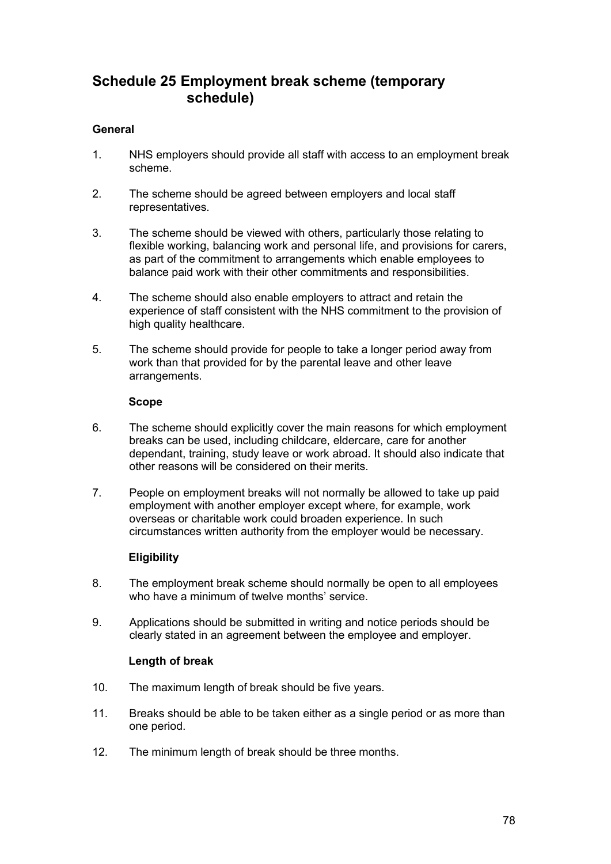# **Schedule 25 Employment break scheme (temporary schedule)**

## **General**

- 1. NHS employers should provide all staff with access to an employment break scheme.
- 2. The scheme should be agreed between employers and local staff representatives.
- 3. The scheme should be viewed with others, particularly those relating to flexible working, balancing work and personal life, and provisions for carers, as part of the commitment to arrangements which enable employees to balance paid work with their other commitments and responsibilities.
- 4. The scheme should also enable employers to attract and retain the experience of staff consistent with the NHS commitment to the provision of high quality healthcare.
- 5. The scheme should provide for people to take a longer period away from work than that provided for by the parental leave and other leave arrangements.

#### **Scope**

- 6. The scheme should explicitly cover the main reasons for which employment breaks can be used, including childcare, eldercare, care for another dependant, training, study leave or work abroad. It should also indicate that other reasons will be considered on their merits.
- 7. People on employment breaks will not normally be allowed to take up paid employment with another employer except where, for example, work overseas or charitable work could broaden experience. In such circumstances written authority from the employer would be necessary.

## **Eligibility**

- 8. The employment break scheme should normally be open to all employees who have a minimum of twelve months' service
- 9. Applications should be submitted in writing and notice periods should be clearly stated in an agreement between the employee and employer.

## **Length of break**

- 10. The maximum length of break should be five years.
- 11. Breaks should be able to be taken either as a single period or as more than one period.
- 12. The minimum length of break should be three months.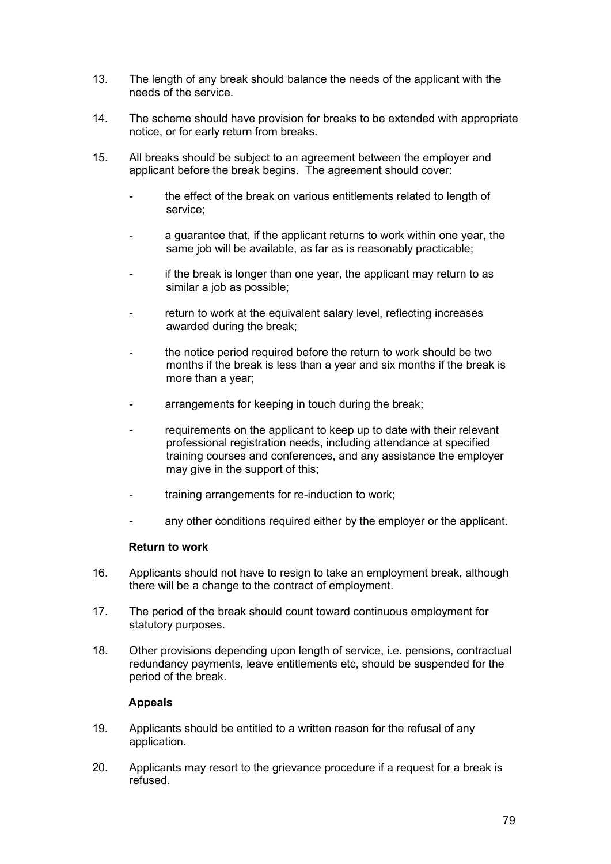- 13. The length of any break should balance the needs of the applicant with the needs of the service.
- 14. The scheme should have provision for breaks to be extended with appropriate notice, or for early return from breaks.
- 15. All breaks should be subject to an agreement between the employer and applicant before the break begins. The agreement should cover:
	- the effect of the break on various entitlements related to length of service;
	- a guarantee that, if the applicant returns to work within one year, the same job will be available, as far as is reasonably practicable;
	- if the break is longer than one year, the applicant may return to as similar a job as possible;
	- return to work at the equivalent salary level, reflecting increases awarded during the break;
	- the notice period required before the return to work should be two months if the break is less than a year and six months if the break is more than a year;
	- arrangements for keeping in touch during the break;
	- requirements on the applicant to keep up to date with their relevant professional registration needs, including attendance at specified training courses and conferences, and any assistance the employer may give in the support of this;
	- training arrangements for re-induction to work;
	- any other conditions required either by the employer or the applicant.

## **Return to work**

- 16. Applicants should not have to resign to take an employment break, although there will be a change to the contract of employment.
- 17. The period of the break should count toward continuous employment for statutory purposes.
- 18. Other provisions depending upon length of service, i.e. pensions, contractual redundancy payments, leave entitlements etc, should be suspended for the period of the break.

## **Appeals**

- 19. Applicants should be entitled to a written reason for the refusal of any application.
- 20. Applicants may resort to the grievance procedure if a request for a break is refused.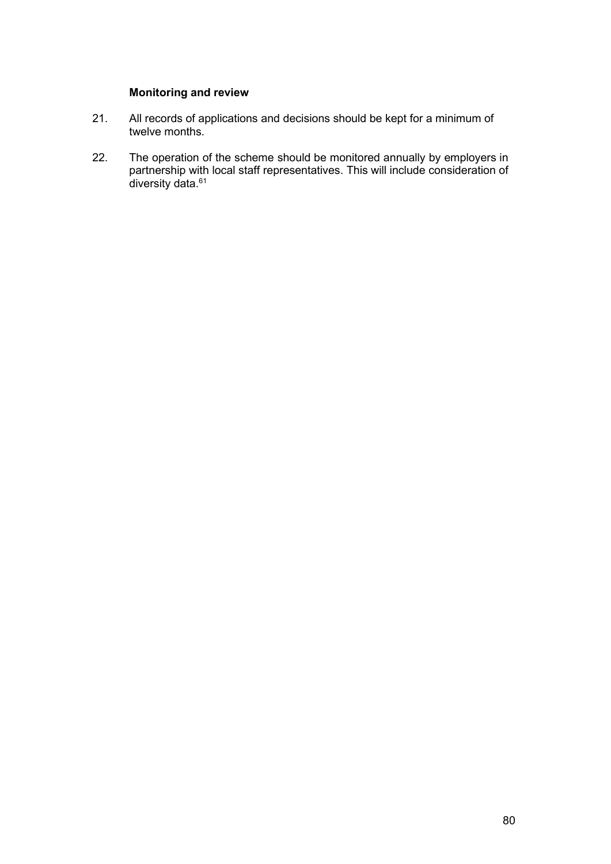## **Monitoring and review**

- 21. All records of applications and decisions should be kept for a minimum of twelve months.
- 22. The operation of the scheme should be monitored annually by employers in partnership with local staff representatives. This will include consideration of diversity data.<sup>61</sup>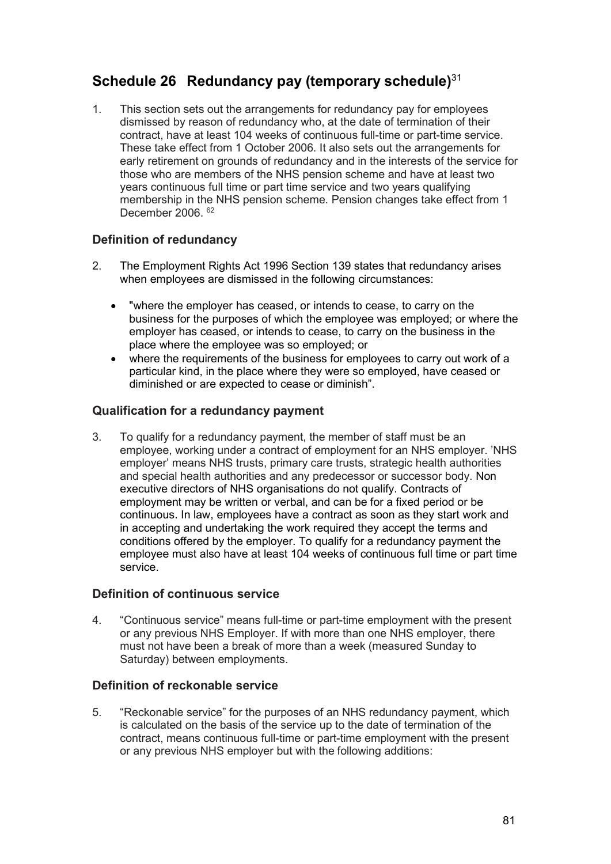# **Schedule 26 Redundancy pay (temporary schedule)**<sup>31</sup>

1. This section sets out the arrangements for redundancy pay for employees dismissed by reason of redundancy who, at the date of termination of their contract, have at least 104 weeks of continuous full-time or part-time service. These take effect from 1 October 2006. It also sets out the arrangements for early retirement on grounds of redundancy and in the interests of the service for those who are members of the NHS pension scheme and have at least two years continuous full time or part time service and two years qualifying membership in the NHS pension scheme. Pension changes take effect from 1 December 2006. <sup>62</sup>

## **Definition of redundancy**

- 2. The Employment Rights Act 1996 Section 139 states that redundancy arises when employees are dismissed in the following circumstances:
	- "where the employer has ceased, or intends to cease, to carry on the business for the purposes of which the employee was employed; or where the employer has ceased, or intends to cease, to carry on the business in the place where the employee was so employed; or
	- where the requirements of the business for employees to carry out work of a particular kind, in the place where they were so employed, have ceased or diminished or are expected to cease or diminish".

## **Qualification for a redundancy payment**

3. To qualify for a redundancy payment, the member of staff must be an employee, working under a contract of employment for an NHS employer. 'NHS employer' means NHS trusts, primary care trusts, strategic health authorities and special health authorities and any predecessor or successor body. Non executive directors of NHS organisations do not qualify. Contracts of employment may be written or verbal, and can be for a fixed period or be continuous. In law, employees have a contract as soon as they start work and in accepting and undertaking the work required they accept the terms and conditions offered by the employer. To qualify for a redundancy payment the employee must also have at least 104 weeks of continuous full time or part time service.

## **Definition of continuous service**

4. "Continuous service" means full-time or part-time employment with the present or any previous NHS Employer. If with more than one NHS employer, there must not have been a break of more than a week (measured Sunday to Saturday) between employments.

## **Definition of reckonable service**

5. "Reckonable service" for the purposes of an NHS redundancy payment, which is calculated on the basis of the service up to the date of termination of the contract, means continuous full-time or part-time employment with the present or any previous NHS employer but with the following additions: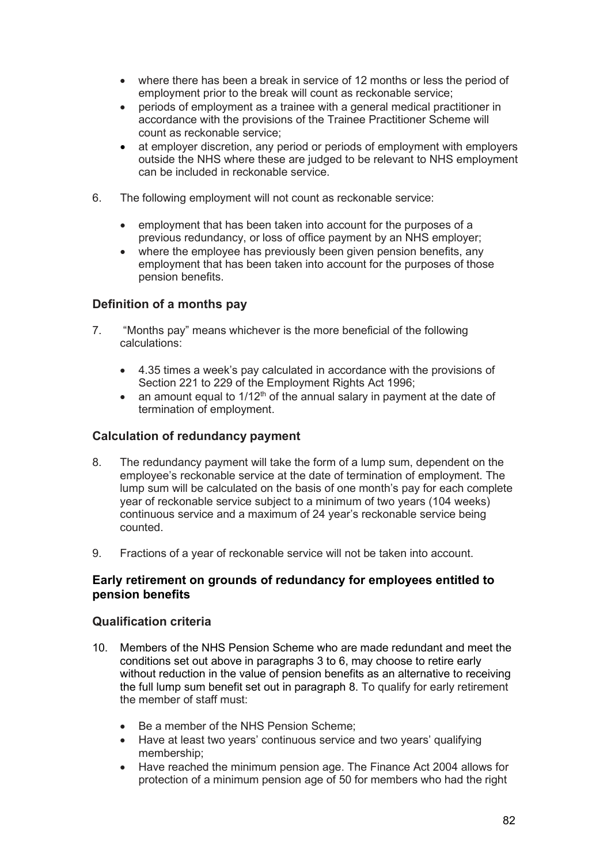- where there has been a break in service of 12 months or less the period of employment prior to the break will count as reckonable service;
- periods of employment as a trainee with a general medical practitioner in accordance with the provisions of the Trainee Practitioner Scheme will count as reckonable service;
- at employer discretion, any period or periods of employment with employers outside the NHS where these are judged to be relevant to NHS employment can be included in reckonable service.
- 6. The following employment will not count as reckonable service:
	- employment that has been taken into account for the purposes of a previous redundancy, or loss of office payment by an NHS employer;
	- where the employee has previously been given pension benefits, any employment that has been taken into account for the purposes of those pension benefits.

## **Definition of a months pay**

- 7. "Months pay" means whichever is the more beneficial of the following calculations:
	- 4.35 times a week's pay calculated in accordance with the provisions of Section 221 to 229 of the Employment Rights Act 1996;
	- an amount equal to  $1/12<sup>th</sup>$  of the annual salary in payment at the date of termination of employment.

## **Calculation of redundancy payment**

- 8. The redundancy payment will take the form of a lump sum, dependent on the employee's reckonable service at the date of termination of employment. The lump sum will be calculated on the basis of one month's pay for each complete year of reckonable service subject to a minimum of two years (104 weeks) continuous service and a maximum of 24 year's reckonable service being counted.
- 9. Fractions of a year of reckonable service will not be taken into account.

## **Early retirement on grounds of redundancy for employees entitled to pension benefits**

## **Qualification criteria**

- 10. Members of the NHS Pension Scheme who are made redundant and meet the conditions set out above in paragraphs 3 to 6, may choose to retire early without reduction in the value of pension benefits as an alternative to receiving the full lump sum benefit set out in paragraph 8. To qualify for early retirement the member of staff must:
	- Be a member of the NHS Pension Scheme;
	- Have at least two years' continuous service and two years' qualifying membership;
	- Have reached the minimum pension age. The Finance Act 2004 allows for protection of a minimum pension age of 50 for members who had the right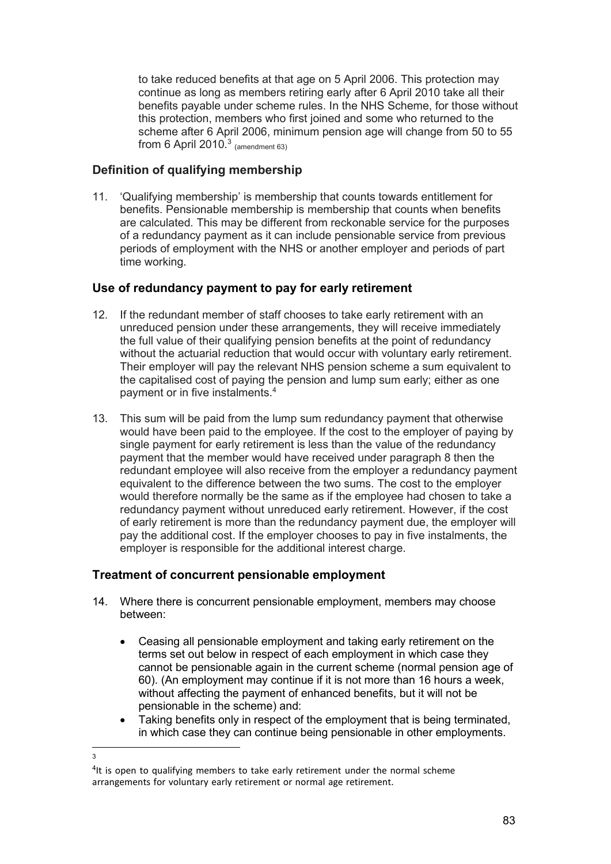to take reduced benefits at that age on 5 April 2006. This protection may continue as long as members retiring early after 6 April 2010 take all their benefits payable under scheme rules. In the NHS Scheme, for those without this protection, members who first joined and some who returned to the scheme after 6 April 2006, minimum pension age will change from 50 to 55 from 6 April  $2010.<sup>3</sup>$  (amendment 63)

## **Definition of qualifying membership**

11. 'Qualifying membership' is membership that counts towards entitlement for benefits. Pensionable membership is membership that counts when benefits are calculated. This may be different from reckonable service for the purposes of a redundancy payment as it can include pensionable service from previous periods of employment with the NHS or another employer and periods of part time working.

## **Use of redundancy payment to pay for early retirement**

- 12. If the redundant member of staff chooses to take early retirement with an unreduced pension under these arrangements, they will receive immediately the full value of their qualifying pension benefits at the point of redundancy without the actuarial reduction that would occur with voluntary early retirement. Their employer will pay the relevant NHS pension scheme a sum equivalent to the capitalised cost of paying the pension and lump sum early; either as one payment or in five instalments.4
- 13. This sum will be paid from the lump sum redundancy payment that otherwise would have been paid to the employee. If the cost to the employer of paying by single payment for early retirement is less than the value of the redundancy payment that the member would have received under paragraph 8 then the redundant employee will also receive from the employer a redundancy payment equivalent to the difference between the two sums. The cost to the employer would therefore normally be the same as if the employee had chosen to take a redundancy payment without unreduced early retirement. However, if the cost of early retirement is more than the redundancy payment due, the employer will pay the additional cost. If the employer chooses to pay in five instalments, the employer is responsible for the additional interest charge.

## **Treatment of concurrent pensionable employment**

3

- 14. Where there is concurrent pensionable employment, members may choose between:
	- Ceasing all pensionable employment and taking early retirement on the terms set out below in respect of each employment in which case they cannot be pensionable again in the current scheme (normal pension age of 60). (An employment may continue if it is not more than 16 hours a week, without affecting the payment of enhanced benefits, but it will not be pensionable in the scheme) and:
	- Taking benefits only in respect of the employment that is being terminated, in which case they can continue being pensionable in other employments.

<sup>&</sup>lt;sup>4</sup>It is open to qualifying members to take early retirement under the normal scheme arrangements for voluntary early retirement or normal age retirement.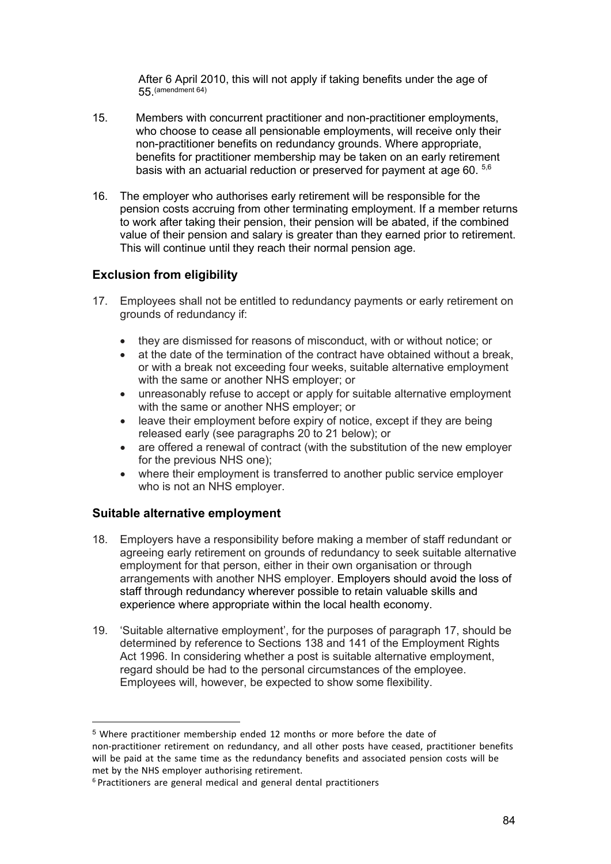After 6 April 2010, this will not apply if taking benefits under the age of 55.(amendment 64)

- 15. Members with concurrent practitioner and non-practitioner employments, who choose to cease all pensionable employments, will receive only their non-practitioner benefits on redundancy grounds. Where appropriate, benefits for practitioner membership may be taken on an early retirement basis with an actuarial reduction or preserved for payment at age 60.  $56$
- 16. The employer who authorises early retirement will be responsible for the pension costs accruing from other terminating employment. If a member returns to work after taking their pension, their pension will be abated, if the combined value of their pension and salary is greater than they earned prior to retirement. This will continue until they reach their normal pension age.

## **Exclusion from eligibility**

- 17. Employees shall not be entitled to redundancy payments or early retirement on grounds of redundancy if:
	- they are dismissed for reasons of misconduct, with or without notice; or
	- at the date of the termination of the contract have obtained without a break, or with a break not exceeding four weeks, suitable alternative employment with the same or another NHS employer; or
	- unreasonably refuse to accept or apply for suitable alternative employment with the same or another NHS employer; or
	- leave their employment before expiry of notice, except if they are being released early (see paragraphs 20 to 21 below); or
	- are offered a renewal of contract (with the substitution of the new employer for the previous NHS one);
	- where their employment is transferred to another public service employer who is not an NHS employer.

## **Suitable alternative employment**

- 18. Employers have a responsibility before making a member of staff redundant or agreeing early retirement on grounds of redundancy to seek suitable alternative employment for that person, either in their own organisation or through arrangements with another NHS employer. Employers should avoid the loss of staff through redundancy wherever possible to retain valuable skills and experience where appropriate within the local health economy.
- 19. 'Suitable alternative employment', for the purposes of paragraph 17, should be determined by reference to Sections 138 and 141 of the Employment Rights Act 1996. In considering whether a post is suitable alternative employment, regard should be had to the personal circumstances of the employee. Employees will, however, be expected to show some flexibility.

<sup>5</sup> Where practitioner membership ended 12 months or more before the date of non-practitioner retirement on redundancy, and all other posts have ceased, practitioner benefits will be paid at the same time as the redundancy benefits and associated pension costs will be met by the NHS employer authorising retirement.

<sup>6</sup> Practitioners are general medical and general dental practitioners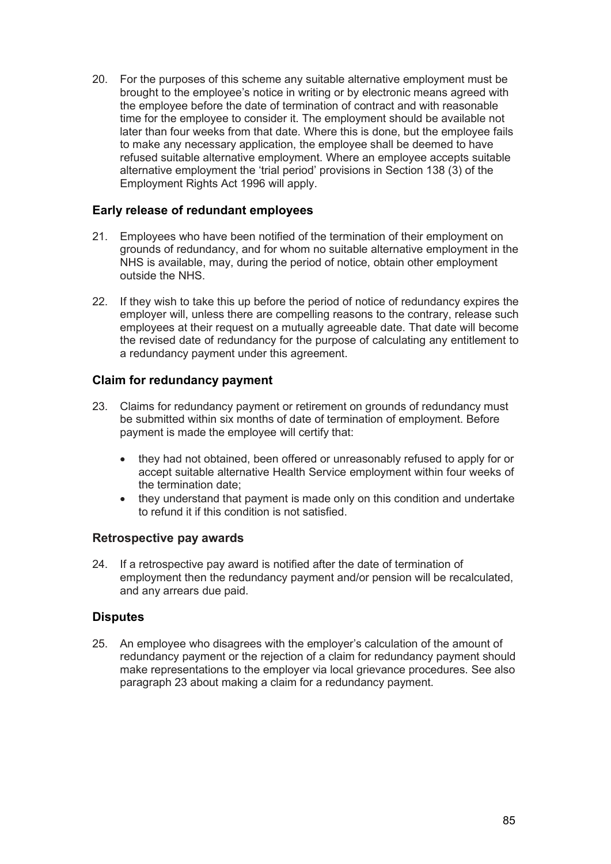20. For the purposes of this scheme any suitable alternative employment must be brought to the employee's notice in writing or by electronic means agreed with the employee before the date of termination of contract and with reasonable time for the employee to consider it. The employment should be available not later than four weeks from that date. Where this is done, but the employee fails to make any necessary application, the employee shall be deemed to have refused suitable alternative employment. Where an employee accepts suitable alternative employment the 'trial period' provisions in Section 138 (3) of the Employment Rights Act 1996 will apply.

## **Early release of redundant employees**

- 21. Employees who have been notified of the termination of their employment on grounds of redundancy, and for whom no suitable alternative employment in the NHS is available, may, during the period of notice, obtain other employment outside the NHS.
- 22. If they wish to take this up before the period of notice of redundancy expires the employer will, unless there are compelling reasons to the contrary, release such employees at their request on a mutually agreeable date. That date will become the revised date of redundancy for the purpose of calculating any entitlement to a redundancy payment under this agreement.

## **Claim for redundancy payment**

- 23. Claims for redundancy payment or retirement on grounds of redundancy must be submitted within six months of date of termination of employment. Before payment is made the employee will certify that:
	- they had not obtained, been offered or unreasonably refused to apply for or accept suitable alternative Health Service employment within four weeks of the termination date;
	- they understand that payment is made only on this condition and undertake to refund it if this condition is not satisfied.

## **Retrospective pay awards**

24. If a retrospective pay award is notified after the date of termination of employment then the redundancy payment and/or pension will be recalculated, and any arrears due paid.

## **Disputes**

25. An employee who disagrees with the employer's calculation of the amount of redundancy payment or the rejection of a claim for redundancy payment should make representations to the employer via local grievance procedures. See also paragraph 23 about making a claim for a redundancy payment.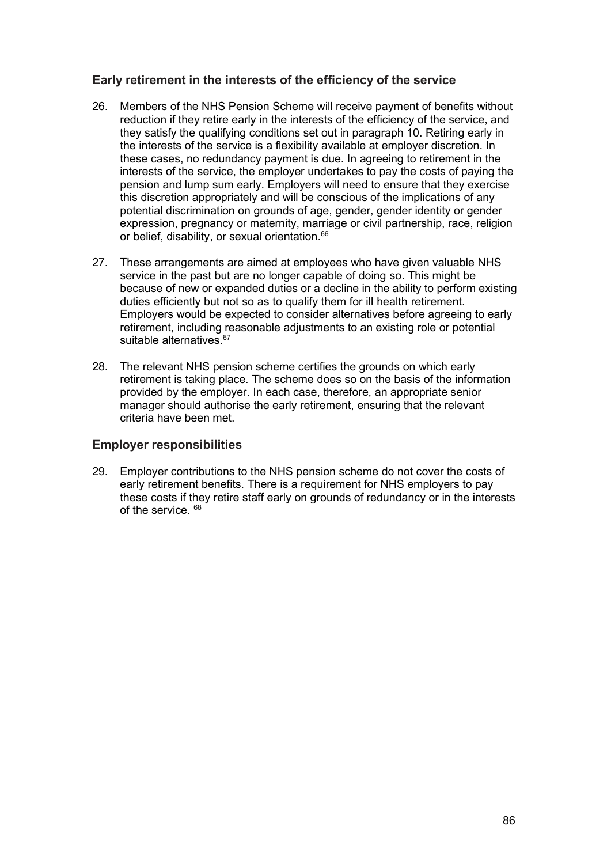## **Early retirement in the interests of the efficiency of the service**

- 26. Members of the NHS Pension Scheme will receive payment of benefits without reduction if they retire early in the interests of the efficiency of the service, and they satisfy the qualifying conditions set out in paragraph 10. Retiring early in the interests of the service is a flexibility available at employer discretion. In these cases, no redundancy payment is due. In agreeing to retirement in the interests of the service, the employer undertakes to pay the costs of paying the pension and lump sum early. Employers will need to ensure that they exercise this discretion appropriately and will be conscious of the implications of any potential discrimination on grounds of age, gender, gender identity or gender expression, pregnancy or maternity, marriage or civil partnership, race, religion or belief, disability, or sexual orientation.<sup>66</sup>
- 27. These arrangements are aimed at employees who have given valuable NHS service in the past but are no longer capable of doing so. This might be because of new or expanded duties or a decline in the ability to perform existing duties efficiently but not so as to qualify them for ill health retirement. Employers would be expected to consider alternatives before agreeing to early retirement, including reasonable adjustments to an existing role or potential suitable alternatives.<sup>67</sup>
- 28. The relevant NHS pension scheme certifies the grounds on which early retirement is taking place. The scheme does so on the basis of the information provided by the employer. In each case, therefore, an appropriate senior manager should authorise the early retirement, ensuring that the relevant criteria have been met.

## **Employer responsibilities**

29. Employer contributions to the NHS pension scheme do not cover the costs of early retirement benefits. There is a requirement for NHS employers to pay these costs if they retire staff early on grounds of redundancy or in the interests of the service.  $68$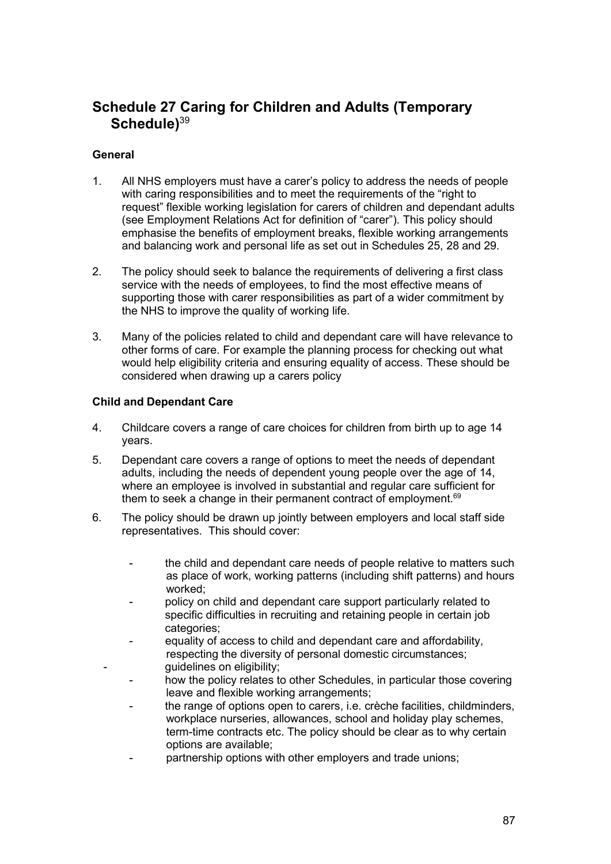# **Schedule 27 Caring for Children and Adults (Temporary Schedule)**<sup>39</sup>

## **General**

- 1. All NHS employers must have a carer's policy to address the needs of people with caring responsibilities and to meet the requirements of the "right to request" flexible working legislation for carers of children and dependant adults (see Employment Relations Act for definition of "carer"). This policy should emphasise the benefits of employment breaks, flexible working arrangements and balancing work and personal life as set out in Schedules 25, 28 and 29.
- 2. The policy should seek to balance the requirements of delivering a first class service with the needs of employees, to find the most effective means of supporting those with carer responsibilities as part of a wider commitment by the NHS to improve the quality of working life.
- 3. Many of the policies related to child and dependant care will have relevance to other forms of care. For example the planning process for checking out what would help eligibility criteria and ensuring equality of access. These should be considered when drawing up a carers policy

## **Child and Dependant Care**

- 4. Childcare covers a range of care choices for children from birth up to age 14 years.
- 5. Dependant care covers a range of options to meet the needs of dependant adults, including the needs of dependent young people over the age of 14, where an employee is involved in substantial and regular care sufficient for them to seek a change in their permanent contract of employment. $69$
- 6. The policy should be drawn up jointly between employers and local staff side representatives. This should cover:
	- the child and dependant care needs of people relative to matters such as place of work, working patterns (including shift patterns) and hours worked;
	- policy on child and dependant care support particularly related to specific difficulties in recruiting and retaining people in certain job categories;
	- equality of access to child and dependant care and affordability, respecting the diversity of personal domestic circumstances; guidelines on eligibility;
	- how the policy relates to other Schedules, in particular those covering leave and flexible working arrangements;
	- the range of options open to carers, i.e. crèche facilities, childminders, workplace nurseries, allowances, school and holiday play schemes, term-time contracts etc. The policy should be clear as to why certain options are available;
	- partnership options with other employers and trade unions;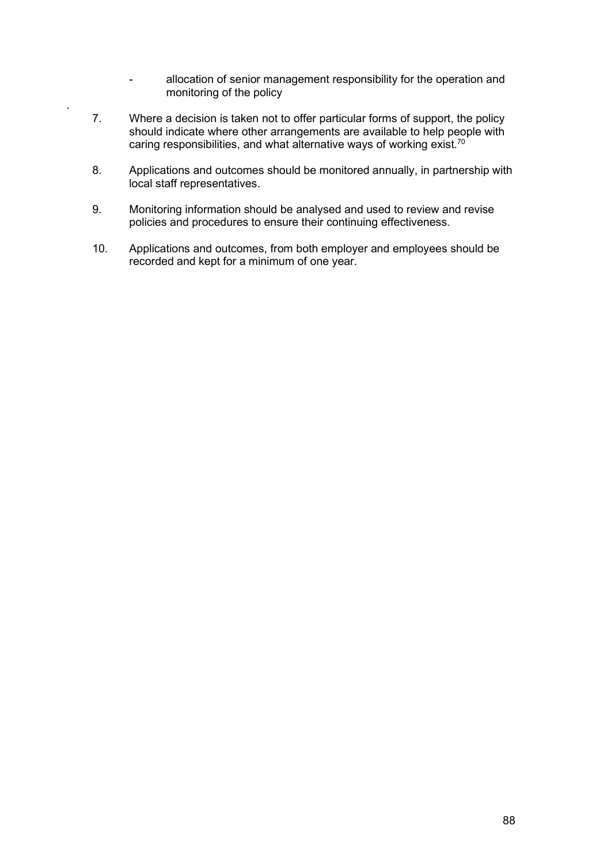- allocation of senior management responsibility for the operation and monitoring of the policy
- 7. Where a decision is taken not to offer particular forms of support, the policy should indicate where other arrangements are available to help people with caring responsibilities, and what alternative ways of working exist.<sup>70</sup>

.

- 8. Applications and outcomes should be monitored annually, in partnership with local staff representatives.
- 9. Monitoring information should be analysed and used to review and revise policies and procedures to ensure their continuing effectiveness.
- 10. Applications and outcomes, from both employer and employees should be recorded and kept for a minimum of one year.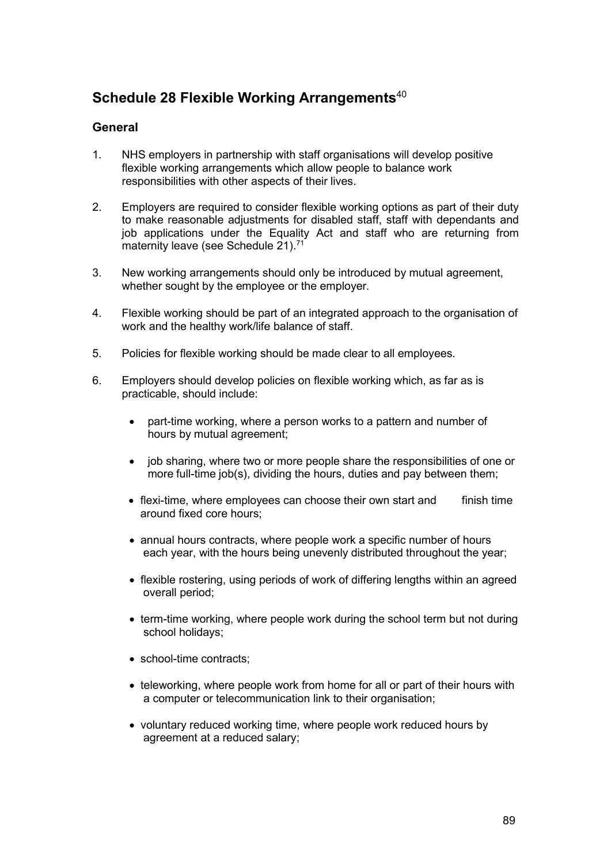# **Schedule 28 Flexible Working Arrangements**<sup>40</sup>

## **General**

- 1. NHS employers in partnership with staff organisations will develop positive flexible working arrangements which allow people to balance work responsibilities with other aspects of their lives.
- 2. Employers are required to consider flexible working options as part of their duty to make reasonable adjustments for disabled staff, staff with dependants and job applications under the Equality Act and staff who are returning from maternity leave (see Schedule 21).<sup>71</sup>
- 3. New working arrangements should only be introduced by mutual agreement, whether sought by the employee or the employer.
- 4. Flexible working should be part of an integrated approach to the organisation of work and the healthy work/life balance of staff.
- 5. Policies for flexible working should be made clear to all employees.
- 6. Employers should develop policies on flexible working which, as far as is practicable, should include:
	- part-time working, where a person works to a pattern and number of hours by mutual agreement;
	- job sharing, where two or more people share the responsibilities of one or more full-time job(s), dividing the hours, duties and pay between them;
	- $\bullet$  flexi-time, where employees can choose their own start and finish time around fixed core hours;
	- annual hours contracts, where people work a specific number of hours each year, with the hours being unevenly distributed throughout the year;
	- flexible rostering, using periods of work of differing lengths within an agreed overall period;
	- term-time working, where people work during the school term but not during school holidays;
	- school-time contracts:
	- teleworking, where people work from home for all or part of their hours with a computer or telecommunication link to their organisation;
	- voluntary reduced working time, where people work reduced hours by agreement at a reduced salary;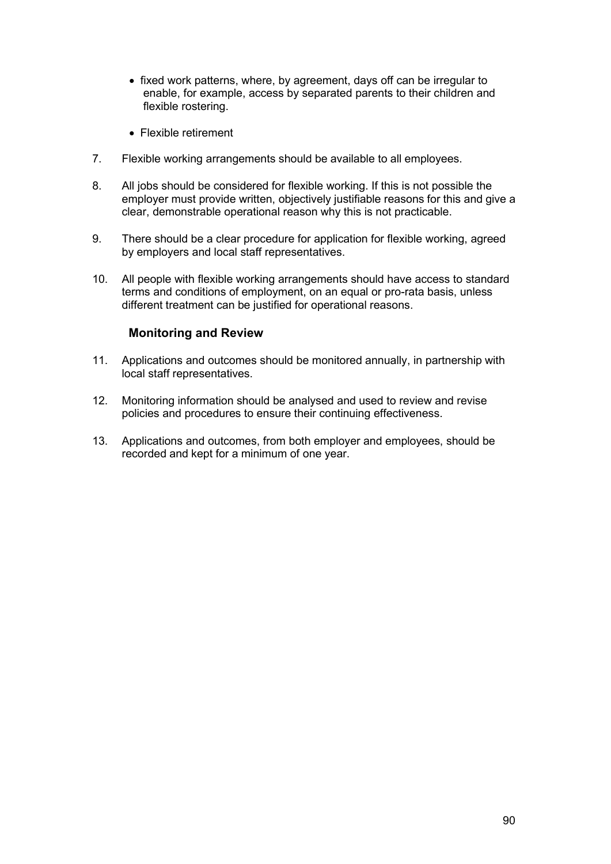- fixed work patterns, where, by agreement, days off can be irregular to enable, for example, access by separated parents to their children and flexible rostering.
- Flexible retirement
- 7. Flexible working arrangements should be available to all employees.
- 8. All jobs should be considered for flexible working. If this is not possible the employer must provide written, objectively justifiable reasons for this and give a clear, demonstrable operational reason why this is not practicable.
- 9. There should be a clear procedure for application for flexible working, agreed by employers and local staff representatives.
- 10. All people with flexible working arrangements should have access to standard terms and conditions of employment, on an equal or pro-rata basis, unless different treatment can be justified for operational reasons.

## **Monitoring and Review**

- 11. Applications and outcomes should be monitored annually, in partnership with local staff representatives.
- 12. Monitoring information should be analysed and used to review and revise policies and procedures to ensure their continuing effectiveness.
- 13. Applications and outcomes, from both employer and employees, should be recorded and kept for a minimum of one year.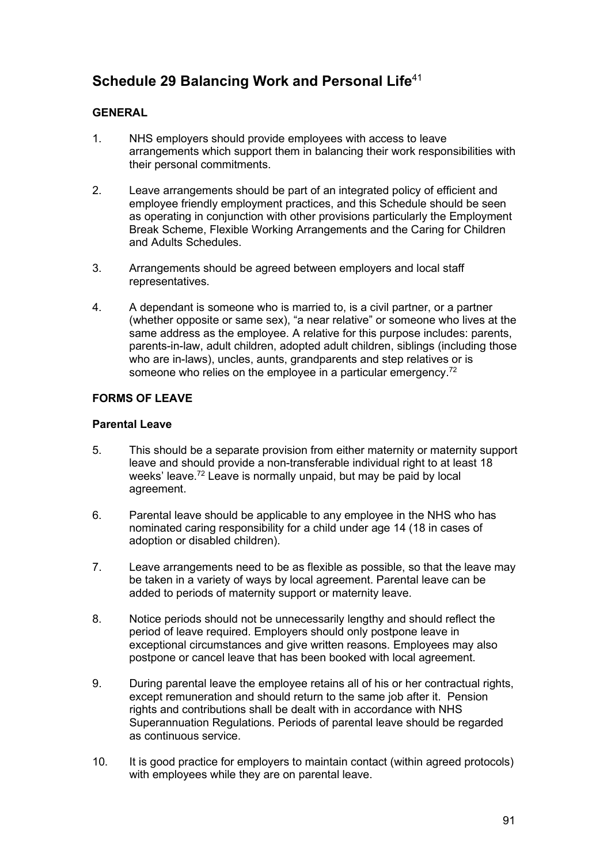# **Schedule 29 Balancing Work and Personal Life**<sup>41</sup>

## **GENERAL**

- 1. NHS employers should provide employees with access to leave arrangements which support them in balancing their work responsibilities with their personal commitments.
- 2. Leave arrangements should be part of an integrated policy of efficient and employee friendly employment practices, and this Schedule should be seen as operating in conjunction with other provisions particularly the Employment Break Scheme, Flexible Working Arrangements and the Caring for Children and Adults Schedules.
- 3. Arrangements should be agreed between employers and local staff representatives.
- 4. A dependant is someone who is married to, is a civil partner, or a partner (whether opposite or same sex), "a near relative" or someone who lives at the same address as the employee. A relative for this purpose includes: parents, parents-in-law, adult children, adopted adult children, siblings (including those who are in-laws), uncles, aunts, grandparents and step relatives or is someone who relies on the employee in a particular emergency.<sup>72</sup>

## **FORMS OF LEAVE**

## **Parental Leave**

- 5. This should be a separate provision from either maternity or maternity support leave and should provide a non-transferable individual right to at least 18 weeks' leave.<sup>72</sup> Leave is normally unpaid, but may be paid by local agreement.
- 6. Parental leave should be applicable to any employee in the NHS who has nominated caring responsibility for a child under age 14 (18 in cases of adoption or disabled children).
- 7. Leave arrangements need to be as flexible as possible, so that the leave may be taken in a variety of ways by local agreement. Parental leave can be added to periods of maternity support or maternity leave.
- 8. Notice periods should not be unnecessarily lengthy and should reflect the period of leave required. Employers should only postpone leave in exceptional circumstances and give written reasons. Employees may also postpone or cancel leave that has been booked with local agreement.
- 9. During parental leave the employee retains all of his or her contractual rights, except remuneration and should return to the same job after it. Pension rights and contributions shall be dealt with in accordance with NHS Superannuation Regulations. Periods of parental leave should be regarded as continuous service.
- 10. It is good practice for employers to maintain contact (within agreed protocols) with employees while they are on parental leave.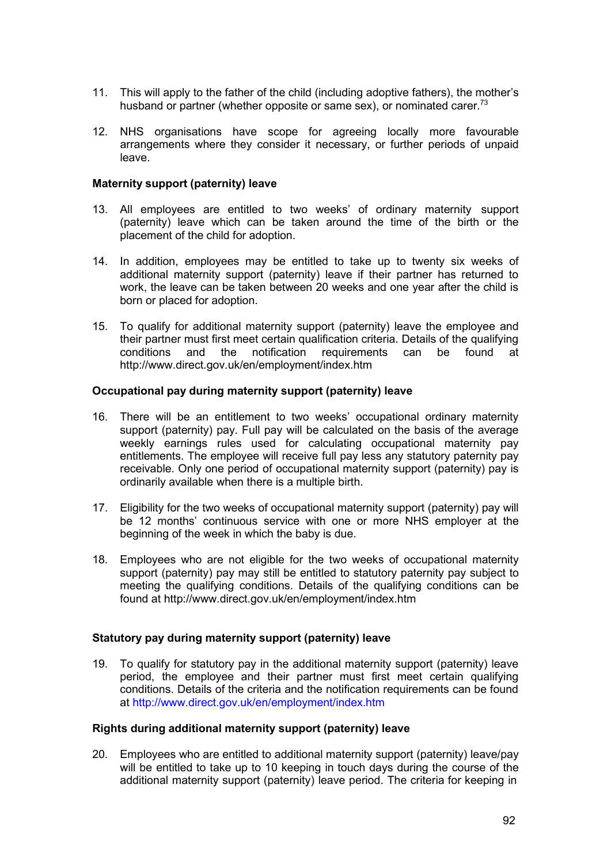- 11. This will apply to the father of the child (including adoptive fathers), the mother's husband or partner (whether opposite or same sex), or nominated carer.<sup>73</sup>
- 12. NHS organisations have scope for agreeing locally more favourable arrangements where they consider it necessary, or further periods of unpaid leave.

#### **Maternity support (paternity) leave**

- 13. All employees are entitled to two weeks' of ordinary maternity support (paternity) leave which can be taken around the time of the birth or the placement of the child for adoption.
- 14. In addition, employees may be entitled to take up to twenty six weeks of additional maternity support (paternity) leave if their partner has returned to work, the leave can be taken between 20 weeks and one year after the child is born or placed for adoption.
- 15. To qualify for additional maternity support (paternity) leave the employee and their partner must first meet certain qualification criteria. Details of the qualifying<br>conditions and the notification requirements can be found at the notification requirements can be found at <http://www.direct.gov.uk/en/employment/index.htm>

#### **Occupational pay during maternity support (paternity) leave**

- 16. There will be an entitlement to two weeks' occupational ordinary maternity support (paternity) pay. Full pay will be calculated on the basis of the average weekly earnings rules used for calculating occupational maternity pay entitlements. The employee will receive full pay less any statutory paternity pay receivable. Only one period of occupational maternity support (paternity) pay is ordinarily available when there is a multiple birth.
- 17. Eligibility for the two weeks of occupational maternity support (paternity) pay will be 12 months' continuous service with one or more NHS employer at the beginning of the week in which the baby is due.
- 18. Employees who are not eligible for the two weeks of occupational maternity support (paternity) pay may still be entitled to statutory paternity pay subject to meeting the qualifying conditions. Details of the qualifying conditions can be found at <http://www.direct.gov.uk/en/employment/index.htm>

#### **Statutory pay during maternity support (paternity) leave**

19. To qualify for statutory pay in the additional maternity support (paternity) leave period, the employee and their partner must first meet certain qualifying conditions. Details of the criteria and the notification requirements can be found at<http://www.direct.gov.uk/en/employment/index.htm>

#### **Rights during additional maternity support (paternity) leave**

20. Employees who are entitled to additional maternity support (paternity) leave/pay will be entitled to take up to 10 keeping in touch days during the course of the additional maternity support (paternity) leave period. The criteria for keeping in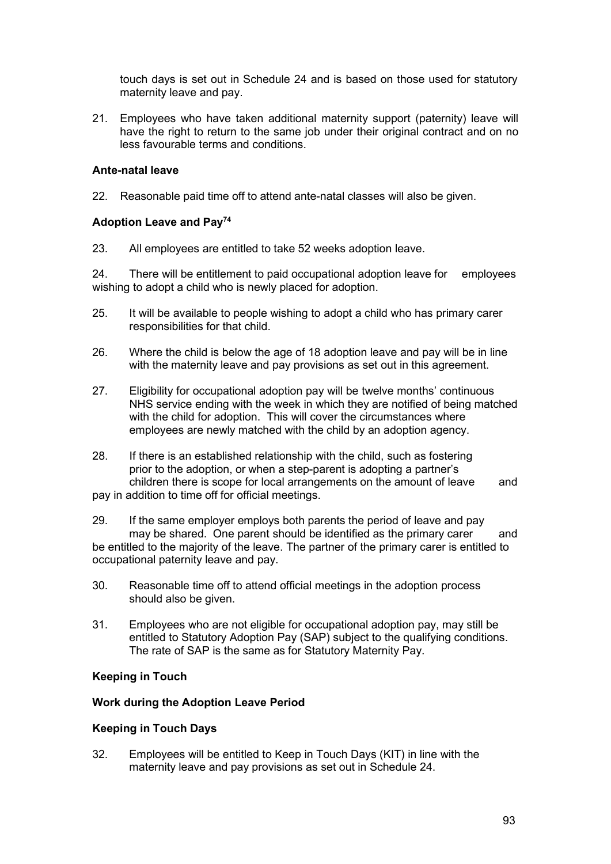touch days is set out in Schedule 24 and is based on those used for statutory maternity leave and pay.

21. Employees who have taken additional maternity support (paternity) leave will have the right to return to the same job under their original contract and on no less favourable terms and conditions.

## **Ante-natal leave**

22. Reasonable paid time off to attend ante-natal classes will also be given.

## **Adoption Leave and Pay74**

23. All employees are entitled to take 52 weeks adoption leave.

24. There will be entitlement to paid occupational adoption leave for employees wishing to adopt a child who is newly placed for adoption.

- 25. It will be available to people wishing to adopt a child who has primary carer responsibilities for that child.
- 26. Where the child is below the age of 18 adoption leave and pay will be in line with the maternity leave and pay provisions as set out in this agreement.
- 27. Eligibility for occupational adoption pay will be twelve months' continuous NHS service ending with the week in which they are notified of being matched with the child for adoption. This will cover the circumstances where employees are newly matched with the child by an adoption agency.
- 28. If there is an established relationship with the child, such as fostering prior to the adoption, or when a step-parent is adopting a partner's children there is scope for local arrangements on the amount of leave and pay in addition to time off for official meetings.
- 29. If the same employer employs both parents the period of leave and pay may be shared. One parent should be identified as the primary carer and be entitled to the majority of the leave. The partner of the primary carer is entitled to occupational paternity leave and pay.
- 30. Reasonable time off to attend official meetings in the adoption process should also be given.
- 31. Employees who are not eligible for occupational adoption pay, may still be entitled to Statutory Adoption Pay (SAP) subject to the qualifying conditions. The rate of SAP is the same as for Statutory Maternity Pay.

## **Keeping in Touch**

## **Work during the Adoption Leave Period**

## **Keeping in Touch Days**

32. Employees will be entitled to Keep in Touch Days (KIT) in line with the maternity leave and pay provisions as set out in Schedule 24.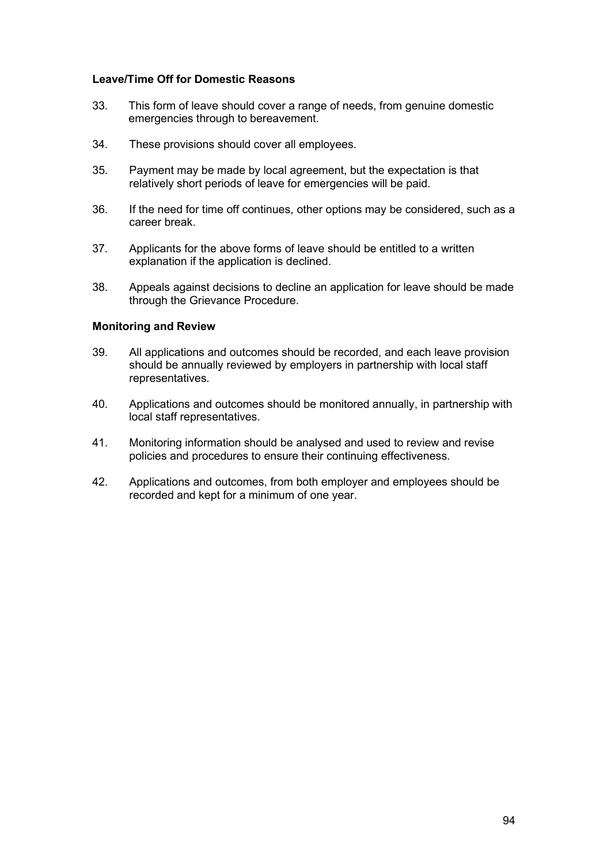## **Leave/Time Off for Domestic Reasons**

- 33. This form of leave should cover a range of needs, from genuine domestic emergencies through to bereavement.
- 34. These provisions should cover all employees.
- 35. Payment may be made by local agreement, but the expectation is that relatively short periods of leave for emergencies will be paid.
- 36. If the need for time off continues, other options may be considered, such as a career break.
- 37. Applicants for the above forms of leave should be entitled to a written explanation if the application is declined.
- 38. Appeals against decisions to decline an application for leave should be made through the Grievance Procedure.

#### **Monitoring and Review**

- 39. All applications and outcomes should be recorded, and each leave provision should be annually reviewed by employers in partnership with local staff representatives.
- 40. Applications and outcomes should be monitored annually, in partnership with local staff representatives.
- 41. Monitoring information should be analysed and used to review and revise policies and procedures to ensure their continuing effectiveness.
- 42. Applications and outcomes, from both employer and employees should be recorded and kept for a minimum of one year.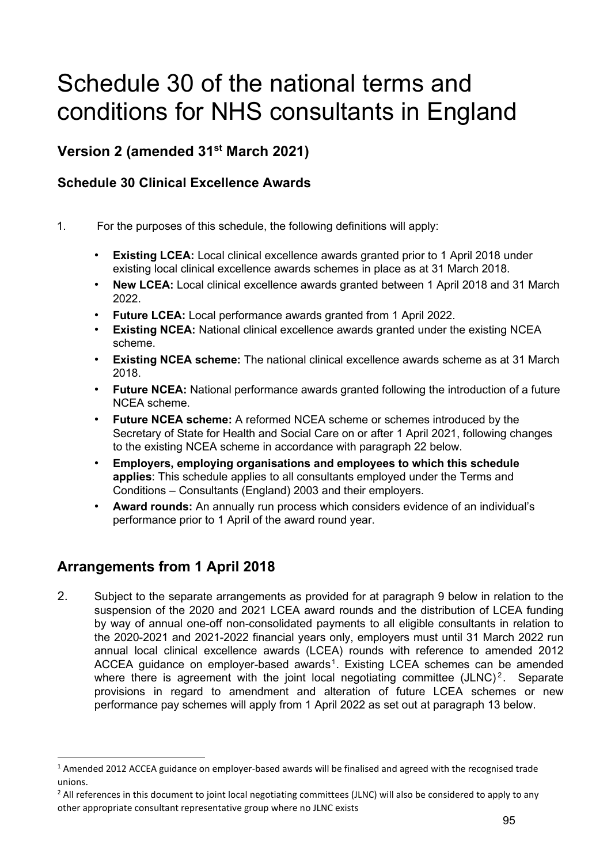# Schedule 30 of the national terms and conditions for NHS consultants in England

# **Version 2 (amended 31st March 2021)**

## **Schedule 30 Clinical Excellence Awards**

- 1. For the purposes of this schedule, the following definitions will apply:
	- **Existing LCEA:** Local clinical excellence awards granted prior to 1 April 2018 under existing local clinical excellence awards schemes in place as at 31 March 2018.
	- **New LCEA:** Local clinical excellence awards granted between 1 April 2018 and 31 March 2022.
	- **Future LCEA:** Local performance awards granted from 1 April 2022.
	- **Existing NCEA:** National clinical excellence awards granted under the existing NCEA scheme.
	- **Existing NCEA scheme:** The national clinical excellence awards scheme as at 31 March 2018.
	- **Future NCEA:** National performance awards granted following the introduction of a future NCEA scheme.
	- **Future NCEA scheme:** A reformed NCEA scheme or schemes introduced by the Secretary of State for Health and Social Care on or after 1 April 2021, following changes to the existing NCEA scheme in accordance with paragraph 22 below.
	- **Employers, employing organisations and employees to which this schedule applies**: This schedule applies to all consultants employed under the Terms and Conditions – Consultants (England) 2003 and their employers.
	- **Award rounds:** An annually run process which considers evidence of an individual's performance prior to 1 April of the award round year.

# **Arrangements from 1 April 2018**

2. Subject to the separate arrangements as provided for at paragraph 9 below in relation to the suspension of the 2020 and 2021 LCEA award rounds and the distribution of LCEA funding by way of annual one-off non-consolidated payments to all eligible consultants in relation to the 2020-2021 and 2021-2022 financial years only, employers must until 31 March 2022 run annual local clinical excellence awards (LCEA) rounds with reference to amended 2012 ACCEA guidance on employer-based awards<sup>[1](#page-94-0)</sup>. Existing LCEA schemes can be amended where there is agreement with the joint local negotiating committee  $(JLNC)^2$  $(JLNC)^2$ . Separate provisions in regard to amendment and alteration of future LCEA schemes or new performance pay schemes will apply from 1 April 2022 as set out at paragraph 13 below.

<span id="page-94-0"></span> $1$  Amended 2012 ACCEA guidance on employer-based awards will be finalised and agreed with the recognised trade unions.

<span id="page-94-1"></span><sup>&</sup>lt;sup>2</sup> All references in this document to joint local negotiating committees (JLNC) will also be considered to apply to any other appropriate consultant representative group where no JLNC exists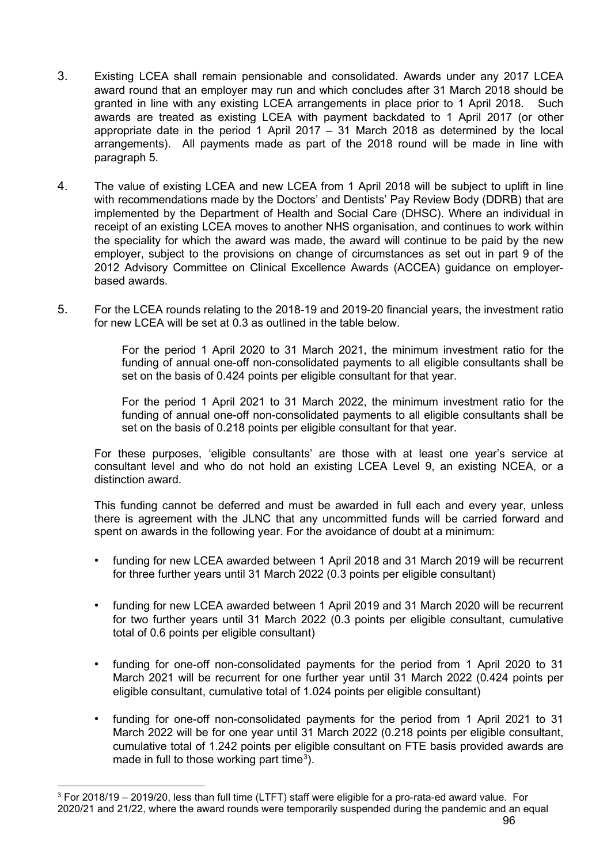- 3. Existing LCEA shall remain pensionable and consolidated. Awards under any 2017 LCEA award round that an employer may run and which concludes after 31 March 2018 should be granted in line with any existing LCEA arrangements in place prior to 1 April 2018. Such awards are treated as existing LCEA with payment backdated to 1 April 2017 (or other appropriate date in the period 1 April 2017 – 31 March 2018 as determined by the local arrangements). All payments made as part of the 2018 round will be made in line with paragraph 5.
- 4. The value of existing LCEA and new LCEA from 1 April 2018 will be subject to uplift in line with recommendations made by the Doctors' and Dentists' Pay Review Body (DDRB) that are implemented by the Department of Health and Social Care (DHSC). Where an individual in receipt of an existing LCEA moves to another NHS organisation, and continues to work within the speciality for which the award was made, the award will continue to be paid by the new employer, subject to the provisions on change of circumstances as set out in part 9 of the 2012 Advisory Committee on Clinical Excellence Awards (ACCEA) guidance on employerbased awards.
- 5. For the LCEA rounds relating to the 2018-19 and 2019-20 financial years, the investment ratio for new LCEA will be set at  $0.3$  as outlined in the table below.

For the period 1 April 2020 to 31 March 2021, the minimum investment ratio for the funding of annual one-off non-consolidated payments to all eligible consultants shall be set on the basis of 0.424 points per eligible consultant for that year.

For the period 1 April 2021 to 31 March 2022, the minimum investment ratio for the funding of annual one-off non-consolidated payments to all eligible consultants shall be set on the basis of 0.218 points per eligible consultant for that year.

For these purposes, 'eligible consultants' are those with at least one year's service at consultant level and who do not hold an existing LCEA Level 9, an existing NCEA, or a distinction award.

This funding cannot be deferred and must be awarded in full each and every year, unless there is agreement with the JLNC that any uncommitted funds will be carried forward and spent on awards in the following year. For the avoidance of doubt at a minimum:

- funding for new LCEA awarded between 1 April 2018 and 31 March 2019 will be recurrent for three further years until 31 March 2022 (0.3 points per eligible consultant)
- funding for new LCEA awarded between 1 April 2019 and 31 March 2020 will be recurrent for two further years until 31 March 2022 (0.3 points per eligible consultant, cumulative total of 0.6 points per eligible consultant)
- funding for one-off non-consolidated payments for the period from 1 April 2020 to 31 March 2021 will be recurrent for one further year until 31 March 2022 (0.424 points per eligible consultant, cumulative total of 1.024 points per eligible consultant)
- funding for one-off non-consolidated payments for the period from 1 April 2021 to 31 March 2022 will be for one year until 31 March 2022 (0.218 points per eligible consultant, cumulative total of 1.242 points per eligible consultant on FTE basis provided awards are made in full to those working part time<sup>[3](#page-95-0)</sup>).

<span id="page-95-0"></span><sup>3</sup> For 2018/19 – 2019/20, less than full time (LTFT) staff were eligible for a pro-rata-ed award value. For 2020/21 and 21/22, where the award rounds were temporarily suspended during the pandemic and an equal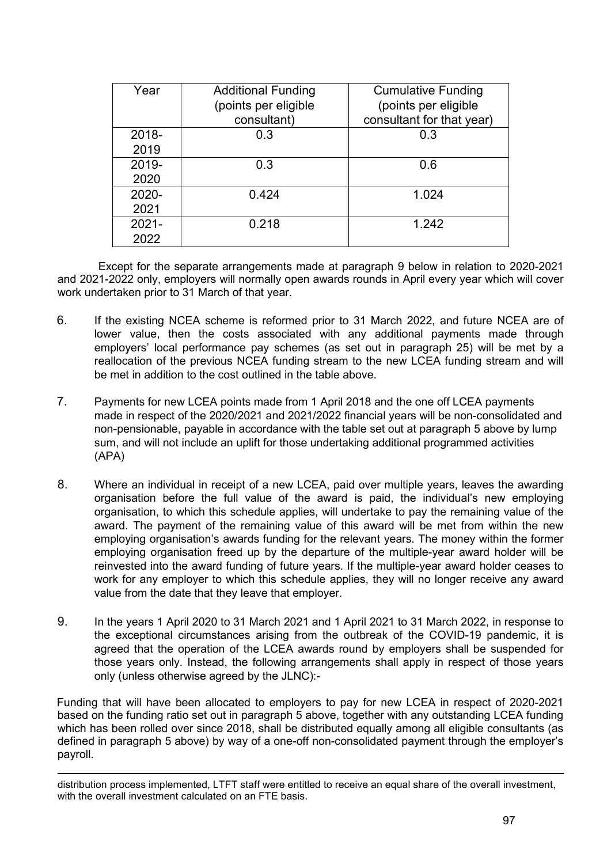| Year     | <b>Additional Funding</b> | <b>Cumulative Funding</b> |
|----------|---------------------------|---------------------------|
|          | (points per eligible      | (points per eligible      |
|          | consultant)               | consultant for that year) |
| 2018-    | 0.3                       | 0.3                       |
| 2019     |                           |                           |
| 2019-    | 0.3                       | 0.6                       |
| 2020     |                           |                           |
| 2020-    | 0.424                     | 1.024                     |
| 2021     |                           |                           |
| $2021 -$ | 0.218                     | 1.242                     |
| 2022     |                           |                           |

 Except for the separate arrangements made at paragraph 9 below in relation to 2020-2021 and 2021-2022 only, employers will normally open awards rounds in April every year which will cover work undertaken prior to 31 March of that year.

- 6. If the existing NCEA scheme is reformed prior to 31 March 2022, and future NCEA are of lower value, then the costs associated with any additional payments made through employers' local performance pay schemes (as set out in paragraph 25) will be met by a reallocation of the previous NCEA funding stream to the new LCEA funding stream and will be met in addition to the cost outlined in the table above.
- 7. Payments for new LCEA points made from 1 April 2018 and the one off LCEA payments made in respect of the 2020/2021 and 2021/2022 financial years will be non-consolidated and non-pensionable, payable in accordance with the table set out at paragraph 5 above by lump sum, and will not include an uplift for those undertaking additional programmed activities (APA)
- 8. Where an individual in receipt of a new LCEA, paid over multiple years, leaves the awarding organisation before the full value of the award is paid, the individual's new employing organisation, to which this schedule applies, will undertake to pay the remaining value of the award. The payment of the remaining value of this award will be met from within the new employing organisation's awards funding for the relevant years. The money within the former employing organisation freed up by the departure of the multiple-year award holder will be reinvested into the award funding of future years. If the multiple-year award holder ceases to work for any employer to which this schedule applies, they will no longer receive any award value from the date that they leave that employer.
- 9. In the years 1 April 2020 to 31 March 2021 and 1 April 2021 to 31 March 2022, in response to the exceptional circumstances arising from the outbreak of the COVID-19 pandemic, it is agreed that the operation of the LCEA awards round by employers shall be suspended for those years only. Instead, the following arrangements shall apply in respect of those years only (unless otherwise agreed by the JLNC):-

Funding that will have been allocated to employers to pay for new LCEA in respect of 2020-2021 based on the funding ratio set out in paragraph 5 above, together with any outstanding LCEA funding which has been rolled over since 2018, shall be distributed equally among all eligible consultants (as defined in paragraph 5 above) by way of a one-off non-consolidated payment through the employer's payroll.

distribution process implemented, LTFT staff were entitled to receive an equal share of the overall investment, with the overall investment calculated on an FTE basis.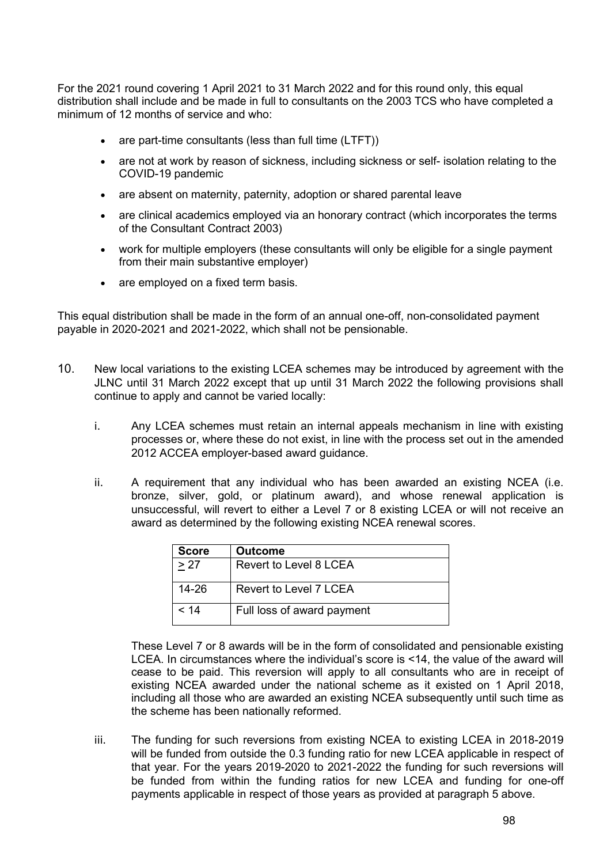For the 2021 round covering 1 April 2021 to 31 March 2022 and for this round only, this equal distribution shall include and be made in full to consultants on the 2003 TCS who have completed a minimum of 12 months of service and who:

- are part-time consultants (less than full time (LTFT))
- are not at work by reason of sickness, including sickness or self- isolation relating to the COVID-19 pandemic
- are absent on maternity, paternity, adoption or shared parental leave
- are clinical academics employed via an honorary contract (which incorporates the terms of the Consultant Contract 2003)
- work for multiple employers (these consultants will only be eligible for a single payment from their main substantive employer)
- are employed on a fixed term basis.

This equal distribution shall be made in the form of an annual one-off, non-consolidated payment payable in 2020-2021 and 2021-2022, which shall not be pensionable.

- 10. New local variations to the existing LCEA schemes may be introduced by agreement with the JLNC until 31 March 2022 except that up until 31 March 2022 the following provisions shall continue to apply and cannot be varied locally:
	- i. Any LCEA schemes must retain an internal appeals mechanism in line with existing processes or, where these do not exist, in line with the process set out in the amended 2012 ACCEA employer-based award guidance.
	- ii. A requirement that any individual who has been awarded an existing NCEA (i.e. bronze, silver, gold, or platinum award), and whose renewal application is unsuccessful, will revert to either a Level 7 or 8 existing LCEA or will not receive an award as determined by the following existing NCEA renewal scores.

| <b>Score</b> | <b>Outcome</b>                |  |
|--------------|-------------------------------|--|
| > 27         | <b>Revert to Level 8 LCEA</b> |  |
| 14-26        | Revert to Level 7 LCEA        |  |
| < 14         | Full loss of award payment    |  |

These Level 7 or 8 awards will be in the form of consolidated and pensionable existing LCEA. In circumstances where the individual's score is <14, the value of the award will cease to be paid. This reversion will apply to all consultants who are in receipt of existing NCEA awarded under the national scheme as it existed on 1 April 2018, including all those who are awarded an existing NCEA subsequently until such time as the scheme has been nationally reformed.

iii. The funding for such reversions from existing NCEA to existing LCEA in 2018-2019 will be funded from outside the 0.3 funding ratio for new LCEA applicable in respect of that year. For the years 2019-2020 to 2021-2022 the funding for such reversions will be funded from within the funding ratios for new LCEA and funding for one-off payments applicable in respect of those years as provided at paragraph 5 above.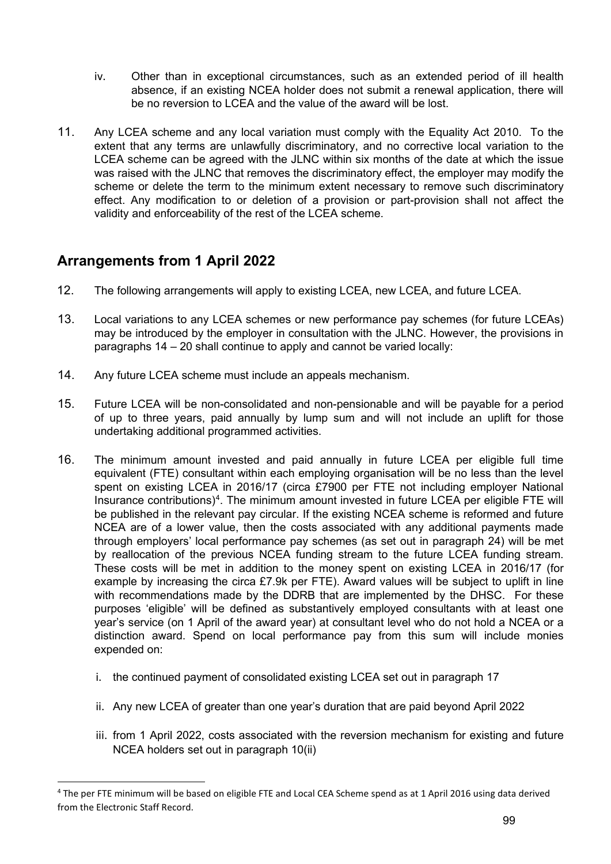- iv. Other than in exceptional circumstances, such as an extended period of ill health absence, if an existing NCEA holder does not submit a renewal application, there will be no reversion to LCEA and the value of the award will be lost.
- 11. Any LCEA scheme and any local variation must comply with the Equality Act 2010. To the extent that any terms are unlawfully discriminatory, and no corrective local variation to the LCEA scheme can be agreed with the JLNC within six months of the date at which the issue was raised with the JLNC that removes the discriminatory effect, the employer may modify the scheme or delete the term to the minimum extent necessary to remove such discriminatory effect. Any modification to or deletion of a provision or part-provision shall not affect the validity and enforceability of the rest of the LCEA scheme.

# **Arrangements from 1 April 2022**

- 12. The following arrangements will apply to existing LCEA, new LCEA, and future LCEA.
- 13. Local variations to any LCEA schemes or new performance pay schemes (for future LCEAs) may be introduced by the employer in consultation with the JLNC. However, the provisions in paragraphs 14 – 20 shall continue to apply and cannot be varied locally:
- 14. Any future LCEA scheme must include an appeals mechanism.
- 15. Future LCEA will be non-consolidated and non-pensionable and will be payable for a period of up to three years, paid annually by lump sum and will not include an uplift for those undertaking additional programmed activities.
- 16. The minimum amount invested and paid annually in future LCEA per eligible full time equivalent (FTE) consultant within each employing organisation will be no less than the level spent on existing LCEA in 2016/17 (circa £7900 per FTE not including employer National Insurance contributions)<sup>4</sup>. The minimum amount invested in future LCEA per eligible FTE will be published in the relevant pay circular. If the existing NCEA scheme is reformed and future NCEA are of a lower value, then the costs associated with any additional payments made through employers' local performance pay schemes (as set out in paragraph 24) will be met by reallocation of the previous NCEA funding stream to the future LCEA funding stream. These costs will be met in addition to the money spent on existing LCEA in 2016/17 (for example by increasing the circa £7.9k per FTE). Award values will be subject to uplift in line with recommendations made by the DDRB that are implemented by the DHSC. For these purposes 'eligible' will be defined as substantively employed consultants with at least one year's service (on 1 April of the award year) at consultant level who do not hold a NCEA or a distinction award. Spend on local performance pay from this sum will include monies expended on:
	- i. the continued payment of consolidated existing LCEA set out in paragraph 17
	- ii. Any new LCEA of greater than one year's duration that are paid beyond April 2022
	- iii. from 1 April 2022, costs associated with the reversion mechanism for existing and future NCEA holders set out in paragraph 10(ii)

<span id="page-98-0"></span><sup>&</sup>lt;sup>4</sup> The per FTE minimum will be based on eligible FTE and Local CEA Scheme spend as at 1 April 2016 using data derived from the Electronic Staff Record.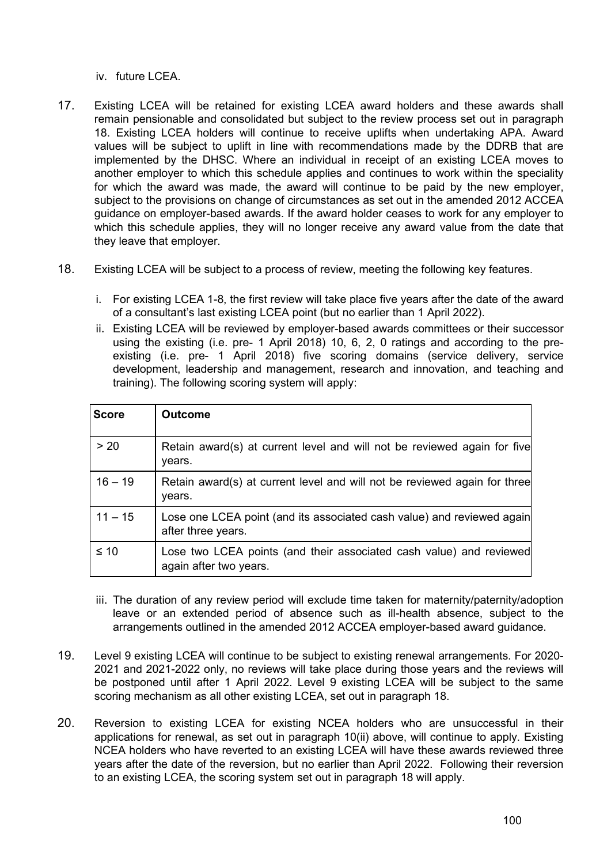iv. future LCEA.

- 17. Existing LCEA will be retained for existing LCEA award holders and these awards shall remain pensionable and consolidated but subject to the review process set out in paragraph 18. Existing LCEA holders will continue to receive uplifts when undertaking APA. Award values will be subject to uplift in line with recommendations made by the DDRB that are implemented by the DHSC. Where an individual in receipt of an existing LCEA moves to another employer to which this schedule applies and continues to work within the speciality for which the award was made, the award will continue to be paid by the new employer, subject to the provisions on change of circumstances as set out in the amended 2012 ACCEA guidance on employer-based awards. If the award holder ceases to work for any employer to which this schedule applies, they will no longer receive any award value from the date that they leave that employer.
- 18. Existing LCEA will be subject to a process of review, meeting the following key features.
	- i. For existing LCEA 1-8, the first review will take place five years after the date of the award of a consultant's last existing LCEA point (but no earlier than 1 April 2022).
	- ii. Existing LCEA will be reviewed by employer-based awards committees or their successor using the existing (i.e. pre- 1 April 2018) 10, 6, 2, 0 ratings and according to the preexisting (i.e. pre- 1 April 2018) five scoring domains (service delivery, service development, leadership and management, research and innovation, and teaching and training). The following scoring system will apply:

| <b>Score</b> | <b>Outcome</b>                                                                                |
|--------------|-----------------------------------------------------------------------------------------------|
| > 20         | Retain award(s) at current level and will not be reviewed again for five<br>years.            |
| $16 - 19$    | Retain award(s) at current level and will not be reviewed again for three<br>years.           |
| $11 - 15$    | Lose one LCEA point (and its associated cash value) and reviewed again<br>after three years.  |
| $\leq 10$    | Lose two LCEA points (and their associated cash value) and reviewed<br>again after two years. |

- iii. The duration of any review period will exclude time taken for maternity/paternity/adoption leave or an extended period of absence such as ill-health absence, subject to the arrangements outlined in the amended 2012 ACCEA employer-based award guidance.
- 19. Level 9 existing LCEA will continue to be subject to existing renewal arrangements. For 2020- 2021 and 2021-2022 only, no reviews will take place during those years and the reviews will be postponed until after 1 April 2022. Level 9 existing LCEA will be subject to the same scoring mechanism as all other existing LCEA, set out in paragraph 18.
- 20. Reversion to existing LCEA for existing NCEA holders who are unsuccessful in their applications for renewal, as set out in paragraph 10(ii) above, will continue to apply. Existing NCEA holders who have reverted to an existing LCEA will have these awards reviewed three years after the date of the reversion, but no earlier than April 2022. Following their reversion to an existing LCEA, the scoring system set out in paragraph 18 will apply.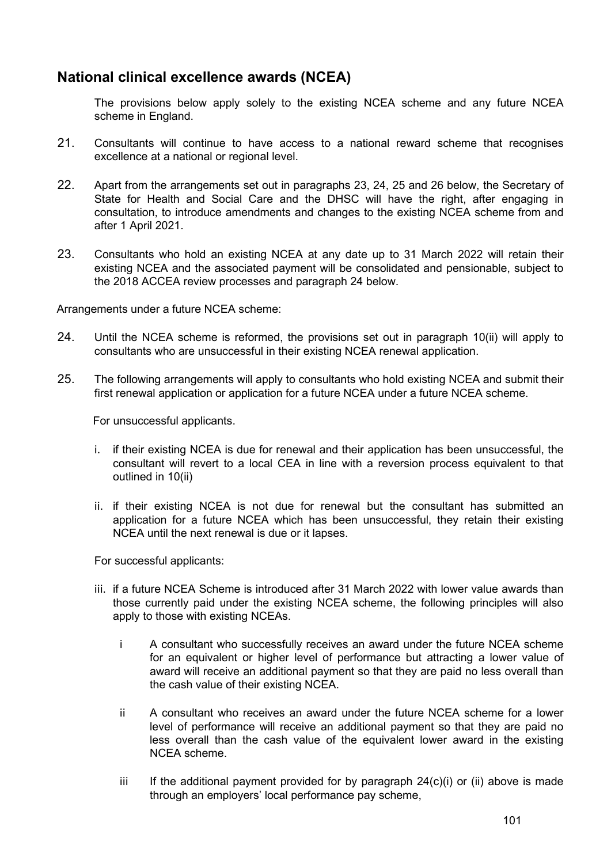# **National clinical excellence awards (NCEA)**

The provisions below apply solely to the existing NCEA scheme and any future NCEA scheme in England.

- 21. Consultants will continue to have access to a national reward scheme that recognises excellence at a national or regional level.
- 22. Apart from the arrangements set out in paragraphs 23, 24, 25 and 26 below, the Secretary of State for Health and Social Care and the DHSC will have the right, after engaging in consultation, to introduce amendments and changes to the existing NCEA scheme from and after 1 April 2021.
- 23. Consultants who hold an existing NCEA at any date up to 31 March 2022 will retain their existing NCEA and the associated payment will be consolidated and pensionable, subject to the 2018 ACCEA review processes and paragraph 24 below.

Arrangements under a future NCEA scheme:

- 24. Until the NCEA scheme is reformed, the provisions set out in paragraph 10(ii) will apply to consultants who are unsuccessful in their existing NCEA renewal application.
- 25. The following arrangements will apply to consultants who hold existing NCEA and submit their first renewal application or application for a future NCEA under a future NCEA scheme.

For unsuccessful applicants.

- i. if their existing NCEA is due for renewal and their application has been unsuccessful, the consultant will revert to a local CEA in line with a reversion process equivalent to that outlined in 10(ii)
- ii. if their existing NCEA is not due for renewal but the consultant has submitted an application for a future NCEA which has been unsuccessful, they retain their existing NCEA until the next renewal is due or it lapses.

For successful applicants:

- iii. if a future NCEA Scheme is introduced after 31 March 2022 with lower value awards than those currently paid under the existing NCEA scheme, the following principles will also apply to those with existing NCEAs.
	- i A consultant who successfully receives an award under the future NCEA scheme for an equivalent or higher level of performance but attracting a lower value of award will receive an additional payment so that they are paid no less overall than the cash value of their existing NCEA.
	- ii A consultant who receives an award under the future NCEA scheme for a lower level of performance will receive an additional payment so that they are paid no less overall than the cash value of the equivalent lower award in the existing NCEA scheme.
	- iii If the additional payment provided for by paragraph  $24(c)(i)$  or (ii) above is made through an employers' local performance pay scheme,